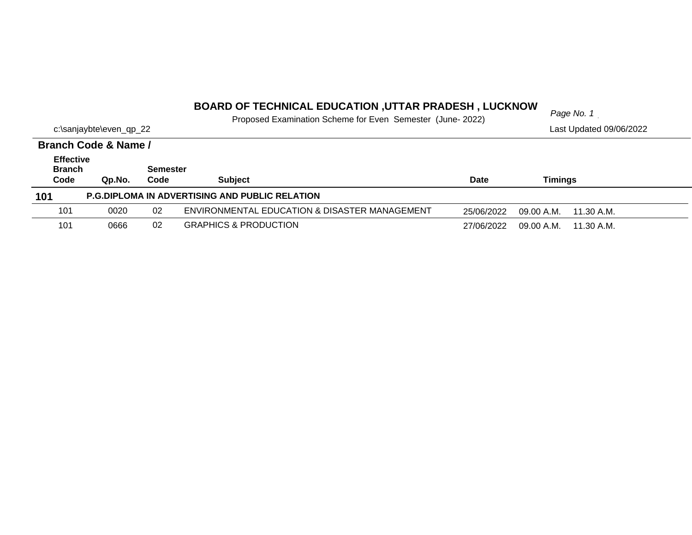#### *Page No. 1* **BOARD OF TECHNICAL EDUCATION ,UTTAR PRADESH , LUCKNOW**

Proposed Examination Scheme for Even Semester (June- 2022)

| Page No. 1 |  |  |
|------------|--|--|
|            |  |  |

| c:\sanjaybte\even_qp_22                   |                      |                         | I TOPOOG EAGHILIQUOTI OOHOHIO IOI EVOHTOOHIOOLOI TUGHO EUZZI |             | Last Updated 09/06/2022  |  |
|-------------------------------------------|----------------------|-------------------------|--------------------------------------------------------------|-------------|--------------------------|--|
|                                           | Branch Code & Name / |                         |                                                              |             |                          |  |
| <b>Effective</b><br><b>Branch</b><br>Code | Qp.No.               | <b>Semester</b><br>Code | <b>Subject</b>                                               | <b>Date</b> | Timings                  |  |
| 101                                       |                      |                         | <b>P.G.DIPLOMA IN ADVERTISING AND PUBLIC RELATION</b>        |             |                          |  |
| 101                                       | 0020                 | 02                      | ENVIRONMENTAL EDUCATION & DISASTER MANAGEMENT                | 25/06/2022  | 09.00 A.M.<br>11.30 A.M. |  |
| 101                                       | 0666                 | 02                      | <b>GRAPHICS &amp; PRODUCTION</b>                             | 27/06/2022  | 09.00 A.M.<br>11.30 A.M. |  |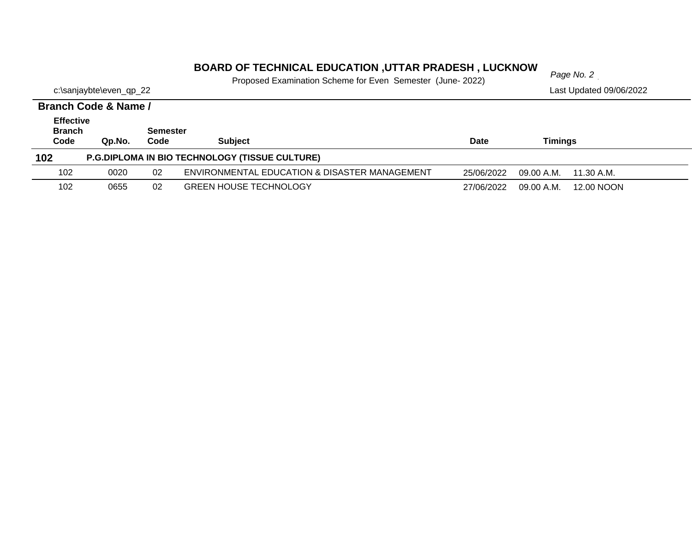#### *Page No. 2* **BOARD OF TECHNICAL EDUCATION ,UTTAR PRADESH , LUCKNOW**

Proposed Examination Scheme for Even Semester (June- 2022)

|                                           | Branch Code & Name / |                         |                                                       |            |            |            |
|-------------------------------------------|----------------------|-------------------------|-------------------------------------------------------|------------|------------|------------|
| <b>Effective</b><br><b>Branch</b><br>Code | Qp.No.               | <b>Semester</b><br>Code | <b>Subject</b>                                        | Date       | Timings    |            |
| 102                                       |                      |                         | <b>P.G.DIPLOMA IN BIO TECHNOLOGY (TISSUE CULTURE)</b> |            |            |            |
| 102                                       | 0020                 | 02                      | ENVIRONMENTAL EDUCATION & DISASTER MANAGEMENT         | 25/06/2022 | 09.00 A.M. | 11.30 A.M. |
| 102                                       | 0655                 | 02                      | <b>GREEN HOUSE TECHNOLOGY</b>                         | 27/06/2022 | 09.00 A.M. | 12.00 NOON |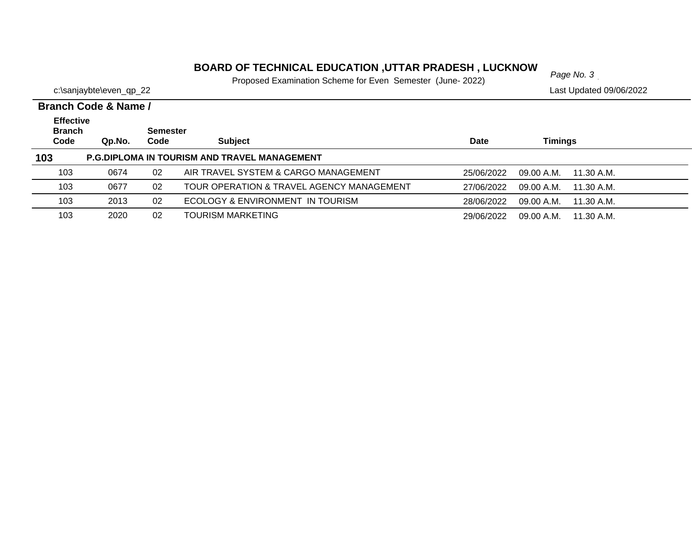# *Page No. 3* **BOARD OF TECHNICAL EDUCATION ,UTTAR PRADESH , LUCKNOW**

Proposed Examination Scheme for Even Semester (June- 2022)

|                                           | Branch Code & Name / |                         |                                                     |             |                          |  |
|-------------------------------------------|----------------------|-------------------------|-----------------------------------------------------|-------------|--------------------------|--|
| <b>Effective</b><br><b>Branch</b><br>Code | Qp.No.               | <b>Semester</b><br>Code | <b>Subject</b>                                      | <b>Date</b> | Timings                  |  |
| 103                                       |                      |                         | <b>P.G.DIPLOMA IN TOURISM AND TRAVEL MANAGEMENT</b> |             |                          |  |
| 103                                       | 0674                 | 02                      | AIR TRAVEL SYSTEM & CARGO MANAGEMENT                | 25/06/2022  | 09.00 A.M.<br>11.30 A.M. |  |
| 103                                       | 0677                 | 02                      | TOUR OPERATION & TRAVEL AGENCY MANAGEMENT           | 27/06/2022  | 09.00 A.M.<br>11.30 A.M. |  |
| 103                                       | 2013                 | 02                      | ECOLOGY & ENVIRONMENT IN TOURISM                    | 28/06/2022  | 09.00 A.M.<br>11.30 A.M. |  |
| 103                                       | 2020                 | 02                      | <b>TOURISM MARKETING</b>                            | 29/06/2022  | 09.00 A.M.<br>11.30 A.M. |  |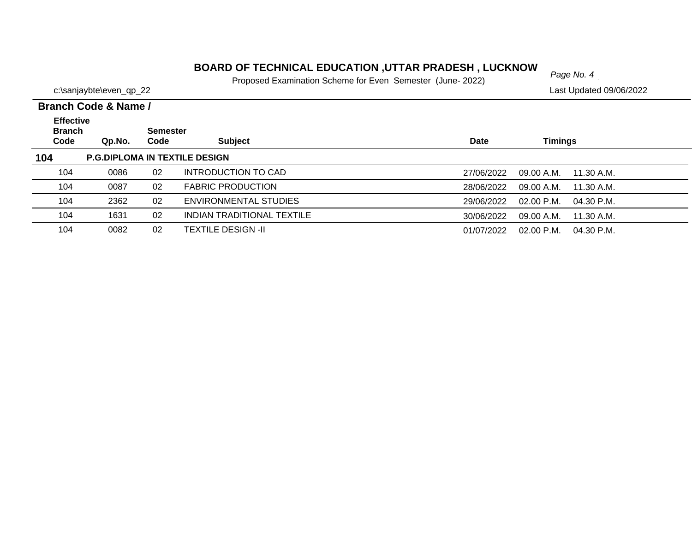# *Page No. 4* **BOARD OF TECHNICAL EDUCATION ,UTTAR PRADESH , LUCKNOW**

Proposed Examination Scheme for Even Semester (June- 2022)

|                                           | Branch Code & Name / |                         |                                      |             |                            |  |
|-------------------------------------------|----------------------|-------------------------|--------------------------------------|-------------|----------------------------|--|
| <b>Effective</b><br><b>Branch</b><br>Code | Qp.No.               | <b>Semester</b><br>Code | <b>Subject</b>                       | <b>Date</b> | <b>Timings</b>             |  |
| 104                                       |                      |                         | <b>P.G.DIPLOMA IN TEXTILE DESIGN</b> |             |                            |  |
| 104                                       | 0086                 | 02                      | INTRODUCTION TO CAD                  | 27/06/2022  | 09.00 A.M.<br>11.30 A.M.   |  |
| 104                                       | 0087                 | 02                      | <b>FABRIC PRODUCTION</b>             | 28/06/2022  | 09.00 A.M.<br>11.30 A.M.   |  |
| 104                                       | 2362                 | 02                      | ENVIRONMENTAL STUDIES                | 29/06/2022  | $02.00$ P.M.<br>04.30 P.M. |  |
| 104                                       | 1631                 | 02                      | INDIAN TRADITIONAL TEXTILE           | 30/06/2022  | 09.00 A.M.<br>11.30 A.M.   |  |
| 104                                       | 0082                 | 02                      | <b>TEXTILE DESIGN -II</b>            | 01/07/2022  | 02.00 P.M.<br>04.30 P.M.   |  |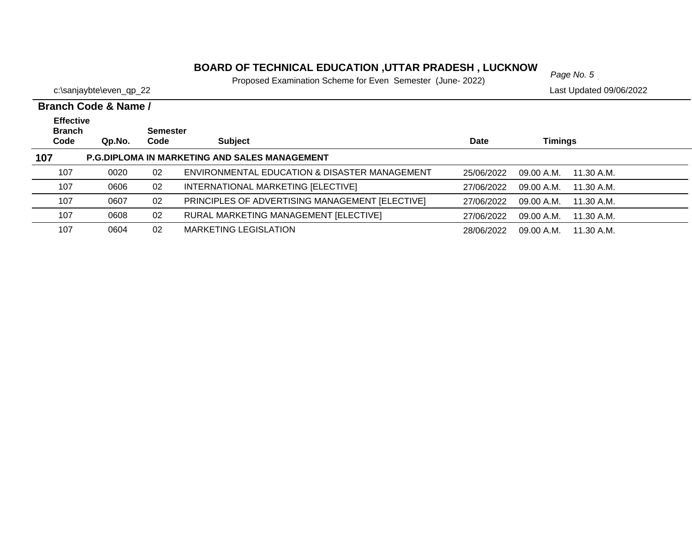# *Page No. 5* **BOARD OF TECHNICAL EDUCATION ,UTTAR PRADESH , LUCKNOW**

Proposed Examination Scheme for Even Semester (June- 2022)

|                                           | <b>Branch Code &amp; Name /</b> |                         |                                                 |            |                          |  |
|-------------------------------------------|---------------------------------|-------------------------|-------------------------------------------------|------------|--------------------------|--|
| <b>Effective</b><br><b>Branch</b><br>Code | Qp.No.                          | <b>Semester</b><br>Code | <b>Subject</b>                                  | Date       | <b>Timings</b>           |  |
| 107                                       |                                 |                         | P.G.DIPLOMA IN MARKETING AND SALES MANAGEMENT   |            |                          |  |
| 107                                       | 0020                            | 02                      | ENVIRONMENTAL EDUCATION & DISASTER MANAGEMENT   | 25/06/2022 | 09.00 A.M.<br>11.30 A.M. |  |
| 107                                       | 0606                            | 02                      | INTERNATIONAL MARKETING [ELECTIVE]              | 27/06/2022 | 09.00 A.M.<br>11.30 A.M. |  |
| 107                                       | 0607                            | 02                      | PRINCIPLES OF ADVERTISING MANAGEMENT [ELECTIVE] | 27/06/2022 | 09.00 A.M.<br>11.30 A.M. |  |
| 107                                       | 0608                            | 02                      | RURAL MARKETING MANAGEMENT [ELECTIVE]           | 27/06/2022 | 09.00 A.M.<br>11.30 A.M. |  |
| 107                                       | 0604                            | 02                      | <b>MARKETING LEGISLATION</b>                    | 28/06/2022 | 09.00 A.M.<br>11.30 A.M. |  |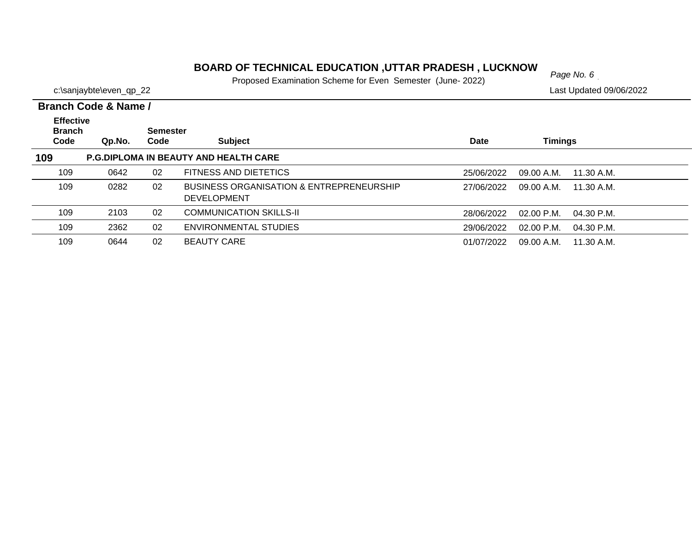# *Page No. 6* **BOARD OF TECHNICAL EDUCATION ,UTTAR PRADESH , LUCKNOW**

Proposed Examination Scheme for Even Semester (June- 2022)

|                                           | Branch Code & Name / |                         |                                                                           |             |                            |  |
|-------------------------------------------|----------------------|-------------------------|---------------------------------------------------------------------------|-------------|----------------------------|--|
| <b>Effective</b><br><b>Branch</b><br>Code | Qp.No.               | <b>Semester</b><br>Code | <b>Subject</b>                                                            | <b>Date</b> | <b>Timings</b>             |  |
| 109                                       |                      |                         | P.G.DIPLOMA IN BEAUTY AND HEALTH CARE                                     |             |                            |  |
| 109                                       | 0642                 | 02                      | FITNESS AND DIETETICS                                                     | 25/06/2022  | 09.00 A.M.<br>11.30 A.M.   |  |
| 109                                       | 0282                 | 02                      | <b>BUSINESS ORGANISATION &amp; ENTREPRENEURSHIP</b><br><b>DEVELOPMENT</b> | 27/06/2022  | 09.00 A.M.<br>11.30 A.M.   |  |
| 109                                       | 2103                 | 02                      | <b>COMMUNICATION SKILLS-II</b>                                            | 28/06/2022  | $02.00$ P.M.<br>04.30 P.M. |  |
| 109                                       | 2362                 | 02                      | ENVIRONMENTAL STUDIES                                                     | 29/06/2022  | $02.00$ P.M.<br>04.30 P.M. |  |
| 109                                       | 0644                 | 02                      | <b>BEAUTY CARE</b>                                                        | 01/07/2022  | 09.00 A.M.<br>11.30 A.M.   |  |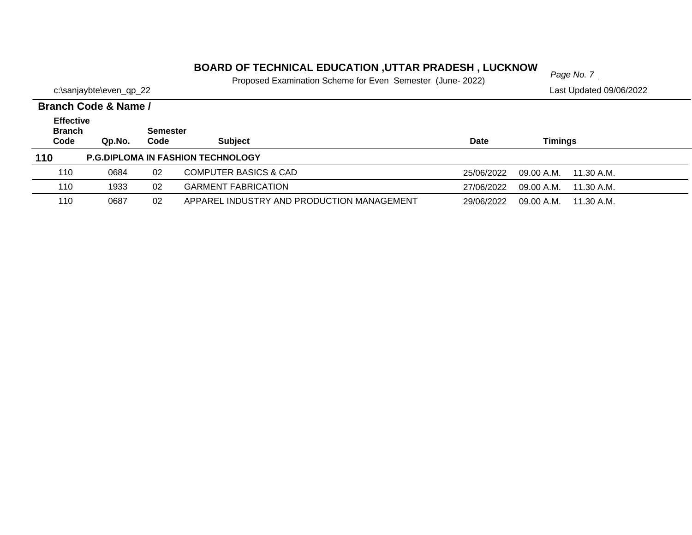# *Page No. 7* **BOARD OF TECHNICAL EDUCATION ,UTTAR PRADESH , LUCKNOW**

Proposed Examination Scheme for Even Semester (June- 2022)

|                         | Proposed Examination Scribing for Even Semester (June-Z022) |                         |  |
|-------------------------|-------------------------------------------------------------|-------------------------|--|
| c:\sanjaybte\even_qp_22 |                                                             | Last Updated 09/06/2022 |  |

|                                           | Branch Code & Name / |                         |                                            |             |                           |  |  |  |  |
|-------------------------------------------|----------------------|-------------------------|--------------------------------------------|-------------|---------------------------|--|--|--|--|
| <b>Effective</b><br><b>Branch</b><br>Code | Qp.No.               | <b>Semester</b><br>Code | <b>Subject</b>                             | <b>Date</b> | Timings                   |  |  |  |  |
| 110                                       |                      |                         | <b>P.G.DIPLOMA IN FASHION TECHNOLOGY</b>   |             |                           |  |  |  |  |
| 110                                       | 0684                 | 02                      | <b>COMPUTER BASICS &amp; CAD</b>           | 25/06/2022  | $09.00$ A.M. $11.30$ A.M. |  |  |  |  |
| 110                                       | 1933                 | 02                      | <b>GARMENT FABRICATION</b>                 | 27/06/2022  | $09.00$ A.M. $11.30$ A.M. |  |  |  |  |
| 110                                       | 0687                 | 02                      | APPAREL INDUSTRY AND PRODUCTION MANAGEMENT | 29/06/2022  | 09.00 A.M.<br>11.30 A.M.  |  |  |  |  |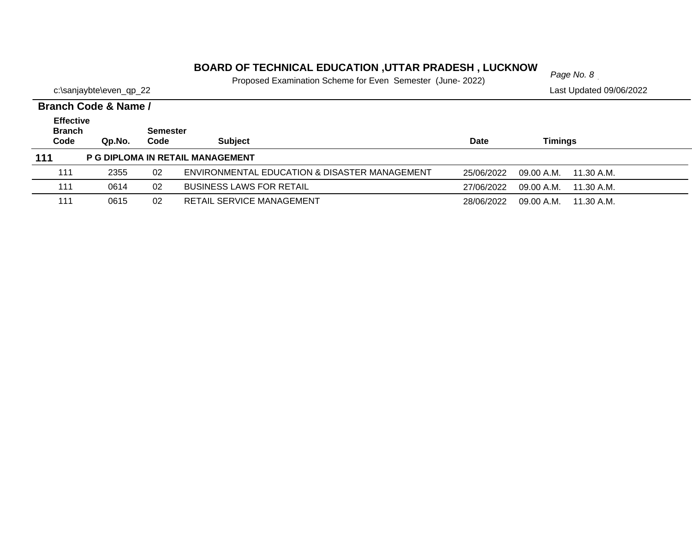# *Page No. 8* **BOARD OF TECHNICAL EDUCATION ,UTTAR PRADESH , LUCKNOW**

Proposed Examination Scheme for Even Semester (June- 2022)

c:\sanjaybte\even\_qp\_22

| Branch Code & Name /                      |        |                         |                                               |            |            |            |  |  |  |
|-------------------------------------------|--------|-------------------------|-----------------------------------------------|------------|------------|------------|--|--|--|
| <b>Effective</b><br><b>Branch</b><br>Code | Qp.No. | <b>Semester</b><br>Code | <b>Subject</b>                                | Date       | Timings    |            |  |  |  |
|                                           |        |                         |                                               |            |            |            |  |  |  |
| 111                                       |        |                         | P G DIPLOMA IN RETAIL MANAGEMENT              |            |            |            |  |  |  |
| 111                                       | 2355   | 02                      | ENVIRONMENTAL EDUCATION & DISASTER MANAGEMENT | 25/06/2022 | 09.00 A.M. | 11.30 A.M. |  |  |  |
| 111                                       | 0614   | 02                      | <b>BUSINESS LAWS FOR RETAIL</b>               | 27/06/2022 | 09.00 A.M. | 11.30 A.M. |  |  |  |
| 111                                       | 0615   | 02                      | RETAIL SERVICE MANAGEMENT                     | 28/06/2022 | 09.00 A.M. | 11.30 A.M. |  |  |  |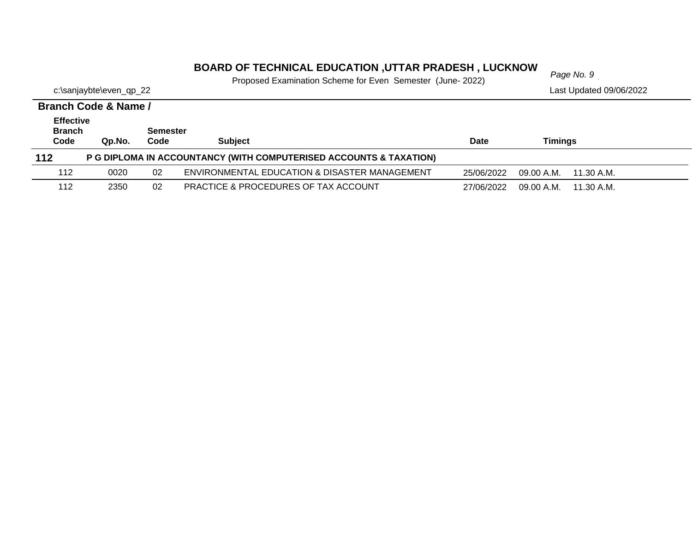#### *Page No. 9* **BOARD OF TECHNICAL EDUCATION ,UTTAR PRADESH , LUCKNOW**

Proposed Examination Scheme for Even Semester (June- 2022)

|                       | Branch Code & Name / |                         |                                                                    |             |                          |  |
|-----------------------|----------------------|-------------------------|--------------------------------------------------------------------|-------------|--------------------------|--|
| <b>Effective</b>      |                      |                         |                                                                    |             |                          |  |
| <b>Branch</b><br>Code | Qp.No.               | <b>Semester</b><br>Code | <b>Subject</b>                                                     | <b>Date</b> | Timings                  |  |
| $112$                 |                      |                         | P G DIPLOMA IN ACCOUNTANCY (WITH COMPUTERISED ACCOUNTS & TAXATION) |             |                          |  |
| 112                   | 0020                 | 02                      | ENVIRONMENTAL EDUCATION & DISASTER MANAGEMENT                      | 25/06/2022  | 09.00 A.M.<br>11.30 A.M. |  |
| 112                   | 2350                 | 02                      | <b>PRACTICE &amp; PROCEDURES OF TAX ACCOUNT</b>                    | 27/06/2022  | 09.00 A.M.<br>11.30 A.M. |  |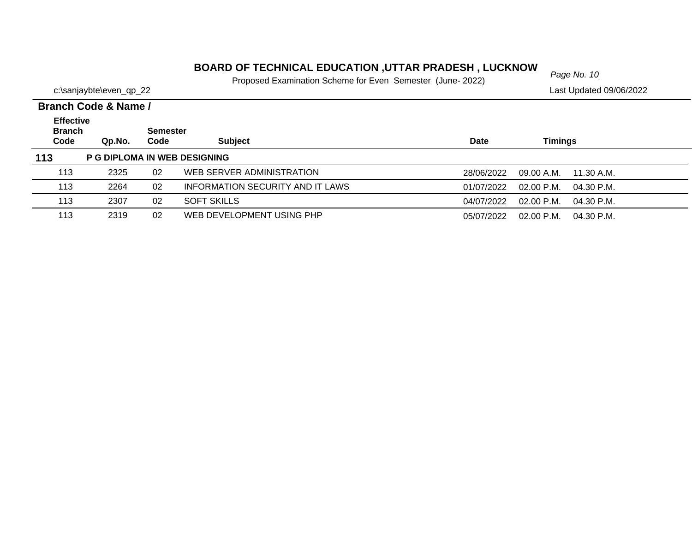#### *Page No. 10* **BOARD OF TECHNICAL EDUCATION ,UTTAR PRADESH , LUCKNOW**

Proposed Examination Scheme for Even Semester (June- 2022)

|                         | Proposed Examination Scriente for Even Semester (June-Z022) |                         |  |
|-------------------------|-------------------------------------------------------------|-------------------------|--|
| c:\sanjaybte\even_qp_22 |                                                             | Last Updated 09/06/2022 |  |

|  | _ _ _                |  |
|--|----------------------|--|
|  | Rranch Code & Name / |  |

|                                           | <u>Dialiuli Cuut &amp; Nallit /</u> |                         |                                         |                                          |  |
|-------------------------------------------|-------------------------------------|-------------------------|-----------------------------------------|------------------------------------------|--|
| <b>Effective</b><br><b>Branch</b><br>Code | Qp.No.                              | <b>Semester</b><br>Code | <b>Subject</b>                          | Timings<br><b>Date</b>                   |  |
| 113                                       |                                     |                         | <b>P G DIPLOMA IN WEB DESIGNING</b>     |                                          |  |
| 113                                       | 2325                                | 02                      | WEB SERVER ADMINISTRATION               | 28/06/2022<br>09.00 A.M.<br>11.30 A.M.   |  |
| 113                                       | 2264                                | 02                      | <b>INFORMATION SECURITY AND IT LAWS</b> | $02.00$ P.M.<br>01/07/2022<br>04.30 P.M. |  |
| 113                                       | 2307                                | 02                      | <b>SOFT SKILLS</b>                      | 04/07/2022<br>$02.00$ P.M.<br>04.30 P.M. |  |
| 113                                       | 2319                                | 02                      | WEB DEVELOPMENT USING PHP               | 05/07/2022<br>02.00 P.M.<br>04.30 P.M.   |  |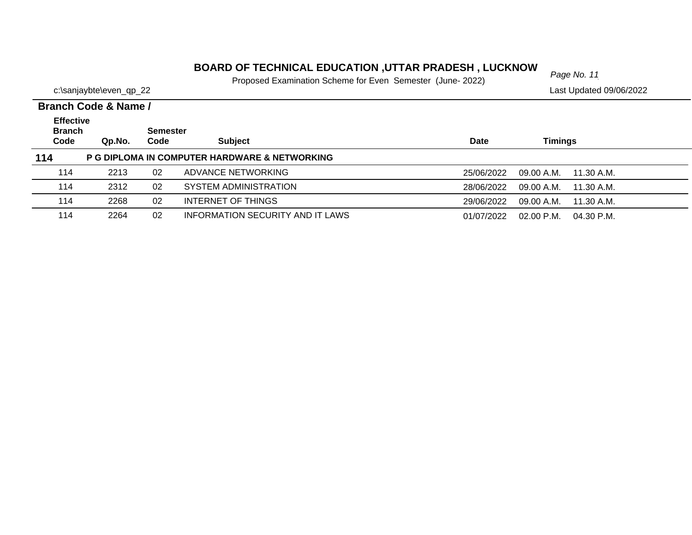# *Page No. 11* **BOARD OF TECHNICAL EDUCATION ,UTTAR PRADESH , LUCKNOW**

Proposed Examination Scheme for Even Semester (June- 2022)

|                         | I TOPOSCO EXAMINIANON OCHONO TOI EVON OCHICSICI TUGHO ZUZZI |                         |
|-------------------------|-------------------------------------------------------------|-------------------------|
| c:\sanjaybte\even_qp_22 |                                                             | Last Updated 09/06/2022 |

|                                           | Branch Code & Name / |                         |                                               |            |                          |  |
|-------------------------------------------|----------------------|-------------------------|-----------------------------------------------|------------|--------------------------|--|
| <b>Effective</b><br><b>Branch</b><br>Code | Qp.No.               | <b>Semester</b><br>Code | <b>Subject</b>                                | Date       | Timings                  |  |
| 114                                       |                      |                         | P G DIPLOMA IN COMPUTER HARDWARE & NETWORKING |            |                          |  |
| 114                                       | 2213                 | 02                      | ADVANCE NETWORKING                            | 25/06/2022 | 09.00 A.M.<br>11.30 A.M. |  |
| 114                                       | 2312                 | 02                      | SYSTEM ADMINISTRATION                         | 28/06/2022 | 09.00 A.M.<br>11.30 A.M. |  |
| 114                                       | 2268                 | 02                      | INTERNET OF THINGS                            | 29/06/2022 | 09.00 A.M.<br>11.30 A.M. |  |
| 114                                       | 2264                 | 02                      | <b>INFORMATION SECURITY AND IT LAWS</b>       | 01/07/2022 | 02.00 P.M.<br>04.30 P.M. |  |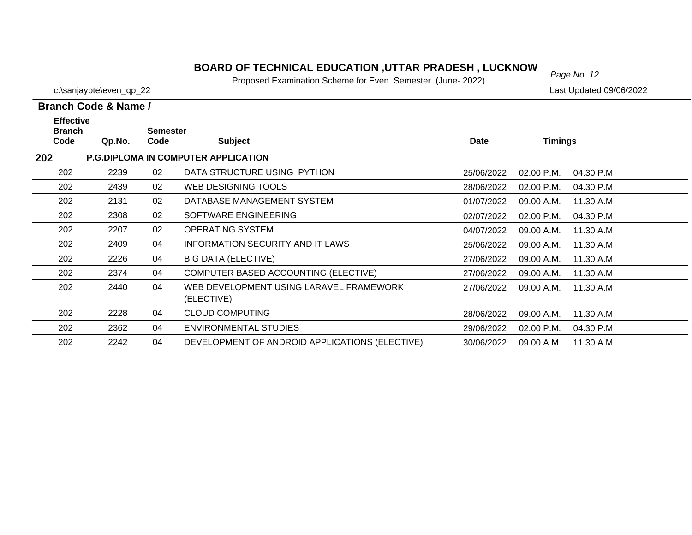#### **BOARD OF TECHNICAL EDUCATION ,UTTAR PRADESH , LUCKNOW**<br>Page No. 12

Proposed Examination Scheme for Even Semester (June- 2022)

**Branch Code & Name /**

| <b>Effective</b><br><b>Branch</b><br>Code | Qp.No. | <b>Semester</b><br>Code | <b>Subject</b>                             | <b>Date</b> | <b>Timings</b>                                                        |  |
|-------------------------------------------|--------|-------------------------|--------------------------------------------|-------------|-----------------------------------------------------------------------|--|
|                                           |        |                         | <b>P.G.DIPLOMA IN COMPUTER APPLICATION</b> |             |                                                                       |  |
| 202                                       | 2239   | 02                      | DATA STRUCTURE USING PYTHON                | 25/06/2022  | $02.00$ P.M.                                                          |  |
| 202                                       | 2439   | 02                      | WEB DESIGNING TOOLS                        | 28/06/2022  | $02.00$ P.M.                                                          |  |
| 202                                       | 2131   | 02                      | DATABASE MANAGEMENT SYSTEM                 | 01/07/2022  | 09.00 A.M.                                                            |  |
| 202                                       | 2308   | 02                      | SOFTWARE ENGINEERING                       | 02/07/2022  | $02.00$ P.M.                                                          |  |
| 202                                       | 2207   | በጋ                      | OPERATING SYSTEM                           | 01/07/2022  | $\bigcap$ $\bigcap$ $\bigcap$ $\bigcap$ $\bigcap$ $\bigcap$ $\bigcap$ |  |

| 202 | <b>P.G.DIPLOMA IN COMPUTER APPLICATION</b> |    |                                                       |            |              |            |  |  |
|-----|--------------------------------------------|----|-------------------------------------------------------|------------|--------------|------------|--|--|
| 202 | 2239                                       | 02 | DATA STRUCTURE USING PYTHON                           | 25/06/2022 | 02.00 P.M.   | 04.30 P.M. |  |  |
| 202 | 2439                                       | 02 | WEB DESIGNING TOOLS                                   | 28/06/2022 | $02.00$ P.M. | 04.30 P.M. |  |  |
| 202 | 2131                                       | 02 | DATABASE MANAGEMENT SYSTEM                            | 01/07/2022 | 09.00 A.M.   | 11.30 A.M. |  |  |
| 202 | 2308                                       | 02 | SOFTWARE ENGINEERING                                  | 02/07/2022 | 02.00 P.M.   | 04.30 P.M. |  |  |
| 202 | 2207                                       | 02 | <b>OPERATING SYSTEM</b>                               | 04/07/2022 | 09.00 A.M.   | 11.30 A.M. |  |  |
| 202 | 2409                                       | 04 | <b>INFORMATION SECURITY AND IT LAWS</b>               | 25/06/2022 | 09.00 A.M.   | 11.30 A.M. |  |  |
| 202 | 2226                                       | 04 | <b>BIG DATA (ELECTIVE)</b>                            | 27/06/2022 | 09.00 A.M.   | 11.30 A.M. |  |  |
| 202 | 2374                                       | 04 | COMPUTER BASED ACCOUNTING (ELECTIVE)                  | 27/06/2022 | 09.00 A.M.   | 11.30 A.M. |  |  |
| 202 | 2440                                       | 04 | WEB DEVELOPMENT USING LARAVEL FRAMEWORK<br>(ELECTIVE) | 27/06/2022 | 09.00 A.M.   | 11.30 A.M. |  |  |
| 202 | 2228                                       | 04 | <b>CLOUD COMPUTING</b>                                | 28/06/2022 | 09.00 A.M.   | 11.30 A.M. |  |  |
| 202 | 2362                                       | 04 | <b>ENVIRONMENTAL STUDIES</b>                          | 29/06/2022 | 02.00 P.M.   | 04.30 P.M. |  |  |
| 202 | 2242                                       | 04 | DEVELOPMENT OF ANDROID APPLICATIONS (ELECTIVE)        | 30/06/2022 | 09.00 A.M.   | 11.30 A.M. |  |  |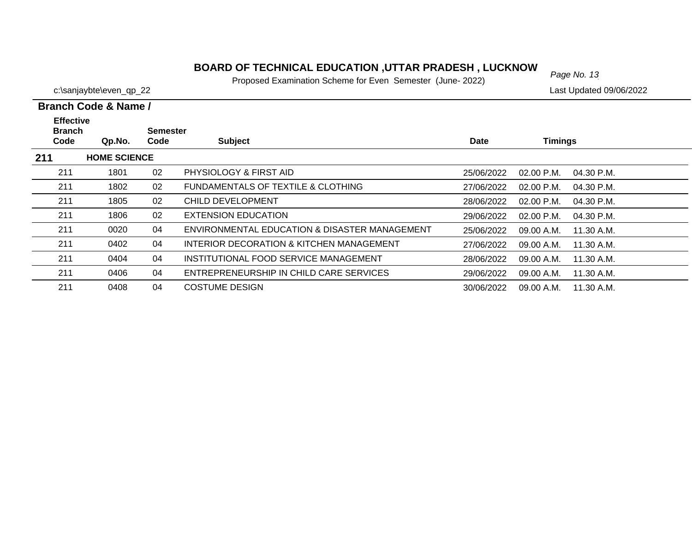#### **BOARD OF TECHNICAL EDUCATION ,UTTAR PRADESH , LUCKNOW** Page No. 13

Proposed Examination Scheme for Even Semester (June- 2022)

28/06/2022 09.00 A.M.

29/06/2022 09.00 A.M.

30/06/2022 09.00 A.M. 11.30 A.M.

**211**

211

211

211

c:\sanjaybte\even\_qp\_22 Last Updated 09/06/2022

11.30 A.M.

11.30 A.M.

|                                           | Branch Code & Name / |                         |                                               |             |              |              |
|-------------------------------------------|----------------------|-------------------------|-----------------------------------------------|-------------|--------------|--------------|
| <b>Effective</b><br><b>Branch</b><br>Code | Qp.No.               | <b>Semester</b><br>Code | <b>Subject</b>                                | <b>Date</b> | Timings      |              |
| 211                                       | <b>HOME SCIENCE</b>  |                         |                                               |             |              |              |
| 211                                       | 1801                 | 02                      | PHYSIOLOGY & FIRST AID                        | 25/06/2022  | $02.00$ P.M. | 04.30 P.M.   |
| 211                                       | 1802                 | 02                      | FUNDAMENTALS OF TEXTILE & CLOTHING            | 27/06/2022  | $02.00$ P.M. | $04.30$ P.M. |
| 211                                       | 1805                 | 02                      | CHILD DEVELOPMENT                             | 28/06/2022  | $02.00$ P.M. | 04.30 P.M.   |
| 211                                       | 1806                 | 02                      | <b>EXTENSION EDUCATION</b>                    | 29/06/2022  | $02.00$ P.M. | $04.30$ P.M. |
| 211                                       | 0020                 | 04                      | ENVIRONMENTAL EDUCATION & DISASTER MANAGEMENT | 25/06/2022  | 09.00 A.M.   | 11.30 A.M.   |
| 211                                       | 0402                 | 04                      | INTERIOR DECORATION & KITCHEN MANAGEMENT      | 27/06/2022  | 09.00 A.M.   | 11.30 A.M.   |

0404 04 INSTITUTIONAL FOOD SERVICE MANAGEMENT

0408 04 COSTUME DESIGN

0406 04 ENTREPRENEURSHIP IN CHILD CARE SERVICES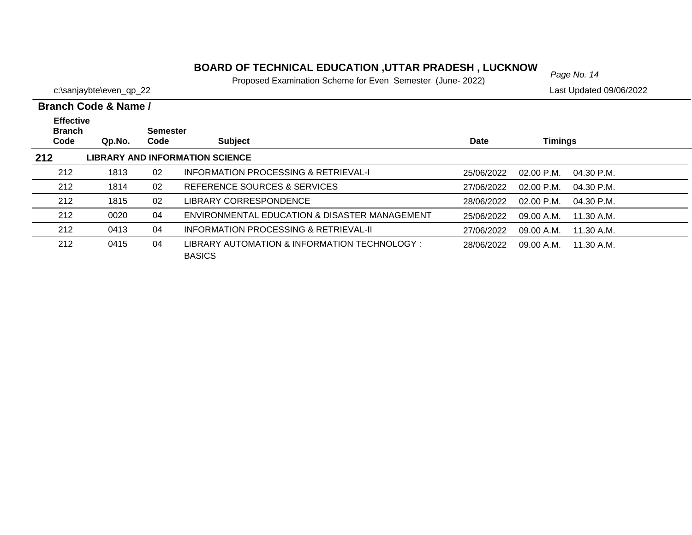#### *Page No. 14* **BOARD OF TECHNICAL EDUCATION ,UTTAR PRADESH , LUCKNOW**

Proposed Examination Scheme for Even Semester (June- 2022)

c:\sanjaybte\even\_qp\_22 Last Updated 09/06/2022

| <b>Effective</b><br><b>Branch</b> |        | <b>Semester</b> |                                                                |             |                                      |  |
|-----------------------------------|--------|-----------------|----------------------------------------------------------------|-------------|--------------------------------------|--|
| Code                              | Qp.No. | Code            | <b>Subject</b>                                                 | <b>Date</b> | <b>Timings</b>                       |  |
| 212                               |        |                 | <b>LIBRARY AND INFORMATION SCIENCE</b>                         |             |                                      |  |
| 212                               | 1813   | 02              | <b>INFORMATION PROCESSING &amp; RETRIEVAL-I</b>                | 25/06/2022  | $02.00 \text{ P.M.}$<br>04.30 P.M.   |  |
| 212                               | 1814   | 02              | REFERENCE SOURCES & SERVICES                                   | 27/06/2022  | $02.00 \text{ P.M.}$<br>$04.30$ P.M. |  |
| 212                               | 1815   | 02              | LIBRARY CORRESPONDENCE                                         | 28/06/2022  | 02.00 P.M.<br>$04.30$ P.M.           |  |
| 212                               | 0020   | 04              | ENVIRONMENTAL EDUCATION & DISASTER MANAGEMENT                  | 25/06/2022  | 09.00 A.M.<br>11.30 A.M.             |  |
| 212                               | 0413   | 04              | INFORMATION PROCESSING & RETRIEVAL-II                          | 27/06/2022  | 09.00 A.M.<br>11.30 A.M.             |  |
| 212                               | 0415   | 04              | LIBRARY AUTOMATION & INFORMATION TECHNOLOGY :<br><b>BASICS</b> | 28/06/2022  | 11.30 A.M.<br>09.00 A.M.             |  |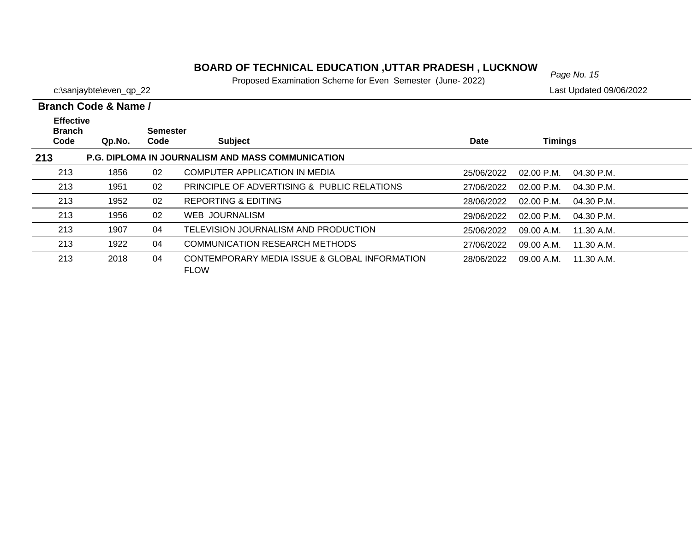#### *Page No. 15* **BOARD OF TECHNICAL EDUCATION ,UTTAR PRADESH , LUCKNOW**

Proposed Examination Scheme for Even Semester (June- 2022)

c:\sanjaybte\even\_qp\_22 Last Updated 09/06/2022

| <b>Effective</b><br><b>Branch</b> |        | Semester |                                                              |            |                              |  |
|-----------------------------------|--------|----------|--------------------------------------------------------------|------------|------------------------------|--|
| Code                              | Qp.No. | Code     | <b>Subject</b>                                               | Date       | <b>Timings</b>               |  |
| 213                               |        |          | <b>P.G. DIPLOMA IN JOURNALISM AND MASS COMMUNICATION</b>     |            |                              |  |
| 213                               | 1856   | 02       | <b>COMPUTER APPLICATION IN MEDIA</b>                         | 25/06/2022 | $02.00$ P.M.<br>04.30 P.M.   |  |
| 213                               | 1951   | 02       | PRINCIPLE OF ADVERTISING & PUBLIC RELATIONS                  | 27/06/2022 | $02.00$ P.M.<br>$04.30$ P.M. |  |
| 213                               | 1952   | 02       | REPORTING & EDITING                                          | 28/06/2022 | $02.00$ P.M.<br>$04.30$ P.M. |  |
| 213                               | 1956   | 02       | WEB JOURNALISM                                               | 29/06/2022 | $02.00$ P.M.<br>$04.30$ P.M. |  |
| 213                               | 1907   | 04       | TELEVISION JOURNALISM AND PRODUCTION                         | 25/06/2022 | 09.00 A.M.<br>11.30 A.M.     |  |
| 213                               | 1922   | 04       | <b>COMMUNICATION RESEARCH METHODS</b>                        | 27/06/2022 | 11.30 A.M.<br>09.00 A.M.     |  |
| 213                               | 2018   | 04       | CONTEMPORARY MEDIA ISSUE & GLOBAL INFORMATION<br><b>FLOW</b> | 28/06/2022 | 09.00 A.M.<br>11.30 A.M.     |  |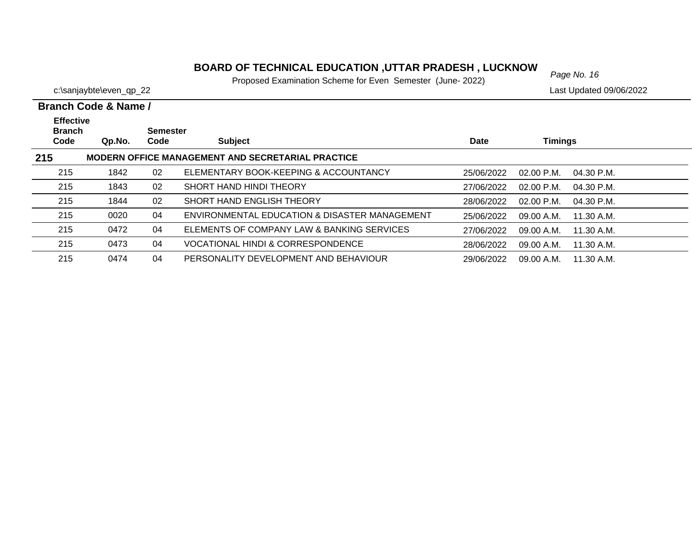#### *Page No. 16* **BOARD OF TECHNICAL EDUCATION ,UTTAR PRADESH , LUCKNOW**

Proposed Examination Scheme for Even Semester (June- 2022)

c:\sanjaybte\even\_qp\_22 Last Updated 09/06/2022

| <b>Effective</b><br><b>Branch</b><br>Code | Qp.No. | Semester<br>Code | <b>Subject</b>                                           | Date       | Timings                      |  |
|-------------------------------------------|--------|------------------|----------------------------------------------------------|------------|------------------------------|--|
| 215                                       |        |                  | <b>MODERN OFFICE MANAGEMENT AND SECRETARIAL PRACTICE</b> |            |                              |  |
| 215                                       | 1842   | 02               | ELEMENTARY BOOK-KEEPING & ACCOUNTANCY                    | 25/06/2022 | $02.00$ P.M.<br>$04.30$ P.M. |  |
| 215                                       | 1843   | 02               | SHORT HAND HINDI THEORY                                  | 27/06/2022 | $02.00$ P.M.<br>$04.30$ P.M. |  |
| 215                                       | 1844   | 02               | SHORT HAND ENGLISH THEORY                                | 28/06/2022 | $02.00$ P.M.<br>$04.30$ P.M. |  |
| 215                                       | 0020   | 04               | ENVIRONMENTAL EDUCATION & DISASTER MANAGEMENT            | 25/06/2022 | 09.00 A.M.<br>11.30 A.M.     |  |
| 215                                       | 0472   | 04               | ELEMENTS OF COMPANY LAW & BANKING SERVICES               | 27/06/2022 | 09.00 A.M.<br>11.30 A.M.     |  |
| 215                                       | 0473   | 04               | <b>VOCATIONAL HINDI &amp; CORRESPONDENCE</b>             | 28/06/2022 | 09.00 A.M.<br>11.30 A.M.     |  |
| 215                                       | 0474   | 04               | PERSONALITY DEVELOPMENT AND BEHAVIOUR                    | 29/06/2022 | 09.00 A.M.<br>11.30 A.M.     |  |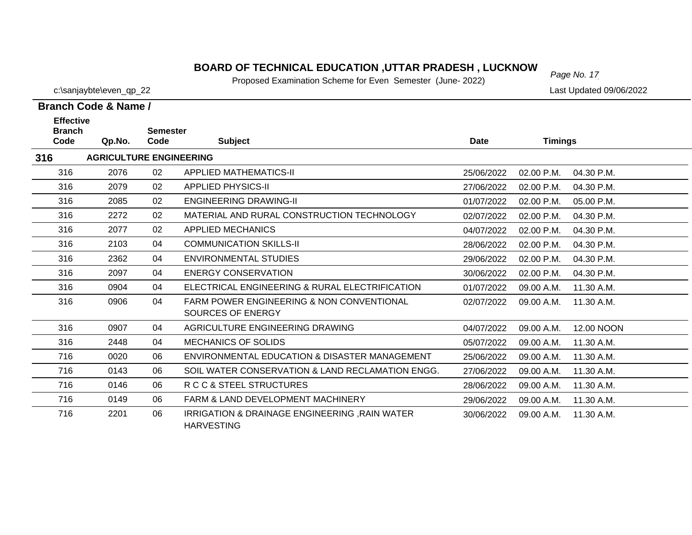#### **BOARD OF TECHNICAL EDUCATION ,UTTAR PRADESH , LUCKNOW**

Proposed Examination Scheme for Even Semester (June- 2022)

**Branch Code & Name /**

**316**

716

| c:\sanjaybte\even_qp_22 |  |  | Last Updated 09/06/2022 |
|-------------------------|--|--|-------------------------|
|                         |  |  |                         |

| <b>Effective</b><br><b>Branch</b> |                                | <b>Semester</b> |                                                      |             |                |            |
|-----------------------------------|--------------------------------|-----------------|------------------------------------------------------|-------------|----------------|------------|
| Code                              | Qp.No.                         | Code            | <b>Subject</b>                                       | <b>Date</b> | <b>Timings</b> |            |
| 6                                 | <b>AGRICULTURE ENGINEERING</b> |                 |                                                      |             |                |            |
| 316                               | 2076                           | 02              | <b>APPLIED MATHEMATICS-II</b>                        | 25/06/2022  | 02.00 P.M.     | 04.30 P.M. |
| 316                               | 2079                           | 02              | <b>APPLIED PHYSICS-II</b>                            | 27/06/2022  | 02.00 P.M.     | 04.30 P.M. |
| 316                               | 2085                           | 02              | <b>ENGINEERING DRAWING-II</b>                        | 01/07/2022  | 02.00 P.M.     | 05.00 P.M. |
| 316                               | 2272                           | 02              | MATERIAL AND RURAL CONSTRUCTION TECHNOLOGY           | 02/07/2022  | 02.00 P.M.     | 04.30 P.M. |
| 316                               | 2077                           | 02              | <b>APPLIED MECHANICS</b>                             | 04/07/2022  | 02.00 P.M.     | 04.30 P.M. |
| 316                               | 2103                           | 04              | <b>COMMUNICATION SKILLS-II</b>                       | 28/06/2022  | 02.00 P.M.     | 04.30 P.M. |
| 316                               | 2362                           | 04              | <b>ENVIRONMENTAL STUDIES</b>                         | 29/06/2022  | 02.00 P.M.     | 04.30 P.M. |
| 316                               | 2097                           | 04              | <b>ENERGY CONSERVATION</b>                           | 30/06/2022  | 02.00 P.M.     | 04.30 P.M. |
| 316                               | 0904                           | 04              | ELECTRICAL ENGINEERING & RURAL ELECTRIFICATION       | 01/07/2022  | 09.00 A.M.     | 11.30 A.M. |
| 316                               | 0906                           | 04              | <b>FARM POWER ENGINEERING &amp; NON CONVENTIONAL</b> | 02/07/2022  | 09.00 A.M.     | 11.30 A.M. |
|                                   |                                |                 | SOURCES OF ENERGY                                    |             |                |            |
| 316                               | 0907                           | 04              | AGRICULTURE ENGINEERING DRAWING                      | 04/07/2022  | 09.00 A.M.     | 12.00 NOON |
| 316                               | 2448                           | 04              | <b>MECHANICS OF SOLIDS</b>                           | 05/07/2022  | 09.00 A.M.     | 11.30 A.M. |
| 716                               | 0020                           | 06              | ENVIRONMENTAL EDUCATION & DISASTER MANAGEMENT        | 25/06/2022  | 09.00 A.M.     | 11.30 A.M. |
| 716                               | 0143                           | 06              | SOIL WATER CONSERVATION & LAND RECLAMATION ENGG.     | 27/06/2022  | 09.00 A.M.     | 11.30 A.M. |
| 716                               | 0146                           | 06              | R C C & STEEL STRUCTURES                             | 28/06/2022  | 09.00 A.M.     | 11.30 A.M. |
| 716                               | 0149                           | 06              | <b>FARM &amp; LAND DEVELOPMENT MACHINERY</b>         | 29/06/2022  | 09.00 A.M.     | 11.30 A.M. |

06 IRRIGATION & DRAINAGE ENGINEERING ,RAIN WATER 2201 30/06/2022 09.00 A.M. 11.30 A.M.HARVESTING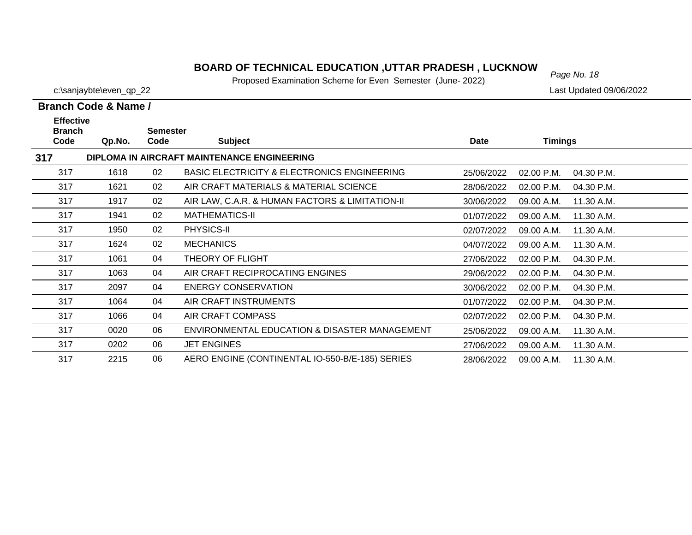#### **BOARD OF TECHNICAL EDUCATION ,UTTAR PRADESH , LUCKNOW**<br>Page No. 18

Proposed Examination Scheme for Even Semester (June- 2022)

|                                   | Branch Code & Name / |                 |                                                        |            |            |            |  |
|-----------------------------------|----------------------|-----------------|--------------------------------------------------------|------------|------------|------------|--|
| <b>Effective</b><br><b>Branch</b> |                      | <b>Semester</b> |                                                        |            |            |            |  |
| Code                              | Qp.No.               | Code            | <b>Subject</b>                                         | Date       | Timings    |            |  |
| 317                               |                      |                 | DIPLOMA IN AIRCRAFT MAINTENANCE ENGINEERING            |            |            |            |  |
| 317                               | 1618                 | 02              | <b>BASIC ELECTRICITY &amp; ELECTRONICS ENGINEERING</b> | 25/06/2022 | 02.00 P.M. | 04.30 P.M. |  |
| 317                               | 1621                 | 02              | AIR CRAFT MATERIALS & MATERIAL SCIENCE                 | 28/06/2022 | 02.00 P.M. | 04.30 P.M. |  |
| 317                               | 1917                 | 02              | AIR LAW, C.A.R. & HUMAN FACTORS & LIMITATION-II        | 30/06/2022 | 09.00 A.M. | 11.30 A.M. |  |
| 317                               | 1941                 | 02              | <b>MATHEMATICS-II</b>                                  | 01/07/2022 | 09.00 A.M. | 11.30 A.M. |  |
| 317                               | 1950                 | 02              | PHYSICS-II                                             | 02/07/2022 | 09.00 A.M. | 11.30 A.M. |  |
| 317                               | 1624                 | 02              | <b>MECHANICS</b>                                       | 04/07/2022 | 09.00 A.M. | 11.30 A.M. |  |
| 317                               | 1061                 | 04              | THEORY OF FLIGHT                                       | 27/06/2022 | 02.00 P.M. | 04.30 P.M. |  |
| 317                               | 1063                 | 04              | AIR CRAFT RECIPROCATING ENGINES                        | 29/06/2022 | 02.00 P.M. | 04.30 P.M. |  |
| 317                               | 2097                 | 04              | <b>ENERGY CONSERVATION</b>                             | 30/06/2022 | 02.00 P.M. | 04.30 P.M. |  |
| 317                               | 1064                 | 04              | AIR CRAFT INSTRUMENTS                                  | 01/07/2022 | 02.00 P.M. | 04.30 P.M. |  |
| 317                               | 1066                 | 04              | AIR CRAFT COMPASS                                      | 02/07/2022 | 02.00 P.M. | 04.30 P.M. |  |
| 317                               | 0020                 | 06              | ENVIRONMENTAL EDUCATION & DISASTER MANAGEMENT          | 25/06/2022 | 09.00 A.M. | 11.30 A.M. |  |
| 317                               | 0202                 | 06              | <b>JET ENGINES</b>                                     | 27/06/2022 | 09.00 A.M. | 11.30 A.M. |  |
| 317                               | 2215                 | 06              | AERO ENGINE (CONTINENTAL IO-550-B/E-185) SERIES        | 28/06/2022 | 09.00 A.M. | 11.30 A.M. |  |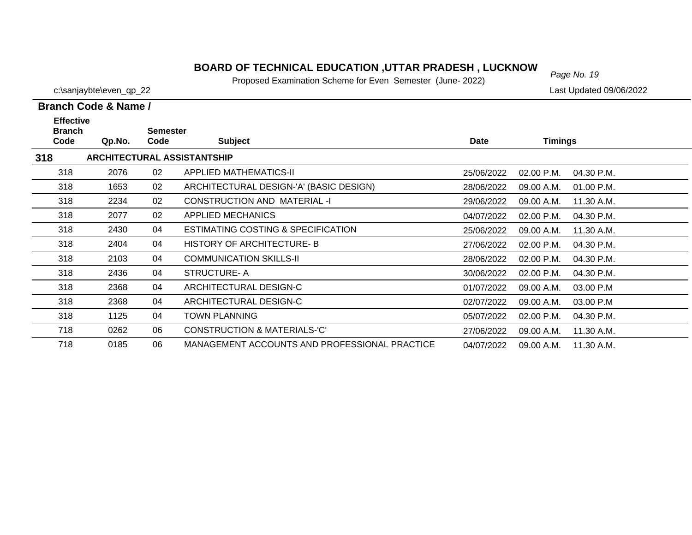#### *Page No. 19* **BOARD OF TECHNICAL EDUCATION ,UTTAR PRADESH , LUCKNOW**

Proposed Examination Scheme for Even Semester (June- 2022)

c:\sanjaybte\even\_qp\_22 Last Updated 09/06/2022

| <b>Effective</b><br><b>Branch</b> |        | <b>Semester</b> |                                               |            |                |            |
|-----------------------------------|--------|-----------------|-----------------------------------------------|------------|----------------|------------|
| Code                              | Qp.No. | Code            | <b>Subject</b>                                | Date       | <b>Timings</b> |            |
| 318                               |        |                 | <b>ARCHITECTURAL ASSISTANTSHIP</b>            |            |                |            |
| 318                               | 2076   | 02              | APPLIED MATHEMATICS-II                        | 25/06/2022 | 02.00 P.M.     | 04.30 P.M. |
| 318                               | 1653   | 02              | ARCHITECTURAL DESIGN-'A' (BASIC DESIGN)       | 28/06/2022 | 09.00 A.M.     | 01.00 P.M. |
| 318                               | 2234   | 02              | CONSTRUCTION AND MATERIAL -I                  | 29/06/2022 | 09.00 A.M.     | 11.30 A.M. |
| 318                               | 2077   | 02              | APPLIED MECHANICS                             | 04/07/2022 | 02.00 P.M.     | 04.30 P.M. |
| 318                               | 2430   | 04              | ESTIMATING COSTING & SPECIFICATION            | 25/06/2022 | 09.00 A.M.     | 11.30 A.M. |
| 318                               | 2404   | 04              | <b>HISTORY OF ARCHITECTURE-B</b>              | 27/06/2022 | $02.00$ P.M.   | 04.30 P.M. |
| 318                               | 2103   | 04              | <b>COMMUNICATION SKILLS-II</b>                | 28/06/2022 | 02.00 P.M.     | 04.30 P.M. |
| 318                               | 2436   | 04              | <b>STRUCTURE-A</b>                            | 30/06/2022 | 02.00 P.M.     | 04.30 P.M. |
| 318                               | 2368   | 04              | ARCHITECTURAL DESIGN-C                        | 01/07/2022 | 09.00 A.M.     | 03.00 P.M  |
| 318                               | 2368   | 04              | ARCHITECTURAL DESIGN-C                        | 02/07/2022 | 09.00 A.M.     | 03.00 P.M  |
| 318                               | 1125   | 04              | <b>TOWN PLANNING</b>                          | 05/07/2022 | 02.00 P.M.     | 04.30 P.M. |
| 718                               | 0262   | 06              | CONSTRUCTION & MATERIALS-'C'                  | 27/06/2022 | 09.00 A.M.     | 11.30 A.M. |
| 718                               | 0185   | 06              | MANAGEMENT ACCOUNTS AND PROFESSIONAL PRACTICE | 04/07/2022 | 09.00 A.M.     | 11.30 A.M. |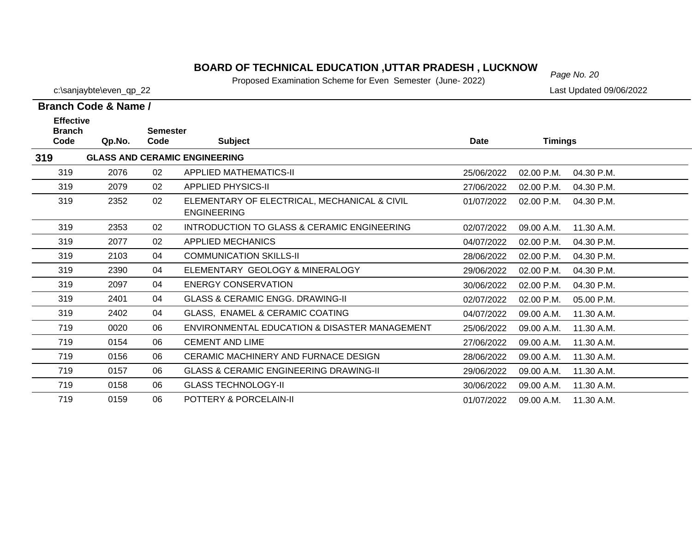#### *Page No. 20* **BOARD OF TECHNICAL EDUCATION ,UTTAR PRADESH , LUCKNOW**

Proposed Examination Scheme for Even Semester (June- 2022)

| Branch Code & Name /                                 |        |      |                                                                    |             |                |            |  |  |  |
|------------------------------------------------------|--------|------|--------------------------------------------------------------------|-------------|----------------|------------|--|--|--|
| <b>Effective</b><br><b>Branch</b><br><b>Semester</b> |        |      |                                                                    |             |                |            |  |  |  |
| Code                                                 | Qp.No. | Code | <b>Subject</b>                                                     | <b>Date</b> | <b>Timings</b> |            |  |  |  |
| 319                                                  |        |      | <b>GLASS AND CERAMIC ENGINEERING</b>                               |             |                |            |  |  |  |
| 319                                                  | 2076   | 02   | <b>APPLIED MATHEMATICS-II</b>                                      | 25/06/2022  | 02.00 P.M.     | 04.30 P.M. |  |  |  |
| 319                                                  | 2079   | 02   | <b>APPLIED PHYSICS-II</b>                                          | 27/06/2022  | 02.00 P.M.     | 04.30 P.M. |  |  |  |
| 319                                                  | 2352   | 02   | ELEMENTARY OF ELECTRICAL, MECHANICAL & CIVIL<br><b>ENGINEERING</b> | 01/07/2022  | 02.00 P.M.     | 04.30 P.M. |  |  |  |
| 319                                                  | 2353   | 02   | INTRODUCTION TO GLASS & CERAMIC ENGINEERING                        | 02/07/2022  | 09.00 A.M.     | 11.30 A.M. |  |  |  |
| 319                                                  | 2077   | 02   | <b>APPLIED MECHANICS</b>                                           | 04/07/2022  | 02.00 P.M.     | 04.30 P.M. |  |  |  |
| 319                                                  | 2103   | 04   | <b>COMMUNICATION SKILLS-II</b>                                     | 28/06/2022  | 02.00 P.M.     | 04.30 P.M. |  |  |  |
| 319                                                  | 2390   | 04   | ELEMENTARY GEOLOGY & MINERALOGY                                    | 29/06/2022  | $02.00$ P.M.   | 04.30 P.M. |  |  |  |
| 319                                                  | 2097   | 04   | <b>ENERGY CONSERVATION</b>                                         | 30/06/2022  | 02.00 P.M.     | 04.30 P.M. |  |  |  |
| 319                                                  | 2401   | 04   | <b>GLASS &amp; CERAMIC ENGG. DRAWING-II</b>                        | 02/07/2022  | 02.00 P.M.     | 05.00 P.M. |  |  |  |
| 319                                                  | 2402   | 04   | GLASS, ENAMEL & CERAMIC COATING                                    | 04/07/2022  | 09.00 A.M.     | 11.30 A.M. |  |  |  |
| 719                                                  | 0020   | 06   | ENVIRONMENTAL EDUCATION & DISASTER MANAGEMENT                      | 25/06/2022  | 09.00 A.M.     | 11.30 A.M. |  |  |  |
| 719                                                  | 0154   | 06   | <b>CEMENT AND LIME</b>                                             | 27/06/2022  | 09.00 A.M.     | 11.30 A.M. |  |  |  |
| 719                                                  | 0156   | 06   | CERAMIC MACHINERY AND FURNACE DESIGN                               | 28/06/2022  | 09.00 A.M.     | 11.30 A.M. |  |  |  |
| 719                                                  | 0157   | 06   | <b>GLASS &amp; CERAMIC ENGINEERING DRAWING-II</b>                  | 29/06/2022  | 09.00 A.M.     | 11.30 A.M. |  |  |  |
| 719                                                  | 0158   | 06   | <b>GLASS TECHNOLOGY-II</b>                                         | 30/06/2022  | 09.00 A.M.     | 11.30 A.M. |  |  |  |
| 719                                                  | 0159   | 06   | POTTERY & PORCELAIN-II                                             | 01/07/2022  | 09.00 A.M.     | 11.30 A.M. |  |  |  |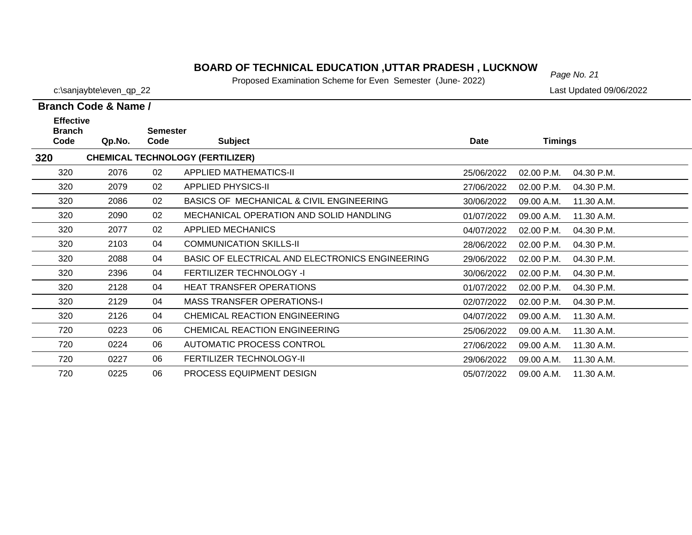#### *Page No. 21* **BOARD OF TECHNICAL EDUCATION ,UTTAR PRADESH , LUCKNOW**

Proposed Examination Scheme for Even Semester (June- 2022)

c:\sanjaybte\even\_qp\_22 Last Updated 09/06/2022

| <b>Effective</b><br><b>Branch</b> |        | <b>Semester</b> |                                                 |             |                |            |
|-----------------------------------|--------|-----------------|-------------------------------------------------|-------------|----------------|------------|
| Code                              | Qp.No. | Code            | <b>Subject</b>                                  | <b>Date</b> | <b>Timings</b> |            |
| 320                               |        |                 | <b>CHEMICAL TECHNOLOGY (FERTILIZER)</b>         |             |                |            |
| 320                               | 2076   | 02              | <b>APPLIED MATHEMATICS-II</b>                   | 25/06/2022  | 02.00 P.M.     | 04.30 P.M. |
| 320                               | 2079   | 02              | <b>APPLIED PHYSICS-II</b>                       | 27/06/2022  | 02.00 P.M.     | 04.30 P.M. |
| 320                               | 2086   | 02              | BASICS OF MECHANICAL & CIVIL ENGINEERING        | 30/06/2022  | 09.00 A.M.     | 11.30 A.M. |
| 320                               | 2090   | 02              | MECHANICAL OPERATION AND SOLID HANDLING         | 01/07/2022  | 09.00 A.M.     | 11.30 A.M. |
| 320                               | 2077   | 02              | APPLIED MECHANICS                               | 04/07/2022  | 02.00 P.M.     | 04.30 P.M. |
| 320                               | 2103   | 04              | <b>COMMUNICATION SKILLS-II</b>                  | 28/06/2022  | 02.00 P.M.     | 04.30 P.M. |
| 320                               | 2088   | 04              | BASIC OF ELECTRICAL AND ELECTRONICS ENGINEERING | 29/06/2022  | 02.00 P.M.     | 04.30 P.M. |
| 320                               | 2396   | 04              | FERTILIZER TECHNOLOGY -I                        | 30/06/2022  | 02.00 P.M.     | 04.30 P.M. |
| 320                               | 2128   | 04              | <b>HEAT TRANSFER OPERATIONS</b>                 | 01/07/2022  | 02.00 P.M.     | 04.30 P.M. |
| 320                               | 2129   | 04              | <b>MASS TRANSFER OPERATIONS-I</b>               | 02/07/2022  | 02.00 P.M.     | 04.30 P.M. |
| 320                               | 2126   | 04              | CHEMICAL REACTION ENGINEERING                   | 04/07/2022  | 09.00 A.M.     | 11.30 A.M. |
| 720                               | 0223   | 06              | CHEMICAL REACTION ENGINEERING                   | 25/06/2022  | 09.00 A.M.     | 11.30 A.M. |
| 720                               | 0224   | 06              | AUTOMATIC PROCESS CONTROL                       | 27/06/2022  | 09.00 A.M.     | 11.30 A.M. |
| 720                               | 0227   | 06              | <b>FERTILIZER TECHNOLOGY-II</b>                 | 29/06/2022  | 09.00 A.M.     | 11.30 A.M. |
| 720                               | 0225   | 06              | PROCESS EQUIPMENT DESIGN                        | 05/07/2022  | 09.00 A.M.     | 11.30 A.M. |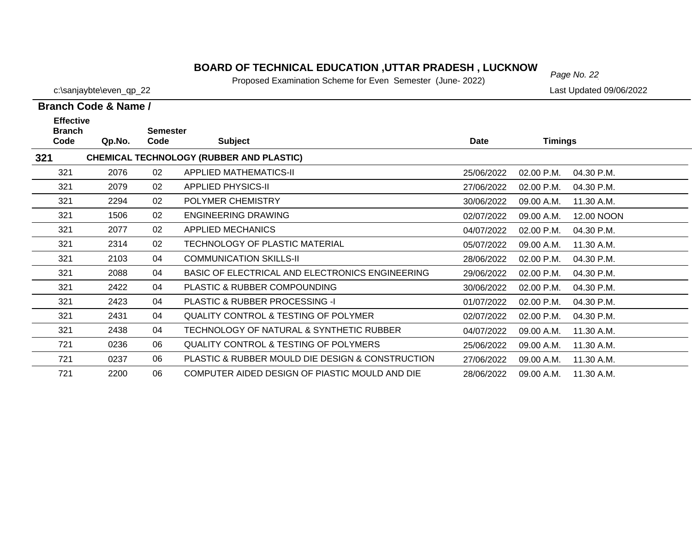#### *Page No. 22* **BOARD OF TECHNICAL EDUCATION ,UTTAR PRADESH , LUCKNOW**

Proposed Examination Scheme for Even Semester (June- 2022)

|                                           | Branch Code & Name / |                         |                                                  |             |                |            |
|-------------------------------------------|----------------------|-------------------------|--------------------------------------------------|-------------|----------------|------------|
| <b>Effective</b><br><b>Branch</b><br>Code | Qp.No.               | <b>Semester</b><br>Code | <b>Subject</b>                                   | <b>Date</b> | <b>Timings</b> |            |
| 321                                       |                      |                         | <b>CHEMICAL TECHNOLOGY (RUBBER AND PLASTIC)</b>  |             |                |            |
| 321                                       | 2076                 | 02                      | APPLIED MATHEMATICS-II                           | 25/06/2022  | 02.00 P.M.     | 04.30 P.M. |
| 321                                       | 2079                 | 02                      | <b>APPLIED PHYSICS-II</b>                        | 27/06/2022  | 02.00 P.M.     | 04.30 P.M. |
| 321                                       | 2294                 | 02                      | POLYMER CHEMISTRY                                | 30/06/2022  | 09.00 A.M.     | 11.30 A.M. |
| 321                                       | 1506                 | 02                      | <b>ENGINEERING DRAWING</b>                       | 02/07/2022  | 09.00 A.M.     | 12.00 NOON |
| 321                                       | 2077                 | 02                      | <b>APPLIED MECHANICS</b>                         | 04/07/2022  | 02.00 P.M.     | 04.30 P.M. |
| 321                                       | 2314                 | 02                      | TECHNOLOGY OF PLASTIC MATERIAL                   | 05/07/2022  | 09.00 A.M.     | 11.30 A.M. |
| 321                                       | 2103                 | 04                      | <b>COMMUNICATION SKILLS-II</b>                   | 28/06/2022  | 02.00 P.M.     | 04.30 P.M. |
| 321                                       | 2088                 | 04                      | BASIC OF ELECTRICAL AND ELECTRONICS ENGINEERING  | 29/06/2022  | 02.00 P.M.     | 04.30 P.M. |
| 321                                       | 2422                 | 04                      | PLASTIC & RUBBER COMPOUNDING                     | 30/06/2022  | 02.00 P.M.     | 04.30 P.M. |
| 321                                       | 2423                 | 04                      | PLASTIC & RUBBER PROCESSING -I                   | 01/07/2022  | 02.00 P.M.     | 04.30 P.M. |
| 321                                       | 2431                 | 04                      | QUALITY CONTROL & TESTING OF POLYMER             | 02/07/2022  | 02.00 P.M.     | 04.30 P.M. |
| 321                                       | 2438                 | 04                      | TECHNOLOGY OF NATURAL & SYNTHETIC RUBBER         | 04/07/2022  | 09.00 A.M.     | 11.30 A.M. |
| 721                                       | 0236                 | 06                      | <b>QUALITY CONTROL &amp; TESTING OF POLYMERS</b> | 25/06/2022  | 09.00 A.M.     | 11.30 A.M. |
| 721                                       | 0237                 | 06                      | PLASTIC & RUBBER MOULD DIE DESIGN & CONSTRUCTION | 27/06/2022  | 09.00 A.M.     | 11.30 A.M. |
| 721                                       | 2200                 | 06                      | COMPUTER AIDED DESIGN OF PIASTIC MOULD AND DIE   | 28/06/2022  | 09.00 A.M.     | 11.30 A.M. |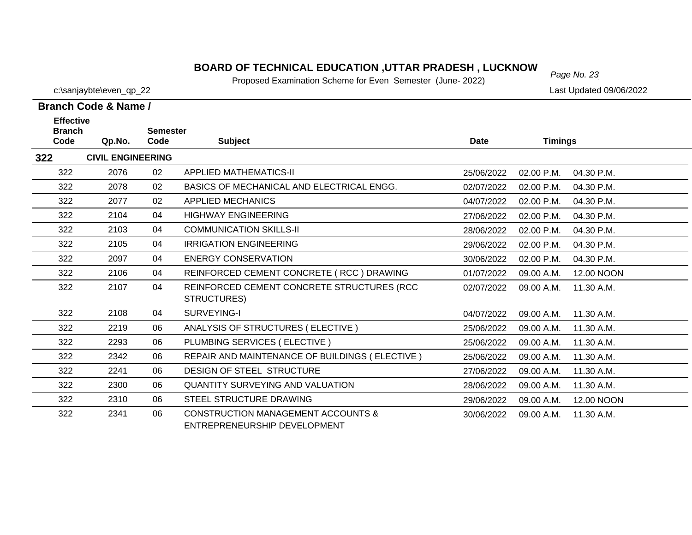#### *Page No. 23* **BOARD OF TECHNICAL EDUCATION ,UTTAR PRADESH , LUCKNOW**

Proposed Examination Scheme for Even Semester (June- 2022)

| c:\sanjaybte\even_qp_22 | Last Updated 09/06/2022 |
|-------------------------|-------------------------|
| anch Code & Name /      |                         |
| <b>Effoctive</b>        |                         |

| <b>Effective</b>      |                          |                         |                                                                               |             |                |            |
|-----------------------|--------------------------|-------------------------|-------------------------------------------------------------------------------|-------------|----------------|------------|
| <b>Branch</b><br>Code | Qp.No.                   | <b>Semester</b><br>Code | <b>Subject</b>                                                                | <b>Date</b> | <b>Timings</b> |            |
| 322                   | <b>CIVIL ENGINEERING</b> |                         |                                                                               |             |                |            |
| 322                   | 2076                     | 02                      | <b>APPLIED MATHEMATICS-II</b>                                                 | 25/06/2022  | 02.00 P.M.     | 04.30 P.M. |
| 322                   | 2078                     | 02                      | BASICS OF MECHANICAL AND ELECTRICAL ENGG.                                     | 02/07/2022  | 02.00 P.M.     | 04.30 P.M. |
| 322                   | 2077                     | 02                      | <b>APPLIED MECHANICS</b>                                                      | 04/07/2022  | 02.00 P.M.     | 04.30 P.M. |
| 322                   | 2104                     | 04                      | <b>HIGHWAY ENGINEERING</b>                                                    | 27/06/2022  | 02.00 P.M.     | 04.30 P.M. |
| 322                   | 2103                     | 04                      | <b>COMMUNICATION SKILLS-II</b>                                                | 28/06/2022  | 02.00 P.M.     | 04.30 P.M. |
| 322                   | 2105                     | 04                      | <b>IRRIGATION ENGINEERING</b>                                                 | 29/06/2022  | 02.00 P.M.     | 04.30 P.M. |
| 322                   | 2097                     | 04                      | <b>ENERGY CONSERVATION</b>                                                    | 30/06/2022  | 02.00 P.M.     | 04.30 P.M. |
| 322                   | 2106                     | 04                      | REINFORCED CEMENT CONCRETE (RCC) DRAWING                                      | 01/07/2022  | 09.00 A.M.     | 12.00 NOON |
| 322                   | 2107                     | 04                      | REINFORCED CEMENT CONCRETE STRUCTURES (RCC<br>STRUCTURES)                     | 02/07/2022  | 09.00 A.M.     | 11.30 A.M. |
| 322                   | 2108                     | 04                      | SURVEYING-I                                                                   | 04/07/2022  | 09.00 A.M.     | 11.30 A.M. |
| 322                   | 2219                     | 06                      | ANALYSIS OF STRUCTURES (ELECTIVE)                                             | 25/06/2022  | 09.00 A.M.     | 11.30 A.M. |
| 322                   | 2293                     | 06                      | PLUMBING SERVICES (ELECTIVE)                                                  | 25/06/2022  | 09.00 A.M.     | 11.30 A.M. |
| 322                   | 2342                     | 06                      | REPAIR AND MAINTENANCE OF BUILDINGS (ELECTIVE)                                | 25/06/2022  | 09.00 A.M.     | 11.30 A.M. |
| 322                   | 2241                     | 06                      | <b>DESIGN OF STEEL STRUCTURE</b>                                              | 27/06/2022  | 09.00 A.M.     | 11.30 A.M. |
| 322                   | 2300                     | 06                      | QUANTITY SURVEYING AND VALUATION                                              | 28/06/2022  | 09.00 A.M.     | 11.30 A.M. |
| 322                   | 2310                     | 06                      | STEEL STRUCTURE DRAWING                                                       | 29/06/2022  | 09.00 A.M.     | 12.00 NOON |
| 322                   | 2341                     | 06                      | <b>CONSTRUCTION MANAGEMENT ACCOUNTS &amp;</b><br>ENTREPRENEURSHIP DEVELOPMENT | 30/06/2022  | 09.00 A.M.     | 11.30 A.M. |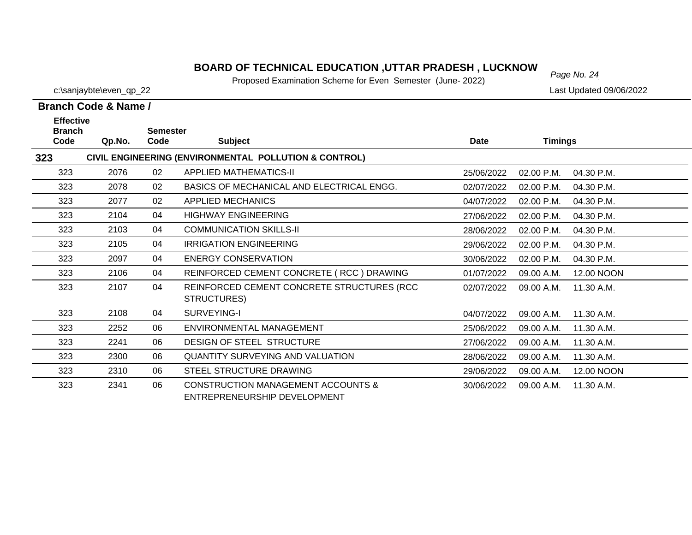#### *Page No. 24* **BOARD OF TECHNICAL EDUCATION ,UTTAR PRADESH , LUCKNOW**

Proposed Examination Scheme for Even Semester (June- 2022)

c:\sanjaybte\even\_qp\_22 Last Updated 09/06/2022

#### **Branch Code Qp.No. Semester Branch Code & Name / Effective**

| Code | Qp.No. | Code | <b>Subject</b>                                                                | Date       | <b>Timings</b> |            |
|------|--------|------|-------------------------------------------------------------------------------|------------|----------------|------------|
| 323  |        |      | CIVIL ENGINEERING (ENVIRONMENTAL POLLUTION & CONTROL)                         |            |                |            |
| 323  | 2076   | 02   | <b>APPLIED MATHEMATICS-II</b>                                                 | 25/06/2022 | 02.00 P.M.     | 04.30 P.M. |
| 323  | 2078   | 02   | BASICS OF MECHANICAL AND ELECTRICAL ENGG.                                     | 02/07/2022 | 02.00 P.M.     | 04.30 P.M. |
| 323  | 2077   | 02   | <b>APPLIED MECHANICS</b>                                                      | 04/07/2022 | 02.00 P.M.     | 04.30 P.M. |
| 323  | 2104   | 04   | <b>HIGHWAY ENGINEERING</b>                                                    | 27/06/2022 | 02.00 P.M.     | 04.30 P.M. |
| 323  | 2103   | 04   | <b>COMMUNICATION SKILLS-II</b>                                                | 28/06/2022 | 02.00 P.M.     | 04.30 P.M. |
| 323  | 2105   | 04   | <b>IRRIGATION ENGINEERING</b>                                                 | 29/06/2022 | 02.00 P.M.     | 04.30 P.M. |
| 323  | 2097   | 04   | <b>ENERGY CONSERVATION</b>                                                    | 30/06/2022 | 02.00 P.M.     | 04.30 P.M. |
| 323  | 2106   | 04   | REINFORCED CEMENT CONCRETE (RCC) DRAWING                                      | 01/07/2022 | 09.00 A.M.     | 12.00 NOON |
| 323  | 2107   | 04   | REINFORCED CEMENT CONCRETE STRUCTURES (RCC<br>STRUCTURES)                     | 02/07/2022 | 09.00 A.M.     | 11.30 A.M. |
| 323  | 2108   | 04   | SURVEYING-I                                                                   | 04/07/2022 | 09.00 A.M.     | 11.30 A.M. |
| 323  | 2252   | 06   | ENVIRONMENTAL MANAGEMENT                                                      | 25/06/2022 | 09.00 A.M.     | 11.30 A.M. |
| 323  | 2241   | 06   | DESIGN OF STEEL STRUCTURE                                                     | 27/06/2022 | 09.00 A.M.     | 11.30 A.M. |
| 323  | 2300   | 06   | <b>QUANTITY SURVEYING AND VALUATION</b>                                       | 28/06/2022 | 09.00 A.M.     | 11.30 A.M. |
| 323  | 2310   | 06   | STEEL STRUCTURE DRAWING                                                       | 29/06/2022 | 09.00 A.M.     | 12.00 NOON |
| 323  | 2341   | 06   | <b>CONSTRUCTION MANAGEMENT ACCOUNTS &amp;</b><br>ENTREPRENEURSHIP DEVELOPMENT | 30/06/2022 | 09.00 A.M.     | 11.30 A.M. |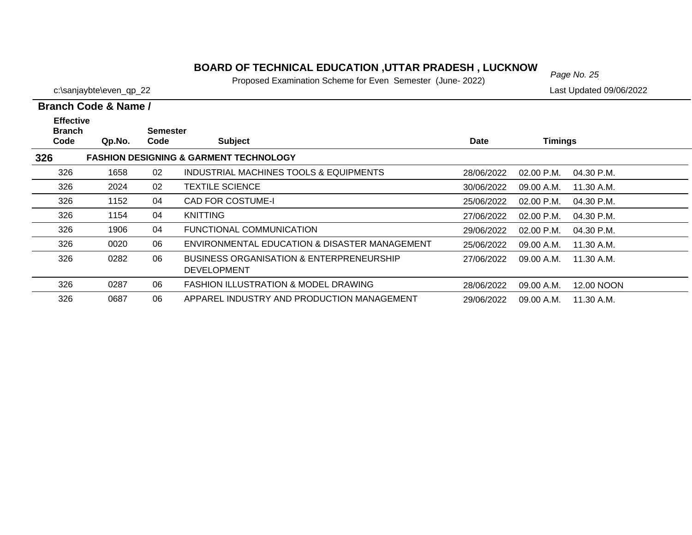#### *Page No. 25* **BOARD OF TECHNICAL EDUCATION ,UTTAR PRADESH , LUCKNOW**

Proposed Examination Scheme for Even Semester (June- 2022)

c:\sanjaybte\even\_qp\_22 Last Updated 09/06/2022

 $\overline{\phantom{a}}$ 

 $\overline{\phantom{0}}$ 

|                                           | Branch Code & Name / |                         |                                                                           |             |                |            |
|-------------------------------------------|----------------------|-------------------------|---------------------------------------------------------------------------|-------------|----------------|------------|
| <b>Effective</b><br><b>Branch</b><br>Code | Qp.No.               | <b>Semester</b><br>Code | <b>Subject</b>                                                            | <b>Date</b> | <b>Timings</b> |            |
| 326                                       |                      |                         | <b>FASHION DESIGNING &amp; GARMENT TECHNOLOGY</b>                         |             |                |            |
| 326                                       | 1658                 | 02                      | INDUSTRIAL MACHINES TOOLS & EQUIPMENTS                                    | 28/06/2022  | 02.00 P.M.     | 04.30 P.M. |
| 326                                       | 2024                 | 02                      | <b>TEXTILE SCIENCE</b>                                                    | 30/06/2022  | 09.00 A.M.     | 11.30 A.M. |
| 326                                       | 1152                 | 04                      | CAD FOR COSTUME-I                                                         | 25/06/2022  | $02.00$ P.M.   | 04.30 P.M. |
| 326                                       | 1154                 | 04                      | <b>KNITTING</b>                                                           | 27/06/2022  | $02.00$ P.M.   | 04.30 P.M. |
| 326                                       | 1906                 | 04                      | FUNCTIONAL COMMUNICATION                                                  | 29/06/2022  | $02.00$ P.M.   | 04.30 P.M. |
| 326                                       | 0020                 | 06                      | ENVIRONMENTAL EDUCATION & DISASTER MANAGEMENT                             | 25/06/2022  | 09.00 A.M.     | 11.30 A.M. |
| 326                                       | 0282                 | 06                      | <b>BUSINESS ORGANISATION &amp; ENTERPRENEURSHIP</b><br><b>DEVELOPMENT</b> | 27/06/2022  | 09.00 A.M.     | 11.30 A.M. |
| 326                                       | 0287                 | 06                      | <b>FASHION ILLUSTRATION &amp; MODEL DRAWING</b>                           | 28/06/2022  | 09.00 A.M.     | 12.00 NOON |
| 326                                       | 0687                 | 06                      | APPAREL INDUSTRY AND PRODUCTION MANAGEMENT                                | 29/06/2022  | 09.00 A.M.     | 11.30 A.M. |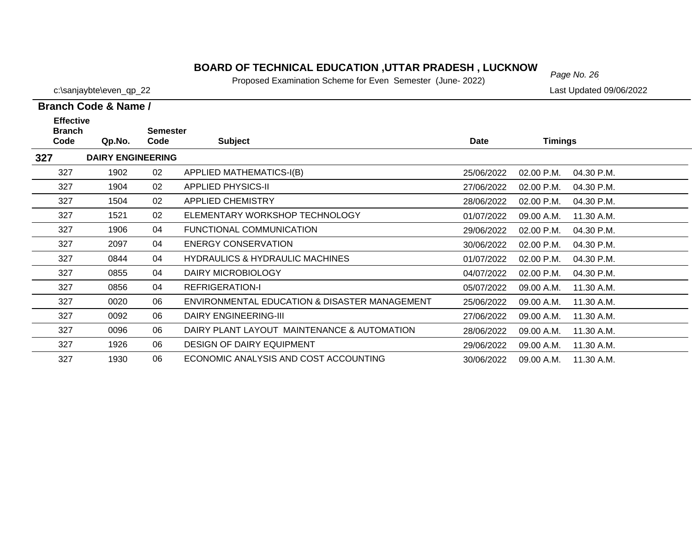#### *Page No. 26* **BOARD OF TECHNICAL EDUCATION ,UTTAR PRADESH , LUCKNOW**

Proposed Examination Scheme for Even Semester (June- 2022)

|  | Branch Code & Name / |
|--|----------------------|

| <b>Effective</b><br><b>Branch</b> |                          | <b>Semester</b> |                                               |            |                |            |
|-----------------------------------|--------------------------|-----------------|-----------------------------------------------|------------|----------------|------------|
| Code                              | Qp.No.                   | Code            | <b>Subject</b>                                | Date       | <b>Timings</b> |            |
| 327                               | <b>DAIRY ENGINEERING</b> |                 |                                               |            |                |            |
| 327                               | 1902                     | 02              | APPLIED MATHEMATICS-I(B)                      | 25/06/2022 | 02.00 P.M.     | 04.30 P.M. |
| 327                               | 1904                     | 02              | <b>APPLIED PHYSICS-II</b>                     | 27/06/2022 | 02.00 P.M.     | 04.30 P.M. |
| 327                               | 1504                     | 02              | <b>APPLIED CHEMISTRY</b>                      | 28/06/2022 | 02.00 P.M.     | 04.30 P.M. |
| 327                               | 1521                     | 02              | ELEMENTARY WORKSHOP TECHNOLOGY                | 01/07/2022 | 09.00 A.M.     | 11.30 A.M. |
| 327                               | 1906                     | 04              | FUNCTIONAL COMMUNICATION                      | 29/06/2022 | 02.00 P.M.     | 04.30 P.M. |
| 327                               | 2097                     | 04              | <b>ENERGY CONSERVATION</b>                    | 30/06/2022 | 02.00 P.M.     | 04.30 P.M. |
| 327                               | 0844                     | 04              | <b>HYDRAULICS &amp; HYDRAULIC MACHINES</b>    | 01/07/2022 | 02.00 P.M.     | 04.30 P.M. |
| 327                               | 0855                     | 04              | DAIRY MICROBIOLOGY                            | 04/07/2022 | 02.00 P.M.     | 04.30 P.M. |
| 327                               | 0856                     | 04              | <b>REFRIGERATION-I</b>                        | 05/07/2022 | 09.00 A.M.     | 11.30 A.M. |
| 327                               | 0020                     | 06              | ENVIRONMENTAL EDUCATION & DISASTER MANAGEMENT | 25/06/2022 | 09.00 A.M.     | 11.30 A.M. |
| 327                               | 0092                     | 06              | <b>DAIRY ENGINEERING-III</b>                  | 27/06/2022 | 09.00 A.M.     | 11.30 A.M. |
| 327                               | 0096                     | 06              | DAIRY PLANT LAYOUT MAINTENANCE & AUTOMATION   | 28/06/2022 | 09.00 A.M.     | 11.30 A.M. |
| 327                               | 1926                     | 06              | <b>DESIGN OF DAIRY EQUIPMENT</b>              | 29/06/2022 | 09.00 A.M.     | 11.30 A.M. |
| 327                               | 1930                     | 06              | ECONOMIC ANALYSIS AND COST ACCOUNTING         | 30/06/2022 | 09.00 A.M.     | 11.30 A.M. |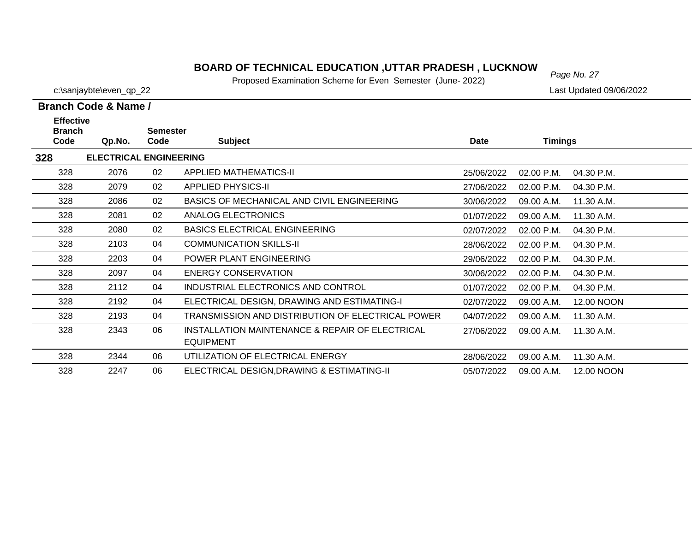#### *Page No. 27* **BOARD OF TECHNICAL EDUCATION ,UTTAR PRADESH , LUCKNOW**

Proposed Examination Scheme for Even Semester (June- 2022)

| Branch Code & Name / |  |  |
|----------------------|--|--|

| <b>Effective</b><br><b>Branch</b> |                               | <b>Semester</b> |                                                                     |             |                |            |
|-----------------------------------|-------------------------------|-----------------|---------------------------------------------------------------------|-------------|----------------|------------|
| Code                              | Qp.No.                        | Code            | <b>Subject</b>                                                      | <b>Date</b> | <b>Timings</b> |            |
| 328                               | <b>ELECTRICAL ENGINEERING</b> |                 |                                                                     |             |                |            |
| 328                               | 2076                          | 02              | <b>APPLIED MATHEMATICS-II</b>                                       | 25/06/2022  | 02.00 P.M.     | 04.30 P.M. |
| 328                               | 2079                          | 02              | <b>APPLIED PHYSICS-II</b>                                           | 27/06/2022  | 02.00 P.M.     | 04.30 P.M. |
| 328                               | 2086                          | 02              | BASICS OF MECHANICAL AND CIVIL ENGINEERING                          | 30/06/2022  | 09.00 A.M.     | 11.30 A.M. |
| 328                               | 2081                          | 02              | <b>ANALOG ELECTRONICS</b>                                           | 01/07/2022  | 09.00 A.M.     | 11.30 A.M. |
| 328                               | 2080                          | 02              | <b>BASICS ELECTRICAL ENGINEERING</b>                                | 02/07/2022  | 02.00 P.M.     | 04.30 P.M. |
| 328                               | 2103                          | 04              | <b>COMMUNICATION SKILLS-II</b>                                      | 28/06/2022  | 02.00 P.M.     | 04.30 P.M. |
| 328                               | 2203                          | 04              | POWER PLANT ENGINEERING                                             | 29/06/2022  | 02.00 P.M.     | 04.30 P.M. |
| 328                               | 2097                          | 04              | <b>ENERGY CONSERVATION</b>                                          | 30/06/2022  | 02.00 P.M.     | 04.30 P.M. |
| 328                               | 2112                          | 04              | INDUSTRIAL ELECTRONICS AND CONTROL                                  | 01/07/2022  | 02.00 P.M.     | 04.30 P.M. |
| 328                               | 2192                          | 04              | ELECTRICAL DESIGN, DRAWING AND ESTIMATING-I                         | 02/07/2022  | 09.00 A.M.     | 12.00 NOON |
| 328                               | 2193                          | 04              | TRANSMISSION AND DISTRIBUTION OF ELECTRICAL POWER                   | 04/07/2022  | 09.00 A.M.     | 11.30 A.M. |
| 328                               | 2343                          | 06              | INSTALLATION MAINTENANCE & REPAIR OF ELECTRICAL<br><b>EQUIPMENT</b> | 27/06/2022  | 09.00 A.M.     | 11.30 A.M. |
| 328                               | 2344                          | 06              | UTILIZATION OF ELECTRICAL ENERGY                                    | 28/06/2022  | 09.00 A.M.     | 11.30 A.M. |
| 328                               | 2247                          | 06              | ELECTRICAL DESIGN, DRAWING & ESTIMATING-II                          | 05/07/2022  | 09.00 A.M.     | 12.00 NOON |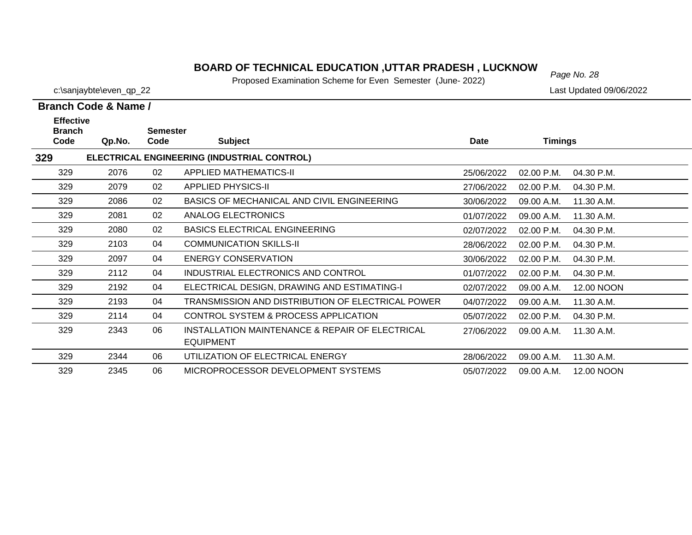#### **BOARD OF TECHNICAL EDUCATION ,UTTAR PRADESH , LUCKNOW**  $_{Page No. 28}$

Proposed Examination Scheme for Even Semester (June- 2022)

329

329

c:\sanjaybte\even\_qp\_22 Last Updated 09/06/2022

11.30 A.M.

28/06/2022 09.00 A.M.

05/07/2022 09.00 A.M. 12.00 NOON

|                                           | Branch Code & Name / |                         |                                                                     |             |                |            |  |  |
|-------------------------------------------|----------------------|-------------------------|---------------------------------------------------------------------|-------------|----------------|------------|--|--|
| <b>Effective</b><br><b>Branch</b><br>Code | Qp.No.               | <b>Semester</b><br>Code | <b>Subject</b>                                                      | <b>Date</b> | <b>Timings</b> |            |  |  |
| 329                                       |                      |                         | ELECTRICAL ENGINEERING (INDUSTRIAL CONTROL)                         |             |                |            |  |  |
| 329                                       | 2076                 | 02                      | <b>APPLIED MATHEMATICS-II</b>                                       | 25/06/2022  | 02.00 P.M.     | 04.30 P.M. |  |  |
| 329                                       | 2079                 | 02                      | <b>APPLIED PHYSICS-II</b>                                           | 27/06/2022  | 02.00 P.M.     | 04.30 P.M. |  |  |
| 329                                       | 2086                 | 02                      | BASICS OF MECHANICAL AND CIVIL ENGINEERING                          | 30/06/2022  | 09.00 A.M.     | 11.30 A.M. |  |  |
| 329                                       | 2081                 | 02                      | ANALOG ELECTRONICS                                                  | 01/07/2022  | 09.00 A.M.     | 11.30 A.M. |  |  |
| 329                                       | 2080                 | 02                      | <b>BASICS ELECTRICAL ENGINEERING</b>                                | 02/07/2022  | 02.00 P.M.     | 04.30 P.M. |  |  |
| 329                                       | 2103                 | 04                      | <b>COMMUNICATION SKILLS-II</b>                                      | 28/06/2022  | 02.00 P.M.     | 04.30 P.M. |  |  |
| 329                                       | 2097                 | 04                      | <b>ENERGY CONSERVATION</b>                                          | 30/06/2022  | 02.00 P.M.     | 04.30 P.M. |  |  |
| 329                                       | 2112                 | 04                      | INDUSTRIAL ELECTRONICS AND CONTROL                                  | 01/07/2022  | 02.00 P.M.     | 04.30 P.M. |  |  |
| 329                                       | 2192                 | 04                      | ELECTRICAL DESIGN, DRAWING AND ESTIMATING-I                         | 02/07/2022  | 09.00 A.M.     | 12.00 NOON |  |  |
| 329                                       | 2193                 | 04                      | TRANSMISSION AND DISTRIBUTION OF ELECTRICAL POWER                   | 04/07/2022  | 09.00 A.M.     | 11.30 A.M. |  |  |
| 329                                       | 2114                 | 04                      | CONTROL SYSTEM & PROCESS APPLICATION                                | 05/07/2022  | 02.00 P.M.     | 04.30 P.M. |  |  |
| 329                                       | 2343                 | 06                      | INSTALLATION MAINTENANCE & REPAIR OF ELECTRICAL<br><b>EQUIPMENT</b> | 27/06/2022  | 09.00 A.M.     | 11.30 A.M. |  |  |

2344 06 UTILIZATION OF ELECTRICAL ENERGY

2345 06 MICROPROCESSOR DEVELOPMENT SYSTEMS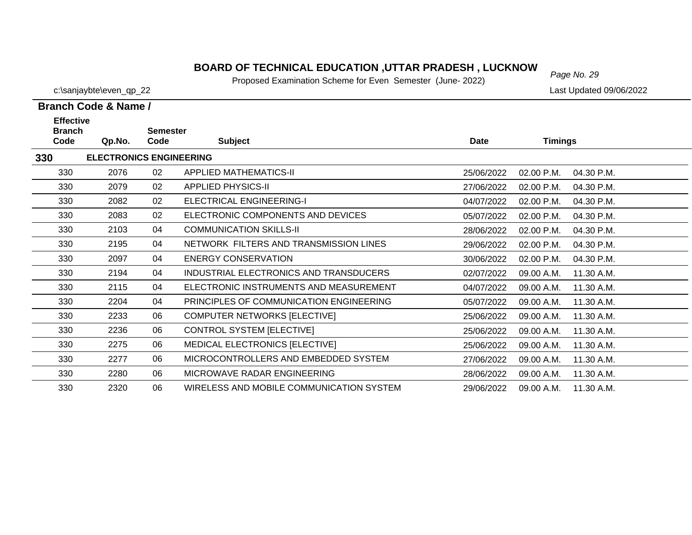#### *Page No. 29* **BOARD OF TECHNICAL EDUCATION ,UTTAR PRADESH , LUCKNOW**

Proposed Examination Scheme for Even Semester (June- 2022)

| Branch Code & Name / |  |  |
|----------------------|--|--|

| <b>Effective</b><br><b>Branch</b> |                                | <b>Semester</b> |                                          |             |                |            |
|-----------------------------------|--------------------------------|-----------------|------------------------------------------|-------------|----------------|------------|
| Code                              | Qp.No.                         | Code            | <b>Subject</b>                           | <b>Date</b> | <b>Timings</b> |            |
| 330                               | <b>ELECTRONICS ENGINEERING</b> |                 |                                          |             |                |            |
| 330                               | 2076                           | 02              | <b>APPLIED MATHEMATICS-II</b>            | 25/06/2022  | 02.00 P.M.     | 04.30 P.M. |
| 330                               | 2079                           | 02              | <b>APPLIED PHYSICS-II</b>                | 27/06/2022  | 02.00 P.M.     | 04.30 P.M. |
| 330                               | 2082                           | 02              | ELECTRICAL ENGINEERING-I                 | 04/07/2022  | 02.00 P.M.     | 04.30 P.M. |
| 330                               | 2083                           | 02              | ELECTRONIC COMPONENTS AND DEVICES        | 05/07/2022  | 02.00 P.M.     | 04.30 P.M. |
| 330                               | 2103                           | 04              | <b>COMMUNICATION SKILLS-II</b>           | 28/06/2022  | 02.00 P.M.     | 04.30 P.M. |
| 330                               | 2195                           | 04              | NETWORK FILTERS AND TRANSMISSION LINES   | 29/06/2022  | 02.00 P.M.     | 04.30 P.M. |
| 330                               | 2097                           | 04              | <b>ENERGY CONSERVATION</b>               | 30/06/2022  | 02.00 P.M.     | 04.30 P.M. |
| 330                               | 2194                           | 04              | INDUSTRIAL ELECTRONICS AND TRANSDUCERS   | 02/07/2022  | 09.00 A.M.     | 11.30 A.M. |
| 330                               | 2115                           | 04              | ELECTRONIC INSTRUMENTS AND MEASUREMENT   | 04/07/2022  | 09.00 A.M.     | 11.30 A.M. |
| 330                               | 2204                           | 04              | PRINCIPLES OF COMMUNICATION ENGINEERING  | 05/07/2022  | 09.00 A.M.     | 11.30 A.M. |
| 330                               | 2233                           | 06              | COMPUTER NETWORKS [ELECTIVE]             | 25/06/2022  | 09.00 A.M.     | 11.30 A.M. |
| 330                               | 2236                           | 06              | CONTROL SYSTEM [ELECTIVE]                | 25/06/2022  | 09.00 A.M.     | 11.30 A.M. |
| 330                               | 2275                           | 06              | MEDICAL ELECTRONICS [ELECTIVE]           | 25/06/2022  | 09.00 A.M.     | 11.30 A.M. |
| 330                               | 2277                           | 06              | MICROCONTROLLERS AND EMBEDDED SYSTEM     | 27/06/2022  | 09.00 A.M.     | 11.30 A.M. |
| 330                               | 2280                           | 06              | MICROWAVE RADAR ENGINEERING              | 28/06/2022  | 09.00 A.M.     | 11.30 A.M. |
| 330                               | 2320                           | 06              | WIRELESS AND MOBILE COMMUNICATION SYSTEM | 29/06/2022  | 09.00 A.M.     | 11.30 A.M. |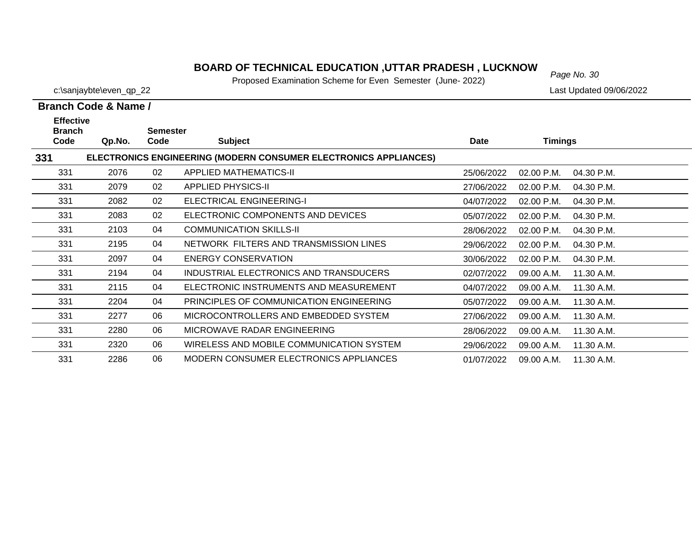#### **BOARD OF TECHNICAL EDUCATION ,UTTAR PRADESH , LUCKNOW**<br>Page No. 30

Proposed Examination Scheme for Even Semester (June- 2022)

|                                           | <b>Branch Code &amp; Name /</b> |                         |                                                                  |             |                          |  |
|-------------------------------------------|---------------------------------|-------------------------|------------------------------------------------------------------|-------------|--------------------------|--|
| <b>Effective</b><br><b>Branch</b><br>Code | Qp.No.                          | <b>Semester</b><br>Code | <b>Subject</b>                                                   | <b>Date</b> | <b>Timings</b>           |  |
| 331                                       |                                 |                         | ELECTRONICS ENGINEERING (MODERN CONSUMER ELECTRONICS APPLIANCES) |             |                          |  |
| 331                                       | 2076                            | 02                      | <b>APPLIED MATHEMATICS-II</b>                                    | 25/06/2022  | 02.00 P.M.<br>04.30 P.M. |  |
| 331                                       | 2079                            | 02                      | <b>APPLIED PHYSICS-II</b>                                        | 27/06/2022  | 04.30 P.M.<br>02.00 P.M. |  |
| 331                                       | 2082                            | 02                      | ELECTRICAL ENGINEERING-I                                         | 04/07/2022  | 02.00 P.M.<br>04.30 P.M. |  |
| 331                                       | 2083                            | 02                      | ELECTRONIC COMPONENTS AND DEVICES                                | 05/07/2022  | 02.00 P.M.<br>04.30 P.M. |  |
| 331                                       | 2103                            | 04                      | <b>COMMUNICATION SKILLS-II</b>                                   | 28/06/2022  | 02.00 P.M.<br>04.30 P.M. |  |
| 331                                       | 2195                            | 04                      | NETWORK FILTERS AND TRANSMISSION LINES                           | 29/06/2022  | 02.00 P.M.<br>04.30 P.M. |  |
| 331                                       | 2097                            | 04                      | <b>ENERGY CONSERVATION</b>                                       | 30/06/2022  | 04.30 P.M.<br>02.00 P.M. |  |
| 331                                       | 2194                            | 04                      | INDUSTRIAL ELECTRONICS AND TRANSDUCERS                           | 02/07/2022  | 09.00 A.M.<br>11.30 A.M. |  |
| 331                                       | 2115                            | 04                      | ELECTRONIC INSTRUMENTS AND MEASUREMENT                           | 04/07/2022  | 09.00 A.M.<br>11.30 A.M. |  |
| 331                                       | 2204                            | 04                      | PRINCIPLES OF COMMUNICATION ENGINEERING                          | 05/07/2022  | 11.30 A.M.<br>09.00 A.M. |  |
| 331                                       | 2277                            | 06                      | MICROCONTROLLERS AND EMBEDDED SYSTEM                             | 27/06/2022  | 11.30 A.M.<br>09.00 A.M. |  |
| 331                                       | 2280                            | 06                      | MICROWAVE RADAR ENGINEERING                                      | 28/06/2022  | 09.00 A.M.<br>11.30 A.M. |  |
| 331                                       | 2320                            | 06                      | WIRELESS AND MOBILE COMMUNICATION SYSTEM                         | 29/06/2022  | 09.00 A.M.<br>11.30 A.M. |  |
| 331                                       | 2286                            | 06                      | <b>MODERN CONSUMER ELECTRONICS APPLIANCES</b>                    | 01/07/2022  | 11.30 A.M.<br>09.00 A.M. |  |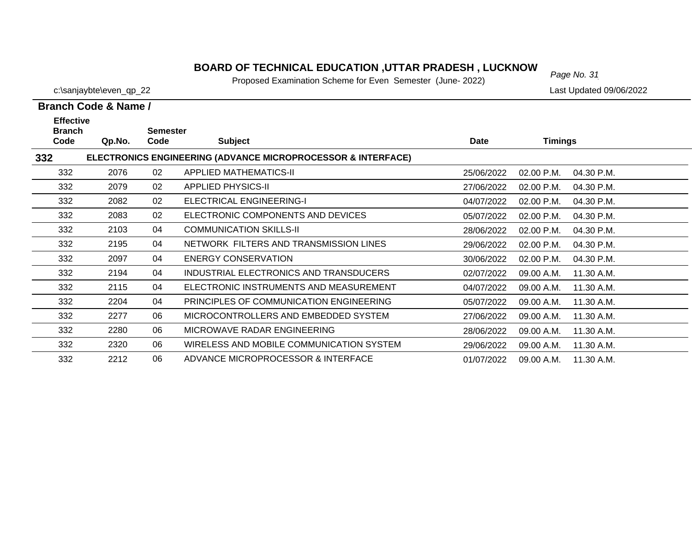#### **BOARD OF TECHNICAL EDUCATION ,UTTAR PRADESH , LUCKNOW**  $_{Page No. 31}$

Proposed Examination Scheme for Even Semester (June- 2022)

29/06/2022 09.00 A.M.

c:\sanjaybte\even\_qp\_22 Last Updated 09/06/2022

11.30 A.M.

**Branch Code & Name /**

**332**

332

332

| <b>Effective</b><br><b>Branch</b> |        | <b>Semester</b> |                                                                         |            |                |            |  |
|-----------------------------------|--------|-----------------|-------------------------------------------------------------------------|------------|----------------|------------|--|
| Code                              | Qp.No. | Code            | <b>Subject</b>                                                          | Date       | <b>Timings</b> |            |  |
| 332                               |        |                 | <b>ELECTRONICS ENGINEERING (ADVANCE MICROPROCESSOR &amp; INTERFACE)</b> |            |                |            |  |
| 332                               | 2076   | 02              | <b>APPLIED MATHEMATICS-II</b>                                           | 25/06/2022 | 02.00 P.M.     | 04.30 P.M. |  |
| 332                               | 2079   | 02              | APPLIED PHYSICS-II                                                      | 27/06/2022 | $02.00$ P.M.   | 04.30 P.M. |  |
| 332                               | 2082   | 02              | ELECTRICAL ENGINEERING-I                                                | 04/07/2022 | 02.00 P.M.     | 04.30 P.M. |  |
| 332                               | 2083   | 02              | ELECTRONIC COMPONENTS AND DEVICES                                       | 05/07/2022 | $02.00$ P.M.   | 04.30 P.M. |  |
| 332                               | 2103   | 04              | COMMUNICATION SKILLS-II                                                 | 28/06/2022 | 02.00 P.M.     | 04.30 P.M. |  |
| 332                               | 2195   | 04              | NETWORK FILTERS AND TRANSMISSION LINES                                  | 29/06/2022 | $02.00$ P.M.   | 04.30 P.M. |  |
| 332                               | 2097   | 04              | <b>ENERGY CONSERVATION</b>                                              | 30/06/2022 | 02.00 P.M.     | 04.30 P.M. |  |
| 332                               | 2194   | 04              | INDUSTRIAL ELECTRONICS AND TRANSDUCERS                                  | 02/07/2022 | 09.00 A.M.     | 11.30 A.M. |  |
| 332                               | 2115   | 04              | ELECTRONIC INSTRUMENTS AND MEASUREMENT                                  | 04/07/2022 | 09.00 A.M.     | 11.30 A.M. |  |
| 332                               | 2204   | 04              | PRINCIPLES OF COMMUNICATION ENGINEERING                                 | 05/07/2022 | 09.00 A.M.     | 11.30 A.M. |  |
| 332                               | 2277   | 06              | MICROCONTROLLERS AND EMBEDDED SYSTEM                                    | 27/06/2022 | 09.00 A.M.     | 11.30 A.M. |  |
| 332                               | 2280   | 06              | MICROWAVE RADAR ENGINEERING                                             | 28/06/2022 | 09.00 A.M.     | 11.30 A.M. |  |

 2212 06 ADVANCE MICROPROCESSOR & INTERFACE01/07/2022 09.00 A.M. 11.30 A.M.

2320 06 WIRELESS AND MOBILE COMMUNICATION SYSTEM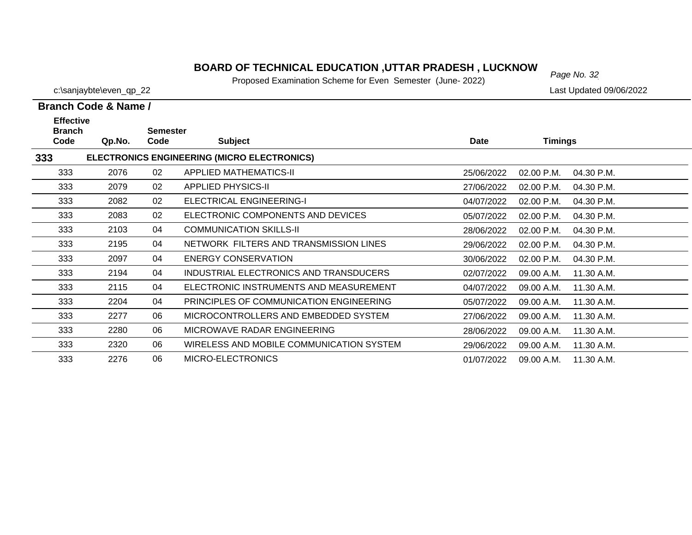#### *Page No. 32* **BOARD OF TECHNICAL EDUCATION ,UTTAR PRADESH , LUCKNOW**

Proposed Examination Scheme for Even Semester (June- 2022)

c:\sanjaybte\even\_qp\_22 Last Updated 09/06/2022

|                                           | <b>Branch Code &amp; Name /</b> |                         |                                             |            |                |            |
|-------------------------------------------|---------------------------------|-------------------------|---------------------------------------------|------------|----------------|------------|
| <b>Effective</b><br><b>Branch</b><br>Code | Qp.No.                          | <b>Semester</b><br>Code | <b>Subject</b>                              | Date       | <b>Timings</b> |            |
| 333                                       |                                 |                         | ELECTRONICS ENGINEERING (MICRO ELECTRONICS) |            |                |            |
| 333                                       | 2076                            | 02                      | APPLIED MATHEMATICS-II                      | 25/06/2022 | 02.00 P.M.     | 04.30 P.M. |
| 333                                       | 2079                            | 02                      | <b>APPLIED PHYSICS-II</b>                   | 27/06/2022 | 02.00 P.M.     | 04.30 P.M. |
| 333                                       | 2082                            | 02                      | <b>ELECTRICAL ENGINEERING-I</b>             | 04/07/2022 | 02.00 P.M.     | 04.30 P.M. |
| 333                                       | 2083                            | 02                      | ELECTRONIC COMPONENTS AND DEVICES           | 05/07/2022 | 02.00 P.M.     | 04.30 P.M. |
| 333                                       | 2103                            | 04                      | <b>COMMUNICATION SKILLS-II</b>              | 28/06/2022 | 02.00 P.M.     | 04.30 P.M. |
| 333                                       | 2195                            | 04                      | NETWORK FILTERS AND TRANSMISSION LINES      | 29/06/2022 | 02.00 P.M.     | 04.30 P.M. |
| 333                                       | 2097                            | 04                      | <b>ENERGY CONSERVATION</b>                  | 30/06/2022 | 02.00 P.M.     | 04.30 P.M. |
| 333                                       | 2194                            | 04                      | INDUSTRIAL ELECTRONICS AND TRANSDUCERS      | 02/07/2022 | 09.00 A.M.     | 11.30 A.M. |
| 333                                       | 2115                            | 04                      | ELECTRONIC INSTRUMENTS AND MEASUREMENT      | 04/07/2022 | 09.00 A.M.     | 11.30 A.M. |
| 333                                       | 2204                            | 04                      | PRINCIPLES OF COMMUNICATION ENGINEERING     | 05/07/2022 | 09.00 A.M.     | 11.30 A.M. |
| 333                                       | 2277                            | 06                      | MICROCONTROLLERS AND EMBEDDED SYSTEM        | 27/06/2022 | 09.00 A.M.     | 11.30 A.M. |
| 333                                       | 2280                            | 06                      | MICROWAVE RADAR ENGINEERING                 | 28/06/2022 | 09.00 A.M.     | 11.30 A.M. |
| 333                                       | 2320                            | 06                      | WIRELESS AND MOBILE COMMUNICATION SYSTEM    | 29/06/2022 | 09.00 A.M.     | 11.30 A.M. |
| 333                                       | 2276                            | 06                      | MICRO-ELECTRONICS                           | 01/07/2022 | 09.00 A.M.     | 11.30 A.M. |

01/07/2022 09.00 A.M. 11.30 A.M.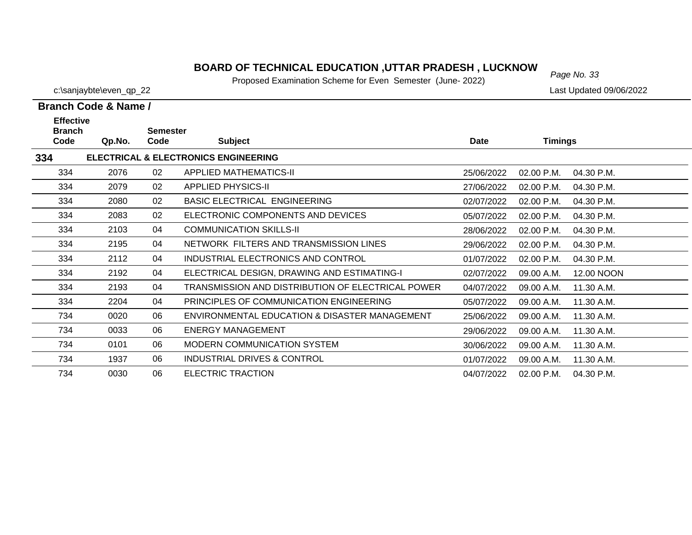#### **BOARD OF TECHNICAL EDUCATION ,UTTAR PRADESH , LUCKNOW**<br>Page No. 33

Proposed Examination Scheme for Even Semester (June- 2022)

|                                           | Branch Code & Name / |                         |                                                   |            |                |            |
|-------------------------------------------|----------------------|-------------------------|---------------------------------------------------|------------|----------------|------------|
| <b>Effective</b><br><b>Branch</b><br>Code | Qp.No.               | <b>Semester</b><br>Code | <b>Subject</b>                                    | Date       | <b>Timings</b> |            |
| 334                                       |                      |                         | <b>ELECTRICAL &amp; ELECTRONICS ENGINEERING</b>   |            |                |            |
| 334                                       | 2076                 | 02                      | APPLIED MATHEMATICS-II                            | 25/06/2022 | 02.00 P.M.     | 04.30 P.M. |
| 334                                       | 2079                 | 02                      | <b>APPLIED PHYSICS-II</b>                         | 27/06/2022 | 02.00 P.M.     | 04.30 P.M. |
| 334                                       | 2080                 | 02                      | <b>BASIC ELECTRICAL ENGINEERING</b>               | 02/07/2022 | 02.00 P.M.     | 04.30 P.M. |
| 334                                       | 2083                 | 02                      | ELECTRONIC COMPONENTS AND DEVICES                 | 05/07/2022 | 02.00 P.M.     | 04.30 P.M. |
| 334                                       | 2103                 | 04                      | <b>COMMUNICATION SKILLS-II</b>                    | 28/06/2022 | 02.00 P.M.     | 04.30 P.M. |
| 334                                       | 2195                 | 04                      | NETWORK FILTERS AND TRANSMISSION LINES            | 29/06/2022 | 02.00 P.M.     | 04.30 P.M. |
| 334                                       | 2112                 | 04                      | INDUSTRIAL ELECTRONICS AND CONTROL                | 01/07/2022 | 02.00 P.M.     | 04.30 P.M. |
| 334                                       | 2192                 | 04                      | ELECTRICAL DESIGN, DRAWING AND ESTIMATING-I       | 02/07/2022 | 09.00 A.M.     | 12.00 NOON |
| 334                                       | 2193                 | 04                      | TRANSMISSION AND DISTRIBUTION OF ELECTRICAL POWER | 04/07/2022 | 09.00 A.M.     | 11.30 A.M. |
| 334                                       | 2204                 | 04                      | PRINCIPLES OF COMMUNICATION ENGINEERING           | 05/07/2022 | 09.00 A.M.     | 11.30 A.M. |
| 734                                       | 0020                 | 06                      | ENVIRONMENTAL EDUCATION & DISASTER MANAGEMENT     | 25/06/2022 | 09.00 A.M.     | 11.30 A.M. |
| 734                                       | 0033                 | 06                      | <b>ENERGY MANAGEMENT</b>                          | 29/06/2022 | 09.00 A.M.     | 11.30 A.M. |
| 734                                       | 0101                 | 06                      | MODERN COMMUNICATION SYSTEM                       | 30/06/2022 | 09.00 A.M.     | 11.30 A.M. |
| 734                                       | 1937                 | 06                      | INDUSTRIAL DRIVES & CONTROL                       | 01/07/2022 | 09.00 A.M.     | 11.30 A.M. |
| 734                                       | 0030                 | 06                      | <b>ELECTRIC TRACTION</b>                          | 04/07/2022 | 02.00 P.M.     | 04.30 P.M. |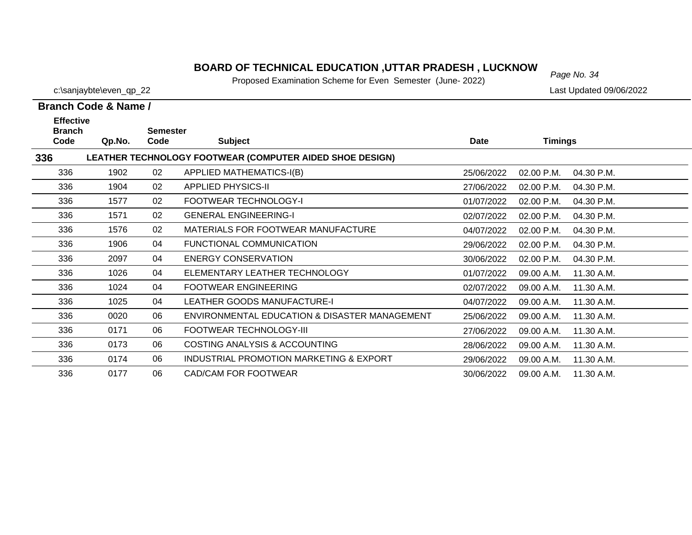#### **BOARD OF TECHNICAL EDUCATION ,UTTAR PRADESH , LUCKNOW**<br>Page No. 34

Proposed Examination Scheme for Even Semester (June- 2022)

11.30 A.M.

29/06/2022 09.00 A.M.

30/06/2022 09.00 A.M. 11.30 A.M.

 $\overline{\phantom{0}}$ 

c:\sanjaybte\even\_qp\_22 Last Updated 09/06/2022

**Branch Code & Name /**

336

336

| <b>Effective</b><br><b>Branch</b> |        | Semester |                                                          |             |                |            |
|-----------------------------------|--------|----------|----------------------------------------------------------|-------------|----------------|------------|
| Code                              | Qp.No. | Code     | <b>Subject</b>                                           | <b>Date</b> | <b>Timings</b> |            |
| 336                               |        |          | LEATHER TECHNOLOGY FOOTWEAR (COMPUTER AIDED SHOE DESIGN) |             |                |            |
| 336                               | 1902   | 02       | APPLIED MATHEMATICS-I(B)                                 | 25/06/2022  | 02.00 P.M.     | 04.30 P.M. |
| 336                               | 1904   | 02       | <b>APPLIED PHYSICS-II</b>                                | 27/06/2022  | 02.00 P.M.     | 04.30 P.M. |
| 336                               | 1577   | 02       | <b>FOOTWEAR TECHNOLOGY-I</b>                             | 01/07/2022  | 02.00 P.M.     | 04.30 P.M. |
| 336                               | 1571   | 02       | <b>GENERAL ENGINEERING-I</b>                             | 02/07/2022  | 02.00 P.M.     | 04.30 P.M. |
| 336                               | 1576   | 02       | MATERIALS FOR FOOTWEAR MANUFACTURE                       | 04/07/2022  | 02.00 P.M.     | 04.30 P.M. |
| 336                               | 1906   | 04       | FUNCTIONAL COMMUNICATION                                 | 29/06/2022  | 02.00 P.M.     | 04.30 P.M. |
| 336                               | 2097   | 04       | <b>ENERGY CONSERVATION</b>                               | 30/06/2022  | 02.00 P.M.     | 04.30 P.M. |
| 336                               | 1026   | 04       | ELEMENTARY LEATHER TECHNOLOGY                            | 01/07/2022  | 09.00 A.M.     | 11.30 A.M. |
| 336                               | 1024   | 04       | <b>FOOTWEAR ENGINEERING</b>                              | 02/07/2022  | 09.00 A.M.     | 11.30 A.M. |
| 336                               | 1025   | 04       | <b>LEATHER GOODS MANUFACTURE-I</b>                       | 04/07/2022  | 09.00 A.M.     | 11.30 A.M. |
| 336                               | 0020   | 06       | ENVIRONMENTAL EDUCATION & DISASTER MANAGEMENT            | 25/06/2022  | 09.00 A.M.     | 11.30 A.M. |
| 336                               | 0171   | 06       | FOOTWEAR TECHNOLOGY-III                                  | 27/06/2022  | 09.00 A.M.     | 11.30 A.M. |
| 336                               | 0173   | 06       | COSTING ANALYSIS & ACCOUNTING                            | 28/06/2022  | 09.00 A.M.     | 11.30 A.M. |

0174 06 INDUSTRIAL PROMOTION MARKETING & EXPORT

0177 06 CAD/CAM FOR FOOTWEAR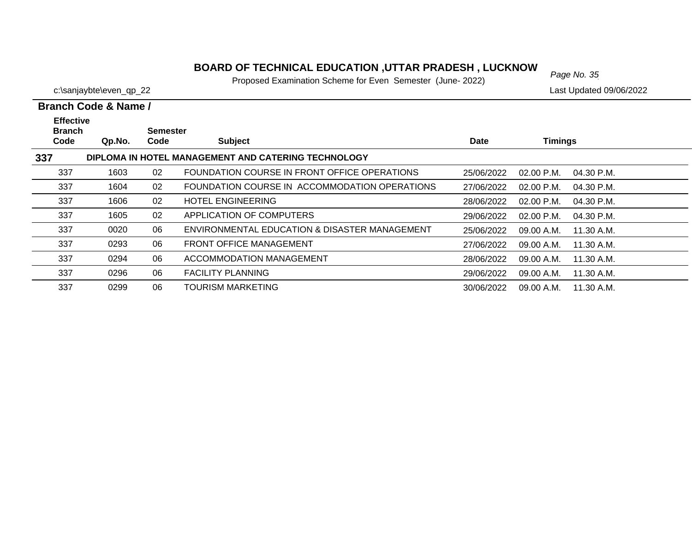#### *Page No. 35* **BOARD OF TECHNICAL EDUCATION ,UTTAR PRADESH , LUCKNOW**

Proposed Examination Scheme for Even Semester (June- 2022)

|                                           | Branch Code & Name / |                         |                                                     |             |                |            |  |  |
|-------------------------------------------|----------------------|-------------------------|-----------------------------------------------------|-------------|----------------|------------|--|--|
| <b>Effective</b><br><b>Branch</b><br>Code | Qp.No.               | <b>Semester</b><br>Code | <b>Subject</b>                                      | <b>Date</b> | <b>Timings</b> |            |  |  |
| 337                                       |                      |                         | DIPLOMA IN HOTEL MANAGEMENT AND CATERING TECHNOLOGY |             |                |            |  |  |
| 337                                       | 1603                 | 02                      | FOUNDATION COURSE IN FRONT OFFICE OPERATIONS        | 25/06/2022  | $02.00$ P.M.   | 04.30 P.M. |  |  |
| 337                                       | 1604                 | 02                      | FOUNDATION COURSE IN ACCOMMODATION OPERATIONS       | 27/06/2022  | $02.00$ P.M.   | 04.30 P.M. |  |  |
| 337                                       | 1606                 | 02                      | <b>HOTEL ENGINEERING</b>                            | 28/06/2022  | $02.00$ P.M.   | 04.30 P.M. |  |  |
| 337                                       | 1605                 | 02                      | APPLICATION OF COMPUTERS                            | 29/06/2022  | 02.00 P.M.     | 04.30 P.M. |  |  |
| 337                                       | 0020                 | 06                      | ENVIRONMENTAL EDUCATION & DISASTER MANAGEMENT       | 25/06/2022  | 09.00 A.M.     | 11.30 A.M. |  |  |
| 337                                       | 0293                 | 06                      | <b>FRONT OFFICE MANAGEMENT</b>                      | 27/06/2022  | 09.00 A.M.     | 11.30 A.M. |  |  |
| 337                                       | 0294                 | 06                      | ACCOMMODATION MANAGEMENT                            | 28/06/2022  | 09.00 A.M.     | 11.30 A.M. |  |  |
| 337                                       | 0296                 | 06                      | <b>FACILITY PLANNING</b>                            | 29/06/2022  | 09.00 A.M.     | 11.30 A.M. |  |  |
| 337                                       | 0299                 | 06                      | TOURISM MARKETING                                   | 30/06/2022  | 09.00 A.M.     | 11.30 A.M. |  |  |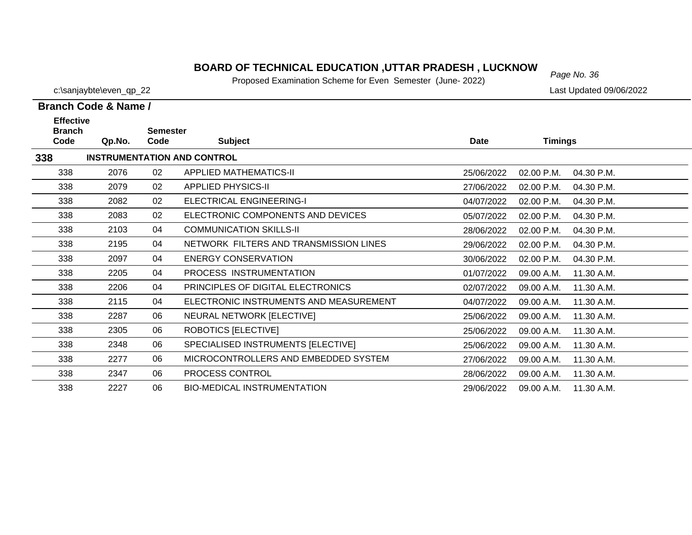#### *Page No. 36* **BOARD OF TECHNICAL EDUCATION ,UTTAR PRADESH , LUCKNOW**

Proposed Examination Scheme for Even Semester (June- 2022)

| Branch Code & Name / |  |  |
|----------------------|--|--|

| <b>Effective</b><br><b>Branch</b> |        | <b>Semester</b> |                                        |             |                          |  |
|-----------------------------------|--------|-----------------|----------------------------------------|-------------|--------------------------|--|
| Code                              | Qp.No. | Code            | <b>Subject</b>                         | <b>Date</b> | <b>Timings</b>           |  |
| 338                               |        |                 | <b>INSTRUMENTATION AND CONTROL</b>     |             |                          |  |
| 338                               | 2076   | 02              | APPLIED MATHEMATICS-II                 | 25/06/2022  | 04.30 P.M.<br>02.00 P.M. |  |
| 338                               | 2079   | 02              | <b>APPLIED PHYSICS-II</b>              | 27/06/2022  | 02.00 P.M.<br>04.30 P.M. |  |
| 338                               | 2082   | 02              | <b>ELECTRICAL ENGINEERING-I</b>        | 04/07/2022  | 04.30 P.M.<br>02.00 P.M. |  |
| 338                               | 2083   | 02              | ELECTRONIC COMPONENTS AND DEVICES      | 05/07/2022  | 02.00 P.M.<br>04.30 P.M. |  |
| 338                               | 2103   | 04              | <b>COMMUNICATION SKILLS-II</b>         | 28/06/2022  | 02.00 P.M.<br>04.30 P.M. |  |
| 338                               | 2195   | 04              | NETWORK FILTERS AND TRANSMISSION LINES | 29/06/2022  | 02.00 P.M.<br>04.30 P.M. |  |
| 338                               | 2097   | 04              | <b>ENERGY CONSERVATION</b>             | 30/06/2022  | 02.00 P.M.<br>04.30 P.M. |  |
| 338                               | 2205   | 04              | PROCESS INSTRUMENTATION                | 01/07/2022  | 09.00 A.M.<br>11.30 A.M. |  |
| 338                               | 2206   | 04              | PRINCIPLES OF DIGITAL ELECTRONICS      | 02/07/2022  | 09.00 A.M.<br>11.30 A.M. |  |
| 338                               | 2115   | 04              | ELECTRONIC INSTRUMENTS AND MEASUREMENT | 04/07/2022  | 11.30 A.M.<br>09.00 A.M. |  |
| 338                               | 2287   | 06              | NEURAL NETWORK [ELECTIVE]              | 25/06/2022  | 09.00 A.M.<br>11.30 A.M. |  |
| 338                               | 2305   | 06              | <b>ROBOTICS [ELECTIVE]</b>             | 25/06/2022  | 09.00 A.M.<br>11.30 A.M. |  |
| 338                               | 2348   | 06              | SPECIALISED INSTRUMENTS [ELECTIVE]     | 25/06/2022  | 09.00 A.M.<br>11.30 A.M. |  |
| 338                               | 2277   | 06              | MICROCONTROLLERS AND EMBEDDED SYSTEM   | 27/06/2022  | 11.30 A.M.<br>09.00 A.M. |  |
| 338                               | 2347   | 06              | PROCESS CONTROL                        | 28/06/2022  | 09.00 A.M.<br>11.30 A.M. |  |
| 338                               | 2227   | 06              | <b>BIO-MEDICAL INSTRUMENTATION</b>     | 29/06/2022  | 11.30 A.M.<br>09.00 A.M. |  |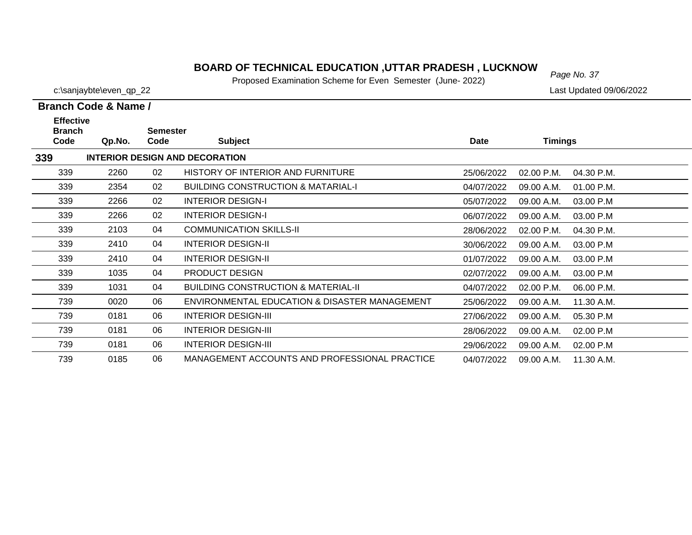### **BOARD OF TECHNICAL EDUCATION ,UTTAR PRADESH , LUCKNOW**<br>Page No. 37

Proposed Examination Scheme for Even Semester (June- 2022)

04/07/2022 09.00 A.M. 11.30 A.M.

739

c:\sanjaybte\even\_qp\_22 Last Updated 09/06/2022

 $\overline{\phantom{a}}$  $\overline{\phantom{0}}$  $\overline{\phantom{0}}$ 

 $\overline{\phantom{0}}$  $\overline{\phantom{0}}$  $\overline{\phantom{0}}$  $\overline{\phantom{0}}$  $\overline{\phantom{0}}$ 

|                                           | Branch Code & Name / |                         |                                                |             |                |            |
|-------------------------------------------|----------------------|-------------------------|------------------------------------------------|-------------|----------------|------------|
| <b>Effective</b><br><b>Branch</b><br>Code | Qp.No.               | <b>Semester</b><br>Code | <b>Subject</b>                                 | <b>Date</b> | <b>Timings</b> |            |
| 339                                       |                      |                         | <b>INTERIOR DESIGN AND DECORATION</b>          |             |                |            |
| 339                                       | 2260                 | 02                      | HISTORY OF INTERIOR AND FURNITURE              | 25/06/2022  | 02.00 P.M.     | 04.30 P.M. |
| 339                                       | 2354                 | 02                      | <b>BUILDING CONSTRUCTION &amp; MATARIAL-I</b>  | 04/07/2022  | 09.00 A.M.     | 01.00 P.M. |
| 339                                       | 2266                 | 02                      | <b>INTERIOR DESIGN-I</b>                       | 05/07/2022  | 09.00 A.M.     | 03.00 P.M  |
| 339                                       | 2266                 | 02                      | <b>INTERIOR DESIGN-I</b>                       | 06/07/2022  | 09.00 A.M.     | 03.00 P.M  |
| 339                                       | 2103                 | 04                      | <b>COMMUNICATION SKILLS-II</b>                 | 28/06/2022  | 02.00 P.M.     | 04.30 P.M. |
| 339                                       | 2410                 | 04                      | <b>INTERIOR DESIGN-II</b>                      | 30/06/2022  | 09.00 A.M.     | 03.00 P.M  |
| 339                                       | 2410                 | 04                      | <b>INTERIOR DESIGN-II</b>                      | 01/07/2022  | 09.00 A.M.     | 03.00 P.M  |
| 339                                       | 1035                 | 04                      | <b>PRODUCT DESIGN</b>                          | 02/07/2022  | 09.00 A.M.     | 03.00 P.M  |
| 339                                       | 1031                 | 04                      | <b>BUILDING CONSTRUCTION &amp; MATERIAL-II</b> | 04/07/2022  | 02.00 P.M.     | 06.00 P.M. |
| 739                                       | 0020                 | 06                      | ENVIRONMENTAL EDUCATION & DISASTER MANAGEMENT  | 25/06/2022  | 09.00 A.M.     | 11.30 A.M. |
| 739                                       | 0181                 | 06                      | <b>INTERIOR DESIGN-III</b>                     | 27/06/2022  | 09.00 A.M.     | 05.30 P.M  |
| 739                                       | 0181                 | 06                      | <b>INTERIOR DESIGN-III</b>                     | 28/06/2022  | 09.00 A.M.     | 02.00 P.M  |
| 739                                       | 0181                 | 06                      | <b>INTERIOR DESIGN-III</b>                     | 29/06/2022  | 09.00 A.M.     | 02.00 P.M  |

0185 06 MANAGEMENT ACCOUNTS AND PROFESSIONAL PRACTICE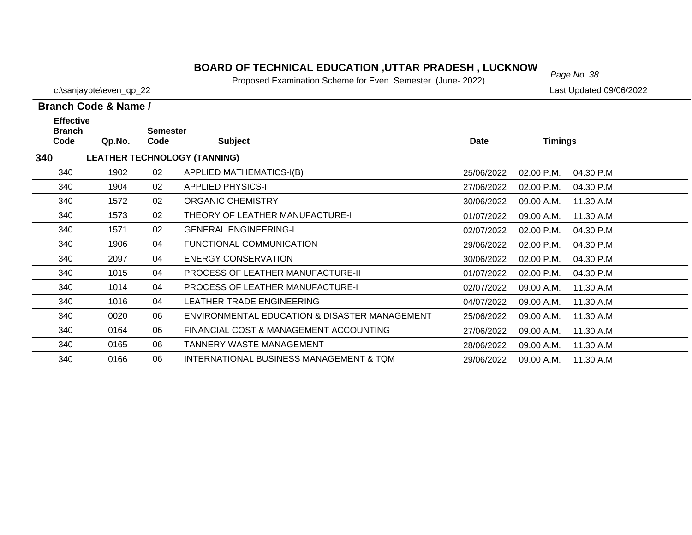### *Page No. 38* **BOARD OF TECHNICAL EDUCATION ,UTTAR PRADESH , LUCKNOW**

Proposed Examination Scheme for Even Semester (June- 2022)

|     |                                   | Branch Code & Name / |                 |                                     |  |
|-----|-----------------------------------|----------------------|-----------------|-------------------------------------|--|
|     | <b>Effective</b><br><b>Branch</b> |                      | <b>Semester</b> |                                     |  |
|     | Code                              | Qp.No.               | Code            | <b>Subject</b>                      |  |
| 340 |                                   |                      |                 | <b>LEATHER TECHNOLOGY (TANNING)</b> |  |
|     | 340                               | 1902                 | 02              | APPLIED MATHEMATICS-I(B)            |  |
|     | 340                               | 1904                 | 02              | <b>APPLIED PHYSICS-II</b>           |  |
|     | 340                               | 1572                 | 02              | <b>ORGANIC CHEMISTRY</b>            |  |
|     |                                   |                      |                 |                                     |  |

| <b>Branch</b> |        | <b>Semester</b> |                                               |             |                |            |
|---------------|--------|-----------------|-----------------------------------------------|-------------|----------------|------------|
| Code          | Qp.No. | Code            | <b>Subject</b>                                | <b>Date</b> | <b>Timings</b> |            |
| 340           |        |                 | <b>LEATHER TECHNOLOGY (TANNING)</b>           |             |                |            |
| 340           | 1902   | 02              | <b>APPLIED MATHEMATICS-I(B)</b>               | 25/06/2022  | 02.00 P.M.     | 04.30 P.M. |
| 340           | 1904   | 02              | <b>APPLIED PHYSICS-II</b>                     | 27/06/2022  | 02.00 P.M.     | 04.30 P.M. |
| 340           | 1572   | 02              | <b>ORGANIC CHEMISTRY</b>                      | 30/06/2022  | 09.00 A.M.     | 11.30 A.M. |
| 340           | 1573   | 02              | THEORY OF LEATHER MANUFACTURE-I               | 01/07/2022  | 09.00 A.M.     | 11.30 A.M. |
| 340           | 1571   | 02              | <b>GENERAL ENGINEERING-I</b>                  | 02/07/2022  | 02.00 P.M.     | 04.30 P.M. |
| 340           | 1906   | 04              | FUNCTIONAL COMMUNICATION                      | 29/06/2022  | 02.00 P.M.     | 04.30 P.M. |
| 340           | 2097   | 04              | <b>ENERGY CONSERVATION</b>                    | 30/06/2022  | 02.00 P.M.     | 04.30 P.M. |
| 340           | 1015   | 04              | <b>PROCESS OF LEATHER MANUFACTURE-II</b>      | 01/07/2022  | 02.00 P.M.     | 04.30 P.M. |
| 340           | 1014   | 04              | <b>PROCESS OF LEATHER MANUFACTURE-I</b>       | 02/07/2022  | 09.00 A.M.     | 11.30 A.M. |
| 340           | 1016   | 04              | LEATHER TRADE ENGINEERING                     | 04/07/2022  | 09.00 A.M.     | 11.30 A.M. |
| 340           | 0020   | 06              | ENVIRONMENTAL EDUCATION & DISASTER MANAGEMENT | 25/06/2022  | 09.00 A.M.     | 11.30 A.M. |
| 340           | 0164   | 06              | FINANCIAL COST & MANAGEMENT ACCOUNTING        | 27/06/2022  | 09.00 A.M.     | 11.30 A.M. |
| 340           | 0165   | 06              | <b>TANNERY WASTE MANAGEMENT</b>               | 28/06/2022  | 09.00 A.M.     | 11.30 A.M. |
| 340           | 0166   | 06              | INTERNATIONAL BUSINESS MANAGEMENT & TQM       | 29/06/2022  | 09.00 A.M.     | 11.30 A.M. |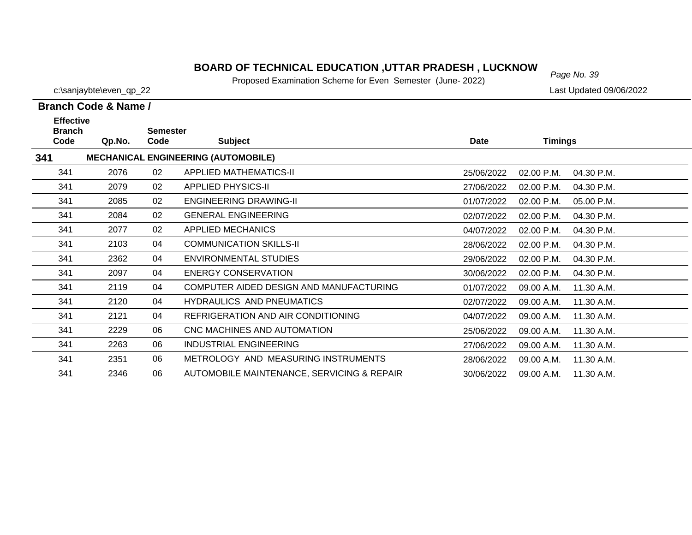### *Page No. 39* **BOARD OF TECHNICAL EDUCATION ,UTTAR PRADESH , LUCKNOW**

Proposed Examination Scheme for Even Semester (June- 2022)

|                                                                                                                                   | Branch Code & Name / |    |                                            |            |                          |  |  |  |
|-----------------------------------------------------------------------------------------------------------------------------------|----------------------|----|--------------------------------------------|------------|--------------------------|--|--|--|
| <b>Effective</b><br><b>Branch</b><br><b>Semester</b><br>Code<br><b>Subject</b><br><b>Date</b><br><b>Timings</b><br>Qp.No.<br>Code |                      |    |                                            |            |                          |  |  |  |
| 341                                                                                                                               |                      |    | <b>MECHANICAL ENGINEERING (AUTOMOBILE)</b> |            |                          |  |  |  |
| 341                                                                                                                               | 2076                 | 02 | <b>APPLIED MATHEMATICS-II</b>              | 25/06/2022 | 02.00 P.M.<br>04.30 P.M. |  |  |  |
| 341                                                                                                                               | 2079                 | 02 | <b>APPLIED PHYSICS-II</b>                  | 27/06/2022 | 02.00 P.M.<br>04.30 P.M. |  |  |  |
| 341                                                                                                                               | 2085                 | 02 | <b>ENGINEERING DRAWING-II</b>              | 01/07/2022 | 02.00 P.M.<br>05.00 P.M. |  |  |  |
| 341                                                                                                                               | 2084                 | 02 | <b>GENERAL ENGINEERING</b>                 | 02/07/2022 | 04.30 P.M.<br>02.00 P.M. |  |  |  |
| 341                                                                                                                               | 2077                 | 02 | <b>APPLIED MECHANICS</b>                   | 04/07/2022 | 02.00 P.M.<br>04.30 P.M. |  |  |  |
| 341                                                                                                                               | 2103                 | 04 | <b>COMMUNICATION SKILLS-II</b>             | 28/06/2022 | 02.00 P.M.<br>04.30 P.M. |  |  |  |
| 341                                                                                                                               | 2362                 | 04 | ENVIRONMENTAL STUDIES                      | 29/06/2022 | 04.30 P.M.<br>02.00 P.M. |  |  |  |
| 341                                                                                                                               | 2097                 | 04 | <b>ENERGY CONSERVATION</b>                 | 30/06/2022 | 02.00 P.M.<br>04.30 P.M. |  |  |  |
| 341                                                                                                                               | 2119                 | 04 | COMPUTER AIDED DESIGN AND MANUFACTURING    | 01/07/2022 | 09.00 A.M.<br>11.30 A.M. |  |  |  |
| 341                                                                                                                               | 2120                 | 04 | <b>HYDRAULICS AND PNEUMATICS</b>           | 02/07/2022 | 11.30 A.M.<br>09.00 A.M. |  |  |  |
| 341                                                                                                                               | 2121                 | 04 | REFRIGERATION AND AIR CONDITIONING         | 04/07/2022 | 09.00 A.M.<br>11.30 A.M. |  |  |  |
| 341                                                                                                                               | 2229                 | 06 | CNC MACHINES AND AUTOMATION                | 25/06/2022 | 09.00 A.M.<br>11.30 A.M. |  |  |  |
| 341                                                                                                                               | 2263                 | 06 | <b>INDUSTRIAL ENGINEERING</b>              | 27/06/2022 | 11.30 A.M.<br>09.00 A.M. |  |  |  |
| 341                                                                                                                               | 2351                 | 06 | METROLOGY AND MEASURING INSTRUMENTS        | 28/06/2022 | 11.30 A.M.<br>09.00 A.M. |  |  |  |
| 341                                                                                                                               | 2346                 | 06 | AUTOMOBILE MAINTENANCE, SERVICING & REPAIR | 30/06/2022 | 09.00 A.M.<br>11.30 A.M. |  |  |  |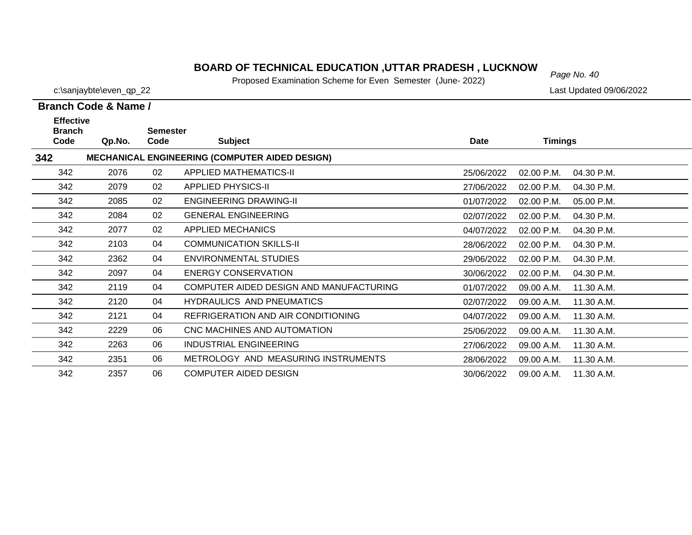### **BOARD OF TECHNICAL EDUCATION ,UTTAR PRADESH , LUCKNOW**<br>Page No. 40

Proposed Examination Scheme for Even Semester (June- 2022)

**Branch Code & Name /**

**Branch** 

**Effective** 

c:\sanjaybte\even\_qp\_22 Last Updated 09/06/2022

# **Code Qp.No. Semester Code Subject Date Timings MECHANICAL ENGINEERING (COMPUTER AIDED DESIGN)**

| 342 |      |    | <b>MECHANICAL ENGINEERING (COMPUTER AIDED DESIGN)</b> |            |              |            |
|-----|------|----|-------------------------------------------------------|------------|--------------|------------|
| 342 | 2076 | 02 | APPLIED MATHEMATICS-II                                | 25/06/2022 | $02.00$ P.M. | 04.30 P.M. |
| 342 | 2079 | 02 | <b>APPLIED PHYSICS-II</b>                             | 27/06/2022 | 02.00 P.M.   | 04.30 P.M. |
| 342 | 2085 | 02 | ENGINEERING DRAWING-II                                | 01/07/2022 | 02.00 P.M.   | 05.00 P.M. |
| 342 | 2084 | 02 | <b>GENERAL ENGINEERING</b>                            | 02/07/2022 | $02.00$ P.M. | 04.30 P.M. |
| 342 | 2077 | 02 | APPLIED MECHANICS                                     | 04/07/2022 | $02.00$ P.M. | 04.30 P.M. |
| 342 | 2103 | 04 | <b>COMMUNICATION SKILLS-II</b>                        | 28/06/2022 | 02.00 P.M.   | 04.30 P.M. |
| 342 | 2362 | 04 | ENVIRONMENTAL STUDIES                                 | 29/06/2022 | $02.00$ P.M. | 04.30 P.M. |
| 342 | 2097 | 04 | <b>ENERGY CONSERVATION</b>                            | 30/06/2022 | $02.00$ P.M. | 04.30 P.M. |
| 342 | 2119 | 04 | COMPUTER AIDED DESIGN AND MANUFACTURING               | 01/07/2022 | 09.00 A.M.   | 11.30 A.M. |
| 342 | 2120 | 04 | <b>HYDRAULICS AND PNEUMATICS</b>                      | 02/07/2022 | 09.00 A.M.   | 11.30 A.M. |
| 342 | 2121 | 04 | REFRIGERATION AND AIR CONDITIONING                    | 04/07/2022 | 09.00 A.M.   | 11.30 A.M. |
| 342 | 2229 | 06 | CNC MACHINES AND AUTOMATION                           | 25/06/2022 | 09.00 A.M.   | 11.30 A.M. |
| 342 | 2263 | 06 | INDUSTRIAL ENGINEERING                                | 27/06/2022 | 09.00 A.M.   | 11.30 A.M. |
| 342 | 2351 | 06 | METROLOGY AND MEASURING INSTRUMENTS                   | 28/06/2022 | 09.00 A.M.   | 11.30 A.M. |
| 342 | 2357 | 06 | COMPUTER AIDED DESIGN                                 | 30/06/2022 | 09.00 A.M.   | 11.30 A.M. |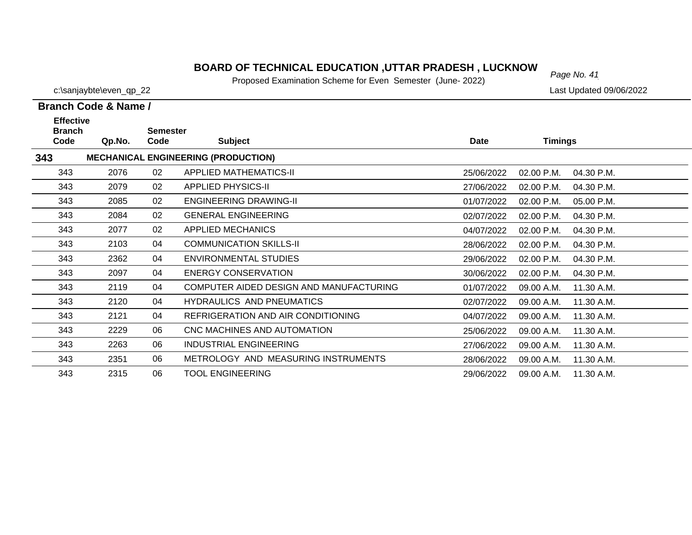### **BOARD OF TECHNICAL EDUCATION ,UTTAR PRADESH , LUCKNOW**<br>**Page No. 41 Burnard Evenimation Scheme for Fixer, Sempater (June, 2003)**

Proposed Examination Scheme for Even Semester (June- 2022)

28/06/2022 09.00 A.M.

29/06/2022 09.00 A.M. 11.30 A.M.

343

343

c:\sanjaybte\even\_qp\_22 Last Updated 09/06/2022

11.30 A.M.

|                                           | <b>Branch Code &amp; Name /</b> |                         |                                            |            |              |            |  |
|-------------------------------------------|---------------------------------|-------------------------|--------------------------------------------|------------|--------------|------------|--|
| <b>Effective</b><br><b>Branch</b><br>Code | Qp.No.                          | <b>Semester</b><br>Code | <b>Subject</b>                             | Date       | Timings      |            |  |
| 343                                       |                                 |                         | <b>MECHANICAL ENGINEERING (PRODUCTION)</b> |            |              |            |  |
| 343                                       | 2076                            | 02                      | <b>APPLIED MATHEMATICS-II</b>              | 25/06/2022 | $02.00$ P.M. | 04.30 P.M. |  |
| 343                                       | 2079                            | 02                      | <b>APPLIED PHYSICS-II</b>                  | 27/06/2022 | 02.00 P.M.   | 04.30 P.M. |  |
| 343                                       | 2085                            | 02                      | ENGINEERING DRAWING-II                     | 01/07/2022 | 02.00 P.M.   | 05.00 P.M. |  |
| 343                                       | 2084                            | 02                      | <b>GENERAL ENGINEERING</b>                 | 02/07/2022 | 02.00 P.M.   | 04.30 P.M. |  |
| 343                                       | 2077                            | 02                      | <b>APPLIED MECHANICS</b>                   | 04/07/2022 | 02.00 P.M.   | 04.30 P.M. |  |
| 343                                       | 2103                            | 04                      | <b>COMMUNICATION SKILLS-II</b>             | 28/06/2022 | 02.00 P.M.   | 04.30 P.M. |  |
| 343                                       | 2362                            | 04                      | <b>ENVIRONMENTAL STUDIES</b>               | 29/06/2022 | 02.00 P.M.   | 04.30 P.M. |  |
| 343                                       | 2097                            | 04                      | <b>ENERGY CONSERVATION</b>                 | 30/06/2022 | 02.00 P.M.   | 04.30 P.M. |  |
| 343                                       | 2119                            | 04                      | COMPUTER AIDED DESIGN AND MANUFACTURING    | 01/07/2022 | 09.00 A.M.   | 11.30 A.M. |  |
| 343                                       | 2120                            | 04                      | <b>HYDRAULICS AND PNEUMATICS</b>           | 02/07/2022 | 09.00 A.M.   | 11.30 A.M. |  |
| 343                                       | 2121                            | 04                      | REFRIGERATION AND AIR CONDITIONING         | 04/07/2022 | 09.00 A.M.   | 11.30 A.M. |  |
| 343                                       | 2229                            | 06                      | CNC MACHINES AND AUTOMATION                | 25/06/2022 | 09.00 A.M.   | 11.30 A.M. |  |
| 343                                       | 2263                            | 06                      | <b>INDUSTRIAL ENGINEERING</b>              | 27/06/2022 | 09.00 A.M.   | 11.30 A.M. |  |

2351 06 METROLOGY AND MEASURING INSTRUMENTS

2315 06 TOOL ENGINEERING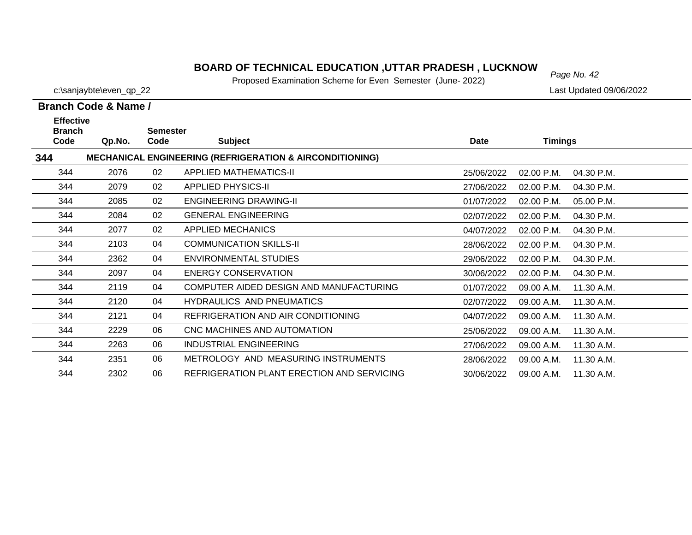### **BOARD OF TECHNICAL EDUCATION ,UTTAR PRADESH , LUCKNOW**<br>Page No. 42

Proposed Examination Scheme for Even Semester (June- 2022)

30/06/2022 09.00 A.M. 11.30 A.M.

c:\sanjaybte\even\_qp\_22 Last Updated 09/06/2022

344

|                                           | Branch Code & Name / |                         |                                                                     |            |                          |  |  |  |
|-------------------------------------------|----------------------|-------------------------|---------------------------------------------------------------------|------------|--------------------------|--|--|--|
| <b>Effective</b><br><b>Branch</b><br>Code | Qp.No.               | <b>Semester</b><br>Code | <b>Subject</b>                                                      | Date       | <b>Timings</b>           |  |  |  |
| 344                                       |                      |                         | <b>MECHANICAL ENGINEERING (REFRIGERATION &amp; AIRCONDITIONING)</b> |            |                          |  |  |  |
| 344                                       | 2076                 | 02                      | APPLIED MATHEMATICS-II                                              | 25/06/2022 | 02.00 P.M.<br>04.30 P.M. |  |  |  |
| 344                                       | 2079                 | 02                      | <b>APPLIED PHYSICS-II</b>                                           | 27/06/2022 | 04.30 P.M.<br>02.00 P.M. |  |  |  |
| 344                                       | 2085                 | 02                      | <b>ENGINEERING DRAWING-II</b>                                       | 01/07/2022 | 02.00 P.M.<br>05.00 P.M. |  |  |  |
| 344                                       | 2084                 | 02                      | <b>GENERAL ENGINEERING</b>                                          | 02/07/2022 | 02.00 P.M.<br>04.30 P.M. |  |  |  |
| 344                                       | 2077                 | 02                      | <b>APPLIED MECHANICS</b>                                            | 04/07/2022 | 02.00 P.M.<br>04.30 P.M. |  |  |  |
| 344                                       | 2103                 | 04                      | <b>COMMUNICATION SKILLS-II</b>                                      | 28/06/2022 | 02.00 P.M.<br>04.30 P.M. |  |  |  |
| 344                                       | 2362                 | 04                      | <b>ENVIRONMENTAL STUDIES</b>                                        | 29/06/2022 | 02.00 P.M.<br>04.30 P.M. |  |  |  |
| 344                                       | 2097                 | 04                      | <b>ENERGY CONSERVATION</b>                                          | 30/06/2022 | 02.00 P.M.<br>04.30 P.M. |  |  |  |
| 344                                       | 2119                 | 04                      | COMPUTER AIDED DESIGN AND MANUFACTURING                             | 01/07/2022 | 09.00 A.M.<br>11.30 A.M. |  |  |  |
| 344                                       | 2120                 | 04                      | <b>HYDRAULICS AND PNEUMATICS</b>                                    | 02/07/2022 | 09.00 A.M.<br>11.30 A.M. |  |  |  |
| 344                                       | 2121                 | 04                      | REFRIGERATION AND AIR CONDITIONING                                  | 04/07/2022 | 09.00 A.M.<br>11.30 A.M. |  |  |  |
| 344                                       | 2229                 | 06                      | CNC MACHINES AND AUTOMATION                                         | 25/06/2022 | 09.00 A.M.<br>11.30 A.M. |  |  |  |
| 344                                       | 2263                 | 06                      | INDUSTRIAL ENGINEERING                                              | 27/06/2022 | 09.00 A.M.<br>11.30 A.M. |  |  |  |
| 344                                       | 2351                 | 06                      | <b>METROLOGY AND MEASURING INSTRUMENTS</b>                          | 28/06/2022 | 11.30 A.M.<br>09.00 A.M. |  |  |  |

2302 06 REFRIGERATION PLANT ERECTION AND SERVICING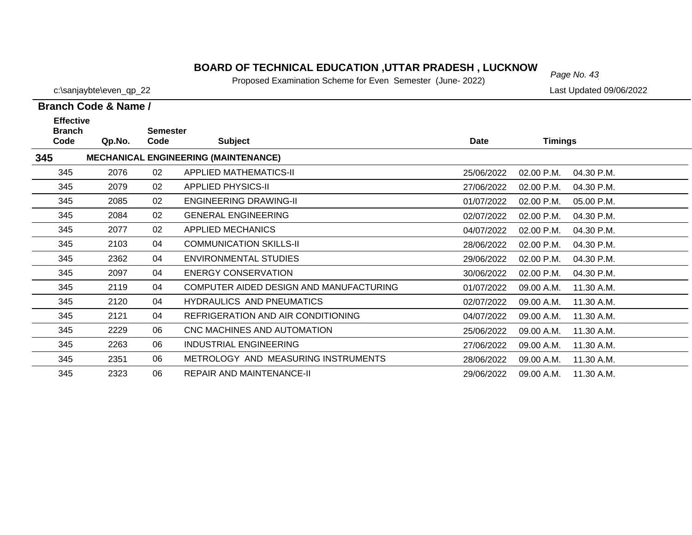### **BOARD OF TECHNICAL EDUCATION ,UTTAR PRADESH , LUCKNOW**  $_{Page No. 43}$

Proposed Examination Scheme for Even Semester (June- 2022)

**Branch Code & Name /**

**Branch** 

345

**345**

**Effective** 

c:\sanjaybte\even\_qp\_22 Last Updated 09/06/2022

04.30 P.M.

# **Code Qp.No. Semester Code Subject Date Timings MECHANICAL ENGINEERING (MAINTENANCE)** 2076 02 APPLIED MATHEMATICS-II 25/06/2022 02.00 P.M.

| 345 | 2079 | 02 | <b>APPLIED PHYSICS-II</b>               | 27/06/2022 | $02.00$ P.M. | 04.30 P.M. |
|-----|------|----|-----------------------------------------|------------|--------------|------------|
| 345 | 2085 | 02 | <b>ENGINEERING DRAWING-II</b>           | 01/07/2022 | $02.00$ P.M. | 05.00 P.M. |
| 345 | 2084 | 02 | <b>GENERAL ENGINEERING</b>              | 02/07/2022 | $02.00$ P.M. | 04.30 P.M. |
| 345 | 2077 | 02 | APPLIED MECHANICS                       | 04/07/2022 | $02.00$ P.M. | 04.30 P.M. |
| 345 | 2103 | 04 | <b>COMMUNICATION SKILLS-II</b>          | 28/06/2022 | $02.00$ P.M. | 04.30 P.M. |
| 345 | 2362 | 04 | ENVIRONMENTAL STUDIES                   | 29/06/2022 | $02.00$ P.M. | 04.30 P.M. |
| 345 | 2097 | 04 | ENERGY CONSERVATION                     | 30/06/2022 | $02.00$ P.M. | 04.30 P.M. |
| 345 | 2119 | 04 | COMPUTER AIDED DESIGN AND MANUFACTURING | 01/07/2022 | 09.00 A.M.   | 11.30 A.M. |
| 345 | 2120 | 04 | <b>HYDRAULICS AND PNEUMATICS</b>        | 02/07/2022 | 09.00 A.M.   | 11.30 A.M. |
| 345 | 2121 | 04 | REFRIGERATION AND AIR CONDITIONING      | 04/07/2022 | 09.00 A.M.   | 11.30 A.M. |
| 345 | 2229 | 06 | CNC MACHINES AND AUTOMATION             | 25/06/2022 | 09.00 A.M.   | 11.30 A.M. |
| 345 | 2263 | 06 | INDUSTRIAL ENGINEERING                  | 27/06/2022 | 09.00 A.M.   | 11.30 A.M. |
| 345 | 2351 | 06 | METROLOGY AND MEASURING INSTRUMENTS     | 28/06/2022 | 09.00 A.M.   | 11.30 A.M. |
| 345 | 2323 | 06 | REPAIR AND MAINTENANCE-II               | 29/06/2022 | 09.00 A.M.   | 11.30 A.M. |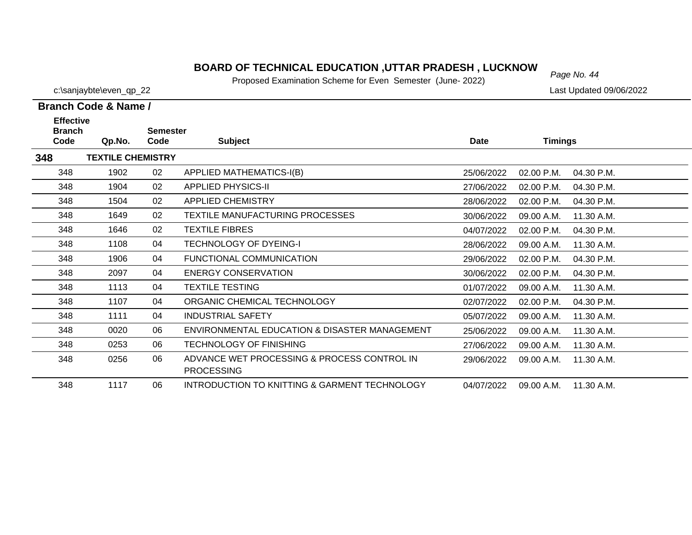### *Page No. 44* **BOARD OF TECHNICAL EDUCATION ,UTTAR PRADESH , LUCKNOW**

Proposed Examination Scheme for Even Semester (June- 2022)

|  | Branch Code & Name / |
|--|----------------------|

| <b>Effective</b><br><b>Branch</b><br>Code | Qp.No.                   | Semester<br>Code | <b>Subject</b>                                                   | <b>Date</b> | <b>Timings</b> |            |
|-------------------------------------------|--------------------------|------------------|------------------------------------------------------------------|-------------|----------------|------------|
| 348                                       | <b>TEXTILE CHEMISTRY</b> |                  |                                                                  |             |                |            |
| 348                                       | 1902                     | 02               | <b>APPLIED MATHEMATICS-I(B)</b>                                  | 25/06/2022  | 02.00 P.M.     | 04.30 P.M. |
| 348                                       | 1904                     | 02               | <b>APPLIED PHYSICS-II</b>                                        | 27/06/2022  | 02.00 P.M.     | 04.30 P.M. |
| 348                                       | 1504                     | 02               | <b>APPLIED CHEMISTRY</b>                                         | 28/06/2022  | 02.00 P.M.     | 04.30 P.M. |
| 348                                       | 1649                     | 02               | TEXTILE MANUFACTURING PROCESSES                                  | 30/06/2022  | 09.00 A.M.     | 11.30 A.M. |
| 348                                       | 1646                     | 02               | <b>TEXTILE FIBRES</b>                                            | 04/07/2022  | 02.00 P.M.     | 04.30 P.M. |
| 348                                       | 1108                     | 04               | <b>TECHNOLOGY OF DYEING-I</b>                                    | 28/06/2022  | 09.00 A.M.     | 11.30 A.M. |
| 348                                       | 1906                     | 04               | <b>FUNCTIONAL COMMUNICATION</b>                                  | 29/06/2022  | 02.00 P.M.     | 04.30 P.M. |
| 348                                       | 2097                     | 04               | <b>ENERGY CONSERVATION</b>                                       | 30/06/2022  | 02.00 P.M.     | 04.30 P.M. |
| 348                                       | 1113                     | 04               | <b>TEXTILE TESTING</b>                                           | 01/07/2022  | 09.00 A.M.     | 11.30 A.M. |
| 348                                       | 1107                     | 04               | ORGANIC CHEMICAL TECHNOLOGY                                      | 02/07/2022  | 02.00 P.M.     | 04.30 P.M. |
| 348                                       | 1111                     | 04               | <b>INDUSTRIAL SAFETY</b>                                         | 05/07/2022  | 09.00 A.M.     | 11.30 A.M. |
| 348                                       | 0020                     | 06               | ENVIRONMENTAL EDUCATION & DISASTER MANAGEMENT                    | 25/06/2022  | 09.00 A.M.     | 11.30 A.M. |
| 348                                       | 0253                     | 06               | <b>TECHNOLOGY OF FINISHING</b>                                   | 27/06/2022  | 09.00 A.M.     | 11.30 A.M. |
| 348                                       | 0256                     | 06               | ADVANCE WET PROCESSING & PROCESS CONTROL IN<br><b>PROCESSING</b> | 29/06/2022  | 09.00 A.M.     | 11.30 A.M. |
| 348                                       | 1117                     | 06               | INTRODUCTION TO KNITTING & GARMENT TECHNOLOGY                    | 04/07/2022  | 09.00 A.M.     | 11.30 A.M. |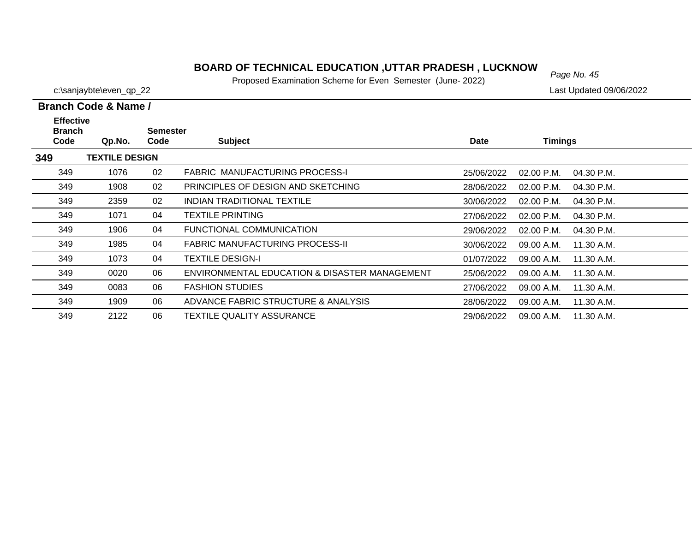### *Page No. 45* **BOARD OF TECHNICAL EDUCATION ,UTTAR PRADESH , LUCKNOW**

Proposed Examination Scheme for Even Semester (June- 2022)

| Branch Code & Name / |  |  |
|----------------------|--|--|

| <b>Effective</b><br><b>Branch</b> |                       | <b>Semester</b> |                                               |            |                              |  |
|-----------------------------------|-----------------------|-----------------|-----------------------------------------------|------------|------------------------------|--|
| Code                              | Qp.No.                | Code            | <b>Subject</b>                                | Date       | Timings                      |  |
| 349                               | <b>TEXTILE DESIGN</b> |                 |                                               |            |                              |  |
| 349                               | 1076                  | 02              | FABRIC MANUFACTURING PROCESS-I                | 25/06/2022 | 02.00 P.M.<br>04.30 P.M.     |  |
| 349                               | 1908                  | 02              | PRINCIPLES OF DESIGN AND SKETCHING            | 28/06/2022 | $02.00$ P.M.<br>$04.30$ P.M. |  |
| 349                               | 2359                  | 02              | INDIAN TRADITIONAL TEXTILE                    | 30/06/2022 | $02.00$ P.M.<br>$04.30$ P.M. |  |
| 349                               | 1071                  | 04              | TEXTILE PRINTING                              | 27/06/2022 | 02.00 P.M.<br>04.30 P.M.     |  |
| 349                               | 1906                  | 04              | FUNCTIONAL COMMUNICATION                      | 29/06/2022 | $02.00$ P.M.<br>04.30 P.M.   |  |
| 349                               | 1985                  | 04              | <b>FABRIC MANUFACTURING PROCESS-II</b>        | 30/06/2022 | 09.00 A.M.<br>11.30 A.M.     |  |
| 349                               | 1073                  | 04              | <b>TEXTILE DESIGN-I</b>                       | 01/07/2022 | 09.00 A.M.<br>11.30 A.M.     |  |
| 349                               | 0020                  | 06              | ENVIRONMENTAL EDUCATION & DISASTER MANAGEMENT | 25/06/2022 | 09.00 A.M.<br>11.30 A.M.     |  |
| 349                               | 0083                  | 06              | <b>FASHION STUDIES</b>                        | 27/06/2022 | 11.30 A.M.<br>09.00 A.M.     |  |
| 349                               | 1909                  | 06              | ADVANCE FABRIC STRUCTURE & ANALYSIS           | 28/06/2022 | 09.00 A.M.<br>11.30 A.M.     |  |
| 349                               | 2122                  | 06              | <b>TEXTILE QUALITY ASSURANCE</b>              | 29/06/2022 | 11.30 A.M.<br>09.00 A.M.     |  |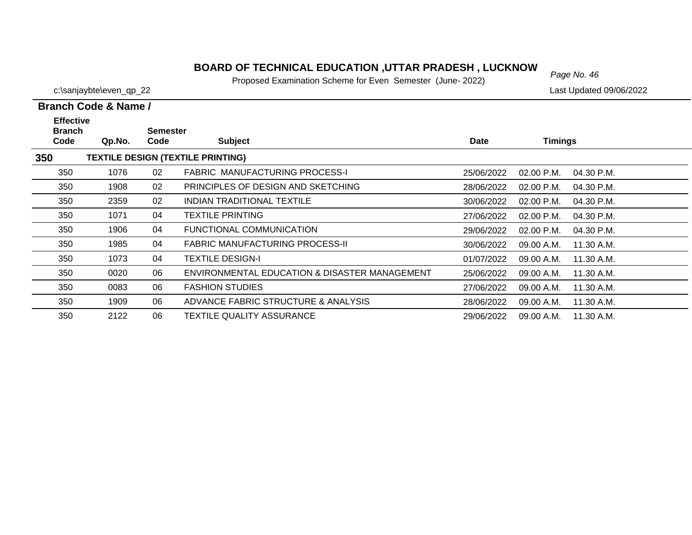### *Page No. 46* **BOARD OF TECHNICAL EDUCATION ,UTTAR PRADESH , LUCKNOW**

Proposed Examination Scheme for Even Semester (June- 2022)

c:\sanjaybte\even\_qp\_22 Last Updated 09/06/2022

### **Branch Code & Name /**

| <b>Effective</b><br><b>Branch</b> |        | Semester |                                               |             |                            |  |
|-----------------------------------|--------|----------|-----------------------------------------------|-------------|----------------------------|--|
| Code                              | Qp.No. | Code     | <b>Subject</b>                                | <b>Date</b> | <b>Timings</b>             |  |
| 350                               |        |          | <b>TEXTILE DESIGN (TEXTILE PRINTING)</b>      |             |                            |  |
| 350                               | 1076   | 02       | <b>FABRIC MANUFACTURING PROCESS-I</b>         | 25/06/2022  | $02.00$ P.M.<br>04.30 P.M. |  |
| 350                               | 1908   | 02       | PRINCIPLES OF DESIGN AND SKETCHING            | 28/06/2022  | $02.00$ P.M.<br>04.30 P.M. |  |
| 350                               | 2359   | 02       | INDIAN TRADITIONAL TEXTILE                    | 30/06/2022  | $02.00$ P.M.<br>04.30 P.M. |  |
| 350                               | 1071   | 04       | <b>TEXTILE PRINTING</b>                       | 27/06/2022  | $02.00$ P.M.<br>04.30 P.M. |  |
| 350                               | 1906   | 04       | FUNCTIONAL COMMUNICATION                      | 29/06/2022  | 02.00 P.M.<br>04.30 P.M.   |  |
| 350                               | 1985   | 04       | <b>FABRIC MANUFACTURING PROCESS-II</b>        | 30/06/2022  | 11.30 A.M.<br>09.00 A.M.   |  |
| 350                               | 1073   | 04       | <b>TEXTILE DESIGN-I</b>                       | 01/07/2022  | 09.00 A.M.<br>11.30 A.M.   |  |
| 350                               | 0020   | 06       | ENVIRONMENTAL EDUCATION & DISASTER MANAGEMENT | 25/06/2022  | 11.30 A.M.<br>09.00 A.M.   |  |
| 350                               | 0083   | 06       | <b>FASHION STUDIES</b>                        | 27/06/2022  | 11.30 A.M.<br>09.00 A.M.   |  |
| 350                               | 1909   | 06       | ADVANCE FABRIC STRUCTURE & ANALYSIS           | 28/06/2022  | 09.00 A.M.<br>11.30 A.M.   |  |
| 350                               | 2122   | 06       | TEXTILE QUALITY ASSURANCE                     | 29/06/2022  | 11.30 A.M.<br>09.00 A.M.   |  |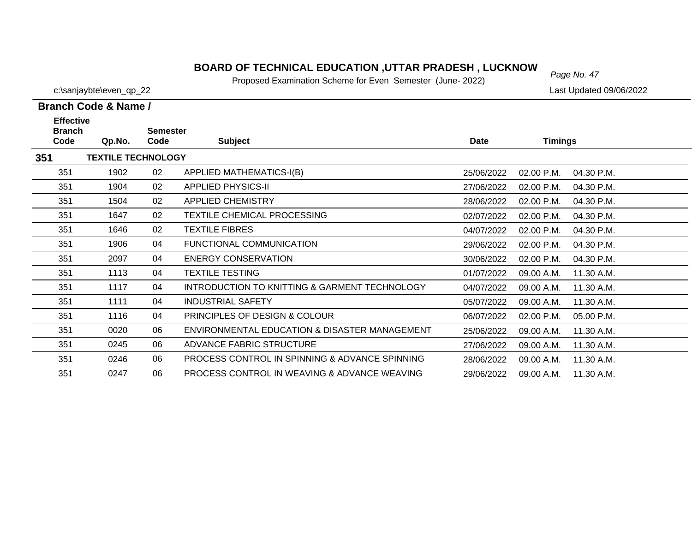### **BOARD OF TECHNICAL EDUCATION ,UTTAR PRADESH , LUCKNOW**  $_{Page No. 47}$

Proposed Examination Scheme for Even Semester (June- 2022)

27/06/2022 09.00 A.M.

28/06/2022 09.00 A.M.

29/06/2022 09.00 A.M. 11.30 A.M.

11.30 A.M.

11.30 A.M.

c:\sanjaybte\even\_qp\_22 Last Updated 09/06/2022

351

351

351

0245 06 ADVANCE FABRIC STRUCTURE

0246 06 PROCESS CONTROL IN SPINNING & ADVANCE SPINNING

0247 06 PROCESS CONTROL IN WEAVING & ADVANCE WEAVING

|                                           | Branch Code & Name /      |                         |                                               |             |                            |  |  |  |  |
|-------------------------------------------|---------------------------|-------------------------|-----------------------------------------------|-------------|----------------------------|--|--|--|--|
| <b>Effective</b><br><b>Branch</b><br>Code | Qp.No.                    | <b>Semester</b><br>Code | <b>Subject</b>                                | <b>Date</b> | <b>Timings</b>             |  |  |  |  |
| 351                                       | <b>TEXTILE TECHNOLOGY</b> |                         |                                               |             |                            |  |  |  |  |
| 351                                       | 1902                      | 02                      | APPLIED MATHEMATICS-I(B)                      | 25/06/2022  | 02.00 P.M.<br>04.30 P.M.   |  |  |  |  |
| 351                                       | 1904                      | 02                      | <b>APPLIED PHYSICS-II</b>                     | 27/06/2022  | $02.00$ P.M.<br>04.30 P.M. |  |  |  |  |
| 351                                       | 1504                      | 02                      | APPLIED CHEMISTRY                             | 28/06/2022  | 02.00 P.M.<br>04.30 P.M.   |  |  |  |  |
| 351                                       | 1647                      | 02                      | <b>TEXTILE CHEMICAL PROCESSING</b>            | 02/07/2022  | 04.30 P.M.<br>$02.00$ P.M. |  |  |  |  |
| 351                                       | 1646                      | 02                      | TEXTILE FIBRES                                | 04/07/2022  | $02.00$ P.M.<br>04.30 P.M. |  |  |  |  |
| 351                                       | 1906                      | 04                      | FUNCTIONAL COMMUNICATION                      | 29/06/2022  | $02.00$ P.M.<br>04.30 P.M. |  |  |  |  |
| 351                                       | 2097                      | 04                      | ENERGY CONSERVATION                           | 30/06/2022  | 02.00 P.M.<br>04.30 P.M.   |  |  |  |  |
| 351                                       | 1113                      | 04                      | <b>TEXTILE TESTING</b>                        | 01/07/2022  | 11.30 A.M.<br>09.00 A.M.   |  |  |  |  |
| 351                                       | 1117                      | 04                      | INTRODUCTION TO KNITTING & GARMENT TECHNOLOGY | 04/07/2022  | 09.00 A.M.<br>11.30 A.M.   |  |  |  |  |
| 351                                       | 1111                      | 04                      | <b>INDUSTRIAL SAFETY</b>                      | 05/07/2022  | 11.30 A.M.<br>09.00 A.M.   |  |  |  |  |
| 351                                       | 1116                      | 04                      | <b>PRINCIPLES OF DESIGN &amp; COLOUR</b>      | 06/07/2022  | 02.00 P.M.<br>05.00 P.M.   |  |  |  |  |
| 351                                       | 0020                      | 06                      | ENVIRONMENTAL EDUCATION & DISASTER MANAGEMENT | 25/06/2022  | 11.30 A.M.<br>09.00 A.M.   |  |  |  |  |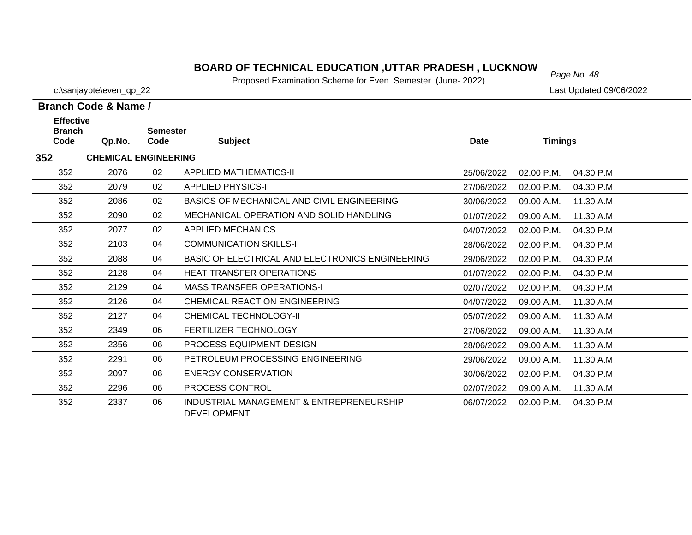### *Page No. 48* **BOARD OF TECHNICAL EDUCATION ,UTTAR PRADESH , LUCKNOW**

Proposed Examination Scheme for Even Semester (June- 2022)

| Branch Code & Name / |  |  |
|----------------------|--|--|

| <b>Effective</b>      |                             | <b>Semester</b> |                                                                |            |                |            |
|-----------------------|-----------------------------|-----------------|----------------------------------------------------------------|------------|----------------|------------|
| <b>Branch</b><br>Code | Qp.No.                      | Code            | <b>Subject</b>                                                 | Date       | <b>Timings</b> |            |
| 352                   | <b>CHEMICAL ENGINEERING</b> |                 |                                                                |            |                |            |
| 352                   | 2076                        | 02              | <b>APPLIED MATHEMATICS-II</b>                                  | 25/06/2022 | 02.00 P.M.     | 04.30 P.M. |
| 352                   | 2079                        | 02              | <b>APPLIED PHYSICS-II</b>                                      | 27/06/2022 | $02.00$ P.M.   | 04.30 P.M. |
| 352                   | 2086                        | 02              | BASICS OF MECHANICAL AND CIVIL ENGINEERING                     | 30/06/2022 | 09.00 A.M.     | 11.30 A.M. |
| 352                   | 2090                        | 02              | MECHANICAL OPERATION AND SOLID HANDLING                        | 01/07/2022 | 09.00 A.M.     | 11.30 A.M. |
| 352                   | 2077                        | 02              | APPLIED MECHANICS                                              | 04/07/2022 | 02.00 P.M.     | 04.30 P.M. |
| 352                   | 2103                        | 04              | <b>COMMUNICATION SKILLS-II</b>                                 | 28/06/2022 | 02.00 P.M.     | 04.30 P.M. |
| 352                   | 2088                        | 04              | BASIC OF ELECTRICAL AND ELECTRONICS ENGINEERING                | 29/06/2022 | 02.00 P.M.     | 04.30 P.M. |
| 352                   | 2128                        | 04              | <b>HEAT TRANSFER OPERATIONS</b>                                | 01/07/2022 | 02.00 P.M.     | 04.30 P.M. |
| 352                   | 2129                        | 04              | <b>MASS TRANSFER OPERATIONS-I</b>                              | 02/07/2022 | 02.00 P.M.     | 04.30 P.M. |
| 352                   | 2126                        | 04              | CHEMICAL REACTION ENGINEERING                                  | 04/07/2022 | 09.00 A.M.     | 11.30 A.M. |
| 352                   | 2127                        | 04              | CHEMICAL TECHNOLOGY-II                                         | 05/07/2022 | 09.00 A.M.     | 11.30 A.M. |
| 352                   | 2349                        | 06              | <b>FERTILIZER TECHNOLOGY</b>                                   | 27/06/2022 | 09.00 A.M.     | 11.30 A.M. |
| 352                   | 2356                        | 06              | PROCESS EQUIPMENT DESIGN                                       | 28/06/2022 | 09.00 A.M.     | 11.30 A.M. |
| 352                   | 2291                        | 06              | PETROLEUM PROCESSING ENGINEERING                               | 29/06/2022 | 09.00 A.M.     | 11.30 A.M. |
| 352                   | 2097                        | 06              | <b>ENERGY CONSERVATION</b>                                     | 30/06/2022 | 02.00 P.M.     | 04.30 P.M. |
| 352                   | 2296                        | 06              | <b>PROCESS CONTROL</b>                                         | 02/07/2022 | 09.00 A.M.     | 11.30 A.M. |
| 352                   | 2337                        | 06              | INDUSTRIAL MANAGEMENT & ENTREPRENEURSHIP<br><b>DEVELOPMENT</b> | 06/07/2022 | 02.00 P.M.     | 04.30 P.M. |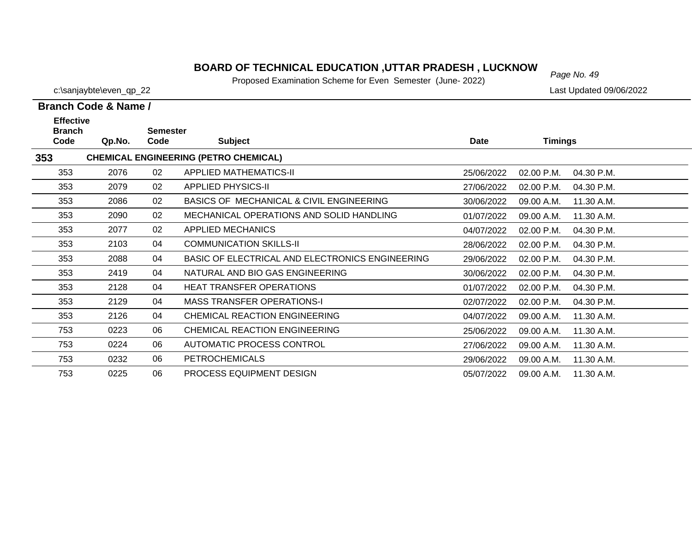### *Page No. 49* **BOARD OF TECHNICAL EDUCATION ,UTTAR PRADESH , LUCKNOW**

Proposed Examination Scheme for Even Semester (June- 2022)

|                                           | Branch Code & Name / |                         |                                                 |            |            |            |  |  |  |  |  |
|-------------------------------------------|----------------------|-------------------------|-------------------------------------------------|------------|------------|------------|--|--|--|--|--|
| <b>Effective</b><br><b>Branch</b><br>Code | Qp.No.               | <b>Semester</b><br>Code | <b>Subject</b>                                  | Date       | Timings    |            |  |  |  |  |  |
| 353                                       |                      |                         | <b>CHEMICAL ENGINEERING (PETRO CHEMICAL)</b>    |            |            |            |  |  |  |  |  |
| 353                                       | 2076                 | 02                      | <b>APPLIED MATHEMATICS-II</b>                   | 25/06/2022 | 02.00 P.M. | 04.30 P.M. |  |  |  |  |  |
| 353                                       | 2079                 | 02                      | <b>APPLIED PHYSICS-II</b>                       | 27/06/2022 | 02.00 P.M. | 04.30 P.M. |  |  |  |  |  |
| 353                                       | 2086                 | 02                      | BASICS OF MECHANICAL & CIVIL ENGINEERING        | 30/06/2022 | 09.00 A.M. | 11.30 A.M. |  |  |  |  |  |
| 353                                       | 2090                 | 02                      | MECHANICAL OPERATIONS AND SOLID HANDLING        | 01/07/2022 | 09.00 A.M. | 11.30 A.M. |  |  |  |  |  |
| 353                                       | 2077                 | 02                      | <b>APPLIED MECHANICS</b>                        | 04/07/2022 | 02.00 P.M. | 04.30 P.M. |  |  |  |  |  |
| 353                                       | 2103                 | 04                      | <b>COMMUNICATION SKILLS-II</b>                  | 28/06/2022 | 02.00 P.M. | 04.30 P.M. |  |  |  |  |  |
| 353                                       | 2088                 | 04                      | BASIC OF ELECTRICAL AND ELECTRONICS ENGINEERING | 29/06/2022 | 02.00 P.M. | 04.30 P.M. |  |  |  |  |  |
| 353                                       | 2419                 | 04                      | NATURAL AND BIO GAS ENGINEERING                 | 30/06/2022 | 02.00 P.M. | 04.30 P.M. |  |  |  |  |  |
| 353                                       | 2128                 | 04                      | <b>HEAT TRANSFER OPERATIONS</b>                 | 01/07/2022 | 02.00 P.M. | 04.30 P.M. |  |  |  |  |  |
| 353                                       | 2129                 | 04                      | <b>MASS TRANSFER OPERATIONS-I</b>               | 02/07/2022 | 02.00 P.M. | 04.30 P.M. |  |  |  |  |  |
| 353                                       | 2126                 | 04                      | CHEMICAL REACTION ENGINEERING                   | 04/07/2022 | 09.00 A.M. | 11.30 A.M. |  |  |  |  |  |
| 753                                       | 0223                 | 06                      | CHEMICAL REACTION ENGINEERING                   | 25/06/2022 | 09.00 A.M. | 11.30 A.M. |  |  |  |  |  |
| 753                                       | 0224                 | 06                      | AUTOMATIC PROCESS CONTROL                       | 27/06/2022 | 09.00 A.M. | 11.30 A.M. |  |  |  |  |  |
| 753                                       | 0232                 | 06                      | <b>PETROCHEMICALS</b>                           | 29/06/2022 | 09.00 A.M. | 11.30 A.M. |  |  |  |  |  |
| 753                                       | 0225                 | 06                      | <b>PROCESS EQUIPMENT DESIGN</b>                 | 05/07/2022 | 09.00 A.M. | 11.30 A.M. |  |  |  |  |  |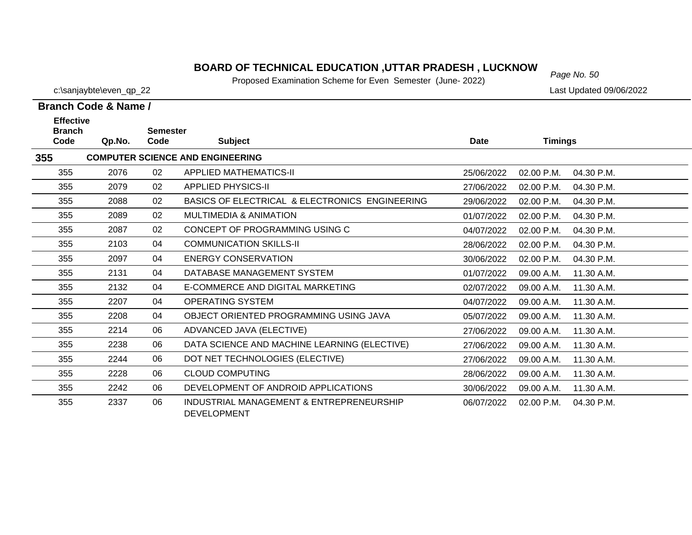### *Page No. 50* **BOARD OF TECHNICAL EDUCATION ,UTTAR PRADESH , LUCKNOW**

Proposed Examination Scheme for Even Semester (June- 2022)

c:\sanjaybte\even\_qp\_22 Last Updated 09/06/2022

| Branch Code & Name /  |        |                         |                                                |             |                |            |  |  |  |
|-----------------------|--------|-------------------------|------------------------------------------------|-------------|----------------|------------|--|--|--|
| <b>Effective</b>      |        |                         |                                                |             |                |            |  |  |  |
| <b>Branch</b><br>Code | Qp.No. | <b>Semester</b><br>Code | <b>Subject</b>                                 | <b>Date</b> | <b>Timings</b> |            |  |  |  |
| 355                   |        |                         | <b>COMPUTER SCIENCE AND ENGINEERING</b>        |             |                |            |  |  |  |
| 355                   | 2076   | 02                      | <b>APPLIED MATHEMATICS-II</b>                  | 25/06/2022  | 02.00 P.M.     | 04.30 P.M. |  |  |  |
| 355                   | 2079   | 02                      | <b>APPLIED PHYSICS-II</b>                      | 27/06/2022  | 02.00 P.M.     | 04.30 P.M. |  |  |  |
| 355                   | 2088   | 02                      | BASICS OF ELECTRICAL & ELECTRONICS ENGINEERING | 29/06/2022  | 02.00 P.M.     | 04.30 P.M. |  |  |  |
| 355                   | 2089   | 02                      | <b>MULTIMEDIA &amp; ANIMATION</b>              | 01/07/2022  | 02.00 P.M.     | 04.30 P.M. |  |  |  |
| 355                   | 2087   | 02                      | CONCEPT OF PROGRAMMING USING C                 | 04/07/2022  | 02.00 P.M.     | 04.30 P.M. |  |  |  |
| 355                   | 2103   | 04                      | <b>COMMUNICATION SKILLS-II</b>                 | 28/06/2022  | 02.00 P.M.     | 04.30 P.M. |  |  |  |
| 355                   | 2097   | 04                      | <b>ENERGY CONSERVATION</b>                     | 30/06/2022  | 02.00 P.M.     | 04.30 P.M. |  |  |  |
| 355                   | 2131   | 04                      | DATABASE MANAGEMENT SYSTEM                     | 01/07/2022  | 09.00 A.M.     | 11.30 A.M. |  |  |  |
| 355                   | 2132   | 04                      | E-COMMERCE AND DIGITAL MARKETING               | 02/07/2022  | 09.00 A.M.     | 11.30 A.M. |  |  |  |
| 355                   | 2207   | 04                      | <b>OPERATING SYSTEM</b>                        | 04/07/2022  | 09.00 A.M.     | 11.30 A.M. |  |  |  |
| 355                   | 2208   | 04                      | OBJECT ORIENTED PROGRAMMING USING JAVA         | 05/07/2022  | 09.00 A.M.     | 11.30 A.M. |  |  |  |
| 355                   | 2214   | 06                      | ADVANCED JAVA (ELECTIVE)                       | 27/06/2022  | 09.00 A.M.     | 11.30 A.M. |  |  |  |
| 355                   | 2238   | 06                      | DATA SCIENCE AND MACHINE LEARNING (ELECTIVE)   | 27/06/2022  | 09.00 A.M.     | 11.30 A.M. |  |  |  |
| 355                   | 2244   | 06                      | DOT NET TECHNOLOGIES (ELECTIVE)                | 27/06/2022  | 09.00 A.M.     | 11.30 A.M. |  |  |  |
| 355                   | 2228   | 06                      | <b>CLOUD COMPUTING</b>                         | 28/06/2022  | 09.00 A.M.     | 11.30 A.M. |  |  |  |
| 355                   | 2242   | 06                      | DEVELOPMENT OF ANDROID APPLICATIONS            | 30/06/2022  | 09.00 A.M.     | 11.30 A.M. |  |  |  |
| 355                   | 2337   | 06                      | INDUSTRIAL MANAGEMENT & ENTREPRENEURSHIP       | 06/07/2022  | 02.00 P.M.     | 04.30 P.M. |  |  |  |

DEVELOPMENT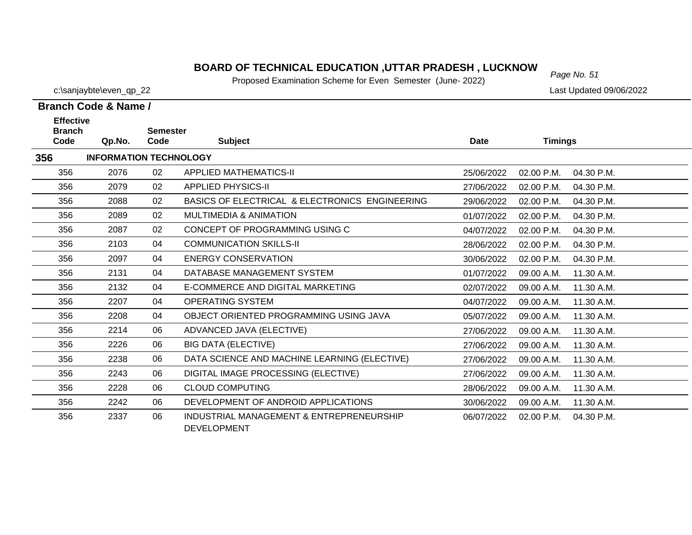# *Page No. 51* **BOARD OF TECHNICAL EDUCATION ,UTTAR PRADESH , LUCKNOW**

Proposed Examination Scheme for Even Semester (June- 2022)

c:\sanjaybte\even\_qp\_22 Last Updated 09/06/2022

**Branch Code & Name /**

| <b>Effective</b>      |                               |                         |                                                                |            |                          |  |
|-----------------------|-------------------------------|-------------------------|----------------------------------------------------------------|------------|--------------------------|--|
| <b>Branch</b><br>Code | Qp.No.                        | <b>Semester</b><br>Code | <b>Subject</b>                                                 | Date       | <b>Timings</b>           |  |
| 356                   | <b>INFORMATION TECHNOLOGY</b> |                         |                                                                |            |                          |  |
| 356                   | 2076                          | 02                      | <b>APPLIED MATHEMATICS-II</b>                                  | 25/06/2022 | 02.00 P.M.<br>04.30 P.M. |  |
| 356                   | 2079                          | 02                      | <b>APPLIED PHYSICS-II</b>                                      | 27/06/2022 | 02.00 P.M.<br>04.30 P.M. |  |
| 356                   | 2088                          | 02                      | BASICS OF ELECTRICAL & ELECTRONICS ENGINEERING                 | 29/06/2022 | 02.00 P.M.<br>04.30 P.M. |  |
| 356                   | 2089                          | 02                      | <b>MULTIMEDIA &amp; ANIMATION</b>                              | 01/07/2022 | 02.00 P.M.<br>04.30 P.M. |  |
| 356                   | 2087                          | 02                      | CONCEPT OF PROGRAMMING USING C                                 | 04/07/2022 | 02.00 P.M.<br>04.30 P.M. |  |
| 356                   | 2103                          | 04                      | <b>COMMUNICATION SKILLS-II</b>                                 | 28/06/2022 | 04.30 P.M.<br>02.00 P.M. |  |
| 356                   | 2097                          | 04                      | <b>ENERGY CONSERVATION</b>                                     | 30/06/2022 | 02.00 P.M.<br>04.30 P.M. |  |
| 356                   | 2131                          | 04                      | DATABASE MANAGEMENT SYSTEM                                     | 01/07/2022 | 09.00 A.M.<br>11.30 A.M. |  |
| 356                   | 2132                          | 04                      | E-COMMERCE AND DIGITAL MARKETING                               | 02/07/2022 | 09.00 A.M.<br>11.30 A.M. |  |
| 356                   | 2207                          | 04                      | <b>OPERATING SYSTEM</b>                                        | 04/07/2022 | 09.00 A.M.<br>11.30 A.M. |  |
| 356                   | 2208                          | 04                      | OBJECT ORIENTED PROGRAMMING USING JAVA                         | 05/07/2022 | 09.00 A.M.<br>11.30 A.M. |  |
| 356                   | 2214                          | 06                      | ADVANCED JAVA (ELECTIVE)                                       | 27/06/2022 | 09.00 A.M.<br>11.30 A.M. |  |
| 356                   | 2226                          | 06                      | <b>BIG DATA (ELECTIVE)</b>                                     | 27/06/2022 | 09.00 A.M.<br>11.30 A.M. |  |
| 356                   | 2238                          | 06                      | DATA SCIENCE AND MACHINE LEARNING (ELECTIVE)                   | 27/06/2022 | 09.00 A.M.<br>11.30 A.M. |  |
| 356                   | 2243                          | 06                      | DIGITAL IMAGE PROCESSING (ELECTIVE)                            | 27/06/2022 | 11.30 A.M.<br>09.00 A.M. |  |
| 356                   | 2228                          | 06                      | <b>CLOUD COMPUTING</b>                                         | 28/06/2022 | 09.00 A.M.<br>11.30 A.M. |  |
| 356                   | 2242                          | 06                      | DEVELOPMENT OF ANDROID APPLICATIONS                            | 30/06/2022 | 11.30 A.M.<br>09.00 A.M. |  |
| 356                   | 2337                          | 06                      | INDUSTRIAL MANAGEMENT & ENTREPRENEURSHIP<br><b>DEVELOPMENT</b> | 06/07/2022 | 02.00 P.M.<br>04.30 P.M. |  |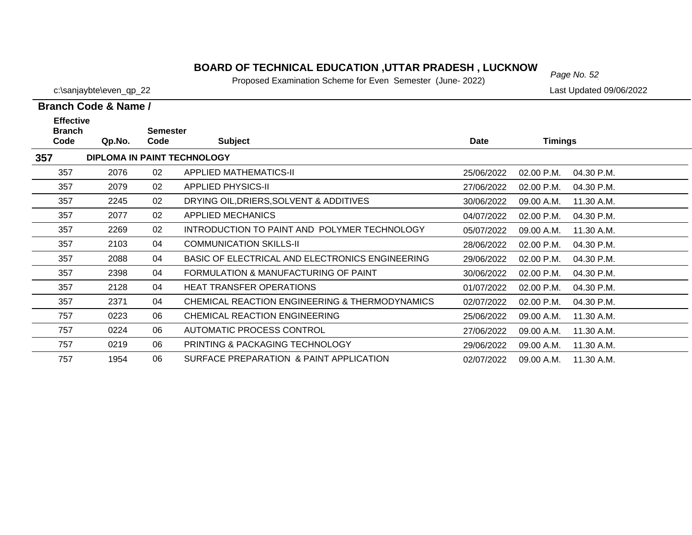### **BOARD OF TECHNICAL EDUCATION ,UTTAR PRADESH , LUCKNOW**<br>Page No. 52

Proposed Examination Scheme for Even Semester (June- 2022)

|                                                      | <b>Branch Code &amp; Name /</b> |      |                                                 |             |                          |  |  |  |
|------------------------------------------------------|---------------------------------|------|-------------------------------------------------|-------------|--------------------------|--|--|--|
| <b>Effective</b><br><b>Branch</b><br><b>Semester</b> |                                 |      |                                                 |             |                          |  |  |  |
| Code                                                 | Qp.No.                          | Code | <b>Subject</b>                                  | <b>Date</b> | <b>Timings</b>           |  |  |  |
| 357                                                  |                                 |      | <b>DIPLOMA IN PAINT TECHNOLOGY</b>              |             |                          |  |  |  |
| 357                                                  | 2076                            | 02   | <b>APPLIED MATHEMATICS-II</b>                   | 25/06/2022  | 02.00 P.M.<br>04.30 P.M. |  |  |  |
| 357                                                  | 2079                            | 02   | <b>APPLIED PHYSICS-II</b>                       | 27/06/2022  | 02.00 P.M.<br>04.30 P.M. |  |  |  |
| 357                                                  | 2245                            | 02   | DRYING OIL, DRIERS, SOLVENT & ADDITIVES         | 30/06/2022  | 09.00 A.M.<br>11.30 A.M. |  |  |  |
| 357                                                  | 2077                            | 02   | APPLIED MECHANICS                               | 04/07/2022  | 02.00 P.M.<br>04.30 P.M. |  |  |  |
| 357                                                  | 2269                            | 02   | INTRODUCTION TO PAINT AND POLYMER TECHNOLOGY    | 05/07/2022  | 09.00 A.M.<br>11.30 A.M. |  |  |  |
| 357                                                  | 2103                            | 04   | <b>COMMUNICATION SKILLS-II</b>                  | 28/06/2022  | 02.00 P.M.<br>04.30 P.M. |  |  |  |
| 357                                                  | 2088                            | 04   | BASIC OF ELECTRICAL AND ELECTRONICS ENGINEERING | 29/06/2022  | 02.00 P.M.<br>04.30 P.M. |  |  |  |
| 357                                                  | 2398                            | 04   | FORMULATION & MANUFACTURING OF PAINT            | 30/06/2022  | 02.00 P.M.<br>04.30 P.M. |  |  |  |
| 357                                                  | 2128                            | 04   | <b>HEAT TRANSFER OPERATIONS</b>                 | 01/07/2022  | 02.00 P.M.<br>04.30 P.M. |  |  |  |
| 357                                                  | 2371                            | 04   | CHEMICAL REACTION ENGINEERING & THERMODYNAMICS  | 02/07/2022  | 02.00 P.M.<br>04.30 P.M. |  |  |  |
| 757                                                  | 0223                            | 06   | CHEMICAL REACTION ENGINEERING                   | 25/06/2022  | 09.00 A.M.<br>11.30 A.M. |  |  |  |
| 757                                                  | 0224                            | 06   | AUTOMATIC PROCESS CONTROL                       | 27/06/2022  | 09.00 A.M.<br>11.30 A.M. |  |  |  |
| 757                                                  | 0219                            | 06   | <b>PRINTING &amp; PACKAGING TECHNOLOGY</b>      | 29/06/2022  | 09.00 A.M.<br>11.30 A.M. |  |  |  |
| 757                                                  | 1954                            | 06   | SURFACE PREPARATION & PAINT APPLICATION         | 02/07/2022  | 09.00 A.M.<br>11.30 A.M. |  |  |  |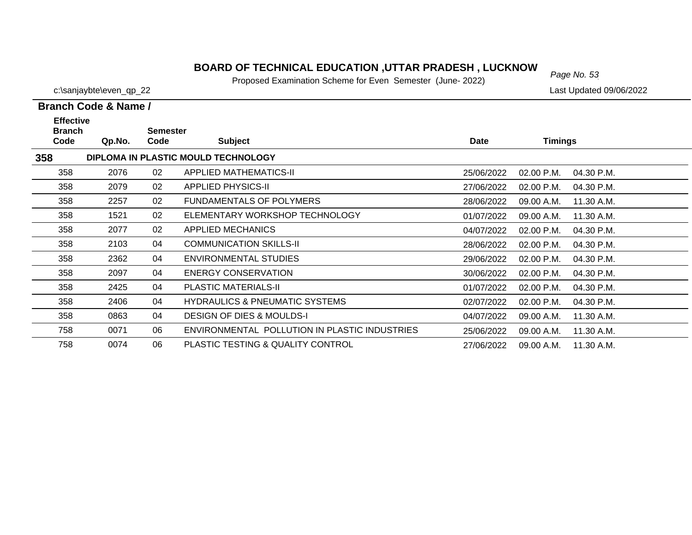### *Page No. 53* **BOARD OF TECHNICAL EDUCATION ,UTTAR PRADESH , LUCKNOW**

Proposed Examination Scheme for Even Semester (June- 2022)

|                                           | Branch Code & Name / |                         |                                               |            |                            |  |
|-------------------------------------------|----------------------|-------------------------|-----------------------------------------------|------------|----------------------------|--|
| <b>Effective</b><br><b>Branch</b><br>Code | Qp.No.               | <b>Semester</b><br>Code | <b>Subject</b>                                | Date       | <b>Timings</b>             |  |
| 358                                       |                      |                         | DIPLOMA IN PLASTIC MOULD TECHNOLOGY           |            |                            |  |
| 358                                       | 2076                 | 02                      | APPLIED MATHEMATICS-II                        | 25/06/2022 | 02.00 P.M.<br>04.30 P.M.   |  |
| 358                                       | 2079                 | 02                      | <b>APPLIED PHYSICS-II</b>                     | 27/06/2022 | $02.00$ P.M.<br>04.30 P.M. |  |
| 358                                       | 2257                 | 02                      | <b>FUNDAMENTALS OF POLYMERS</b>               | 28/06/2022 | 09.00 A.M.<br>11.30 A.M.   |  |
| 358                                       | 1521                 | 02                      | ELEMENTARY WORKSHOP TECHNOLOGY                | 01/07/2022 | 11.30 A.M.<br>09.00 A.M.   |  |
| 358                                       | 2077                 | 02                      | APPLIED MECHANICS                             | 04/07/2022 | 02.00 P.M.<br>04.30 P.M.   |  |
| 358                                       | 2103                 | 04                      | <b>COMMUNICATION SKILLS-II</b>                | 28/06/2022 | 02.00 P.M.<br>04.30 P.M.   |  |
| 358                                       | 2362                 | 04                      | ENVIRONMENTAL STUDIES                         | 29/06/2022 | $02.00$ P.M.<br>04.30 P.M. |  |
| 358                                       | 2097                 | 04                      | <b>ENERGY CONSERVATION</b>                    | 30/06/2022 | 02.00 P.M.<br>04.30 P.M.   |  |
| 358                                       | 2425                 | 04                      | <b>PLASTIC MATERIALS-II</b>                   | 01/07/2022 | 02.00 P.M.<br>04.30 P.M.   |  |
| 358                                       | 2406                 | 04                      | <b>HYDRAULICS &amp; PNEUMATIC SYSTEMS</b>     | 02/07/2022 | 02.00 P.M.<br>04.30 P.M.   |  |
| 358                                       | 0863                 | 04                      | <b>DESIGN OF DIES &amp; MOULDS-I</b>          | 04/07/2022 | 09.00 A.M.<br>11.30 A.M.   |  |
| 758                                       | 0071                 | 06                      | ENVIRONMENTAL POLLUTION IN PLASTIC INDUSTRIES | 25/06/2022 | 11.30 A.M.<br>09.00 A.M.   |  |
| 758                                       | 0074                 | 06                      | PLASTIC TESTING & QUALITY CONTROL             | 27/06/2022 | 11.30 A.M.<br>09.00 A.M.   |  |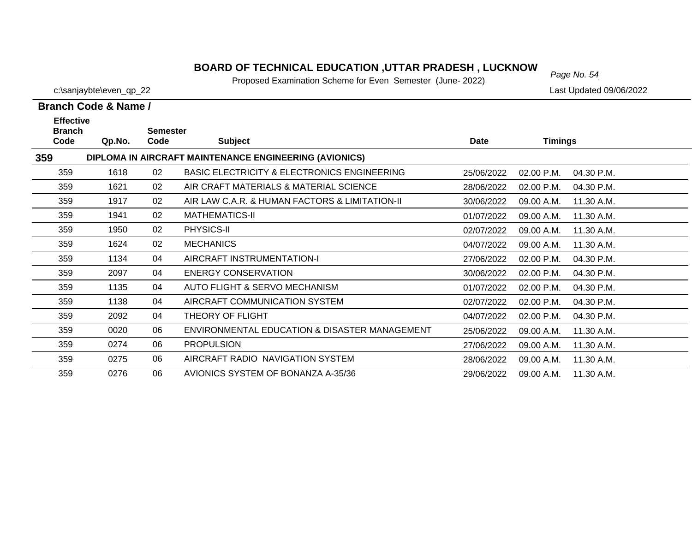### *Page No. 54* **BOARD OF TECHNICAL EDUCATION ,UTTAR PRADESH , LUCKNOW**

Proposed Examination Scheme for Even Semester (June- 2022)

c:\sanjaybte\even\_qp\_22 Last Updated 09/06/2022

**Branch Code & Name /**

| <b>Effective</b>      |        | <b>Semester</b> |                                                        |            |                |            |
|-----------------------|--------|-----------------|--------------------------------------------------------|------------|----------------|------------|
| <b>Branch</b><br>Code | Qp.No. | Code            | <b>Subject</b>                                         | Date       | <b>Timings</b> |            |
| 359                   |        |                 | DIPLOMA IN AIRCRAFT MAINTENANCE ENGINEERING (AVIONICS) |            |                |            |
| 359                   | 1618   | 02              | BASIC ELECTRICITY & ELECTRONICS ENGINEERING            | 25/06/2022 | 02.00 P.M.     | 04.30 P.M. |
| 359                   | 1621   | 02              | AIR CRAFT MATERIALS & MATERIAL SCIENCE                 | 28/06/2022 | 02.00 P.M.     | 04.30 P.M. |
| 359                   | 1917   | 02              | AIR LAW C.A.R. & HUMAN FACTORS & LIMITATION-II         | 30/06/2022 | 09.00 A.M.     | 11.30 A.M. |
| 359                   | 1941   | 02              | <b>MATHEMATICS-II</b>                                  | 01/07/2022 | 09.00 A.M.     | 11.30 A.M. |
| 359                   | 1950   | 02              | PHYSICS-II                                             | 02/07/2022 | 09.00 A.M.     | 11.30 A.M. |
| 359                   | 1624   | 02              | <b>MECHANICS</b>                                       | 04/07/2022 | 09.00 A.M.     | 11.30 A.M. |
| 359                   | 1134   | 04              | AIRCRAFT INSTRUMENTATION-I                             | 27/06/2022 | 02.00 P.M.     | 04.30 P.M. |
| 359                   | 2097   | 04              | <b>ENERGY CONSERVATION</b>                             | 30/06/2022 | 02.00 P.M.     | 04.30 P.M. |
| 359                   | 1135   | 04              | AUTO FLIGHT & SERVO MECHANISM                          | 01/07/2022 | 02.00 P.M.     | 04.30 P.M. |
| 359                   | 1138   | 04              | AIRCRAFT COMMUNICATION SYSTEM                          | 02/07/2022 | 02.00 P.M.     | 04.30 P.M. |
| 359                   | 2092   | 04              | THEORY OF FLIGHT                                       | 04/07/2022 | 02.00 P.M.     | 04.30 P.M. |
| 359                   | 0020   | 06              | ENVIRONMENTAL EDUCATION & DISASTER MANAGEMENT          | 25/06/2022 | 09.00 A.M.     | 11.30 A.M. |
| 359                   | 0274   | 06              | <b>PROPULSION</b>                                      | 27/06/2022 | 09.00 A.M.     | 11.30 A.M. |
| 359                   | 0275   | 06              | AIRCRAFT RADIO NAVIGATION SYSTEM                       | 28/06/2022 | 09.00 A.M.     | 11.30 A.M. |
| 359                   | 0276   | 06              | AVIONICS SYSTEM OF BONANZA A-35/36                     | 29/06/2022 | 09.00 A.M.     | 11.30 A.M. |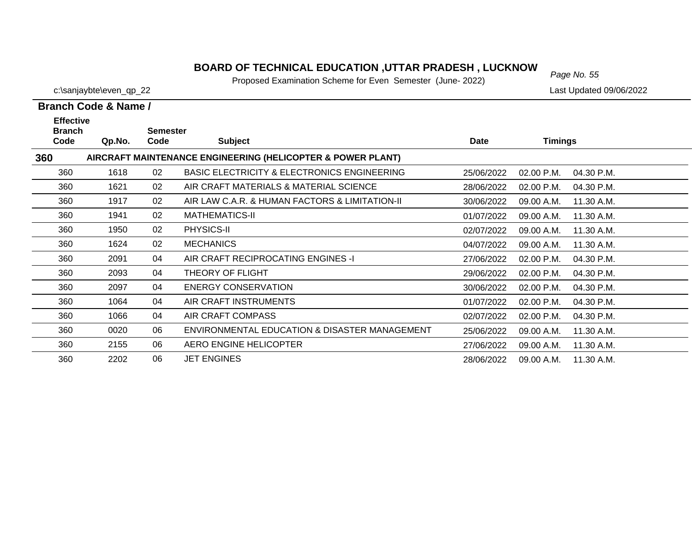# *Page No. 55* **BOARD OF TECHNICAL EDUCATION ,UTTAR PRADESH , LUCKNOW**

Proposed Examination Scheme for Even Semester (June- 2022)

c:\sanjaybte\even\_qp\_22 Last Updated 09/06/2022

| Branch Code & Name /                      |        |                         |                                                             |             |                          |  |  |  |  |
|-------------------------------------------|--------|-------------------------|-------------------------------------------------------------|-------------|--------------------------|--|--|--|--|
| <b>Effective</b><br><b>Branch</b><br>Code | Qp.No. | <b>Semester</b><br>Code | <b>Subject</b>                                              | <b>Date</b> | <b>Timings</b>           |  |  |  |  |
| 360                                       |        |                         | AIRCRAFT MAINTENANCE ENGINEERING (HELICOPTER & POWER PLANT) |             |                          |  |  |  |  |
| 360                                       | 1618   | 02                      | <b>BASIC ELECTRICITY &amp; ELECTRONICS ENGINEERING</b>      | 25/06/2022  | 02.00 P.M.<br>04.30 P.M. |  |  |  |  |
| 360                                       | 1621   | 02                      | AIR CRAFT MATERIALS & MATERIAL SCIENCE                      | 28/06/2022  | 02.00 P.M.<br>04.30 P.M. |  |  |  |  |
| 360                                       | 1917   | 02                      | AIR LAW C.A.R. & HUMAN FACTORS & LIMITATION-II              | 30/06/2022  | 09.00 A.M.<br>11.30 A.M. |  |  |  |  |
| 360                                       | 1941   | 02                      | <b>MATHEMATICS-II</b>                                       | 01/07/2022  | 11.30 A.M.<br>09.00 A.M. |  |  |  |  |
| 360                                       | 1950   | 02                      | PHYSICS-II                                                  | 02/07/2022  | 09.00 A.M.<br>11.30 A.M. |  |  |  |  |
| 360                                       | 1624   | 02                      | <b>MECHANICS</b>                                            | 04/07/2022  | 11.30 A.M.<br>09.00 A.M. |  |  |  |  |
| 360                                       | 2091   | 04                      | AIR CRAFT RECIPROCATING ENGINES -I                          | 27/06/2022  | 04.30 P.M.<br>02.00 P.M. |  |  |  |  |
| 360                                       | 2093   | 04                      | THEORY OF FLIGHT                                            | 29/06/2022  | 02.00 P.M.<br>04.30 P.M. |  |  |  |  |
| 360                                       | 2097   | 04                      | <b>ENERGY CONSERVATION</b>                                  | 30/06/2022  | 02.00 P.M.<br>04.30 P.M. |  |  |  |  |
| 360                                       | 1064   | 04                      | AIR CRAFT INSTRUMENTS                                       | 01/07/2022  | 02.00 P.M.<br>04.30 P.M. |  |  |  |  |
| 360                                       | 1066   | 04                      | AIR CRAFT COMPASS                                           | 02/07/2022  | 02.00 P.M.<br>04.30 P.M. |  |  |  |  |
| 360                                       | 0020   | 06                      | ENVIRONMENTAL EDUCATION & DISASTER MANAGEMENT               | 25/06/2022  | 09.00 A.M.<br>11.30 A.M. |  |  |  |  |
| 360                                       | 2155   | 06                      | AERO ENGINE HELICOPTER                                      | 27/06/2022  | 11.30 A.M.<br>09.00 A.M. |  |  |  |  |
| 360                                       | 2202   | 06                      | <b>JET ENGINES</b>                                          | 28/06/2022  | 09.00 A.M.<br>11.30 A.M. |  |  |  |  |

28/06/2022 09.00 A.M. 11.30 A.M.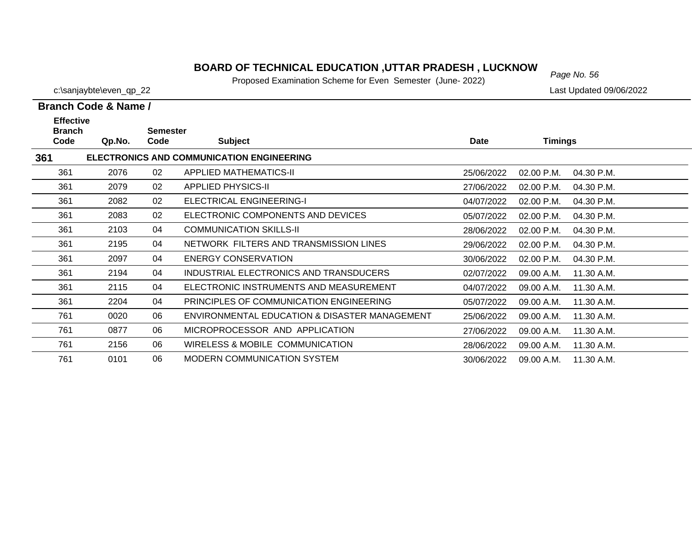### **BOARD OF TECHNICAL EDUCATION ,UTTAR PRADESH , LUCKNOW** Page No. 56

Proposed Examination Scheme for Even Semester (June- 2022)

25/06/2022 09.00 A.M. 11.30 A.M.

27/06/2022 09.00 A.M. 11.30 A.M.

28/06/2022 09.00 A.M. 11.30 A.M.

30/06/2022 09.00 A.M. 11.30 A.M.

**Branch Code & Name /**

**361**

761

761

761

761

c:\sanjaybte\even\_qp\_22 Last Updated 09/06/2022

#### **Branch Code Qp.No. SemesterCode Subject Date Timings Effective ELECTRONICS AND COMMUNICATION ENGINEERING** 361 2076 02 APPLIED MATHEMATICS-II 25/06/2022 02.00 P.M. 04.30 P.M.361 2079 02 APPLIED PHYSICS-II 27/06/2022 02.00 P.M. 04.30 P.M.04.30 P.M. 361 2082 02 ELECTRICAL ENGINEERING-I 04/07/2022 02.00 P.M. 04.30 P.M.361 2083 02 ELECTRONIC COMPONENTS AND DEVICES05/07/2022 02.00 P.M. 04.30 P.M. 3612103 04 COMMUNICATION SKILLS-II 28/06/2022 02.00 P.M. 04.30 P.M. 361 2195 04 NETWORK FILTERS AND TRANSMISSION LINES29/06/2022 02.00 P.M. 04.30 P.M. 361 2097 04 ENERGY CONSERVATION30/06/2022 02.00 P.M. 04.30 P.M. 361 2194 04 INDUSTRIAL ELECTRONICS AND TRANSDUCERS 02/07/2022 09.00 A.M. 11.30 A.M.361 2115 04 ELECTRONIC INSTRUMENTS AND MEASUREMENT 04/07/2022 09.00 A.M. 11.30 A.M.361 2204 04 PRINCIPLES OF COMMUNICATION ENGINEERING05/07/2022 09.00 A.M. 11.30 A.M.

0020 06 ENVIRONMENTAL EDUCATION & DISASTER MANAGEMENT

0877 06 MICROPROCESSOR AND APPLICATION

2156 06 WIRELESS & MOBILE COMMUNICATION

0101 06 MODERN COMMUNICATION SYSTEM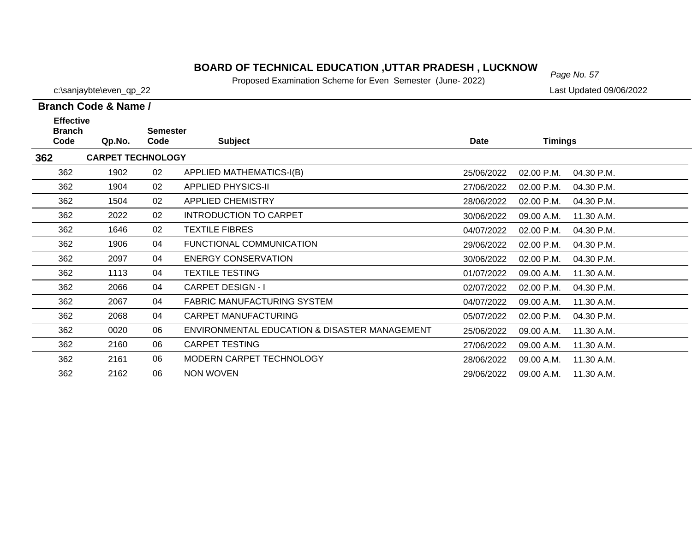### *Page No. 57* **BOARD OF TECHNICAL EDUCATION ,UTTAR PRADESH , LUCKNOW**

Proposed Examination Scheme for Even Semester (June- 2022)

| c:\sanjaybte\even_qp_22 |  | Last Updated 09/06/2022 |
|-------------------------|--|-------------------------|
|-------------------------|--|-------------------------|

### **Branch Code & Name /**

| <b>Effective</b>      |                          |                         |                                               |             |                |            |
|-----------------------|--------------------------|-------------------------|-----------------------------------------------|-------------|----------------|------------|
| <b>Branch</b><br>Code | Qp.No.                   | <b>Semester</b><br>Code | <b>Subject</b>                                | <b>Date</b> | <b>Timings</b> |            |
| 362                   | <b>CARPET TECHNOLOGY</b> |                         |                                               |             |                |            |
| 362                   | 1902                     | 02                      | <b>APPLIED MATHEMATICS-I(B)</b>               | 25/06/2022  | 02.00 P.M.     | 04.30 P.M. |
| 362                   | 1904                     | 02                      | <b>APPLIED PHYSICS-II</b>                     | 27/06/2022  | 02.00 P.M.     | 04.30 P.M. |
| 362                   | 1504                     | 02                      | <b>APPLIED CHEMISTRY</b>                      | 28/06/2022  | 02.00 P.M.     | 04.30 P.M. |
| 362                   | 2022                     | 02                      | <b>INTRODUCTION TO CARPET</b>                 | 30/06/2022  | 09.00 A.M.     | 11.30 A.M. |
| 362                   | 1646                     | 02                      | <b>TEXTILE FIBRES</b>                         | 04/07/2022  | 02.00 P.M.     | 04.30 P.M. |
| 362                   | 1906                     | 04                      | <b>FUNCTIONAL COMMUNICATION</b>               | 29/06/2022  | 02.00 P.M.     | 04.30 P.M. |
| 362                   | 2097                     | 04                      | <b>ENERGY CONSERVATION</b>                    | 30/06/2022  | 02.00 P.M.     | 04.30 P.M. |
| 362                   | 1113                     | 04                      | <b>TEXTILE TESTING</b>                        | 01/07/2022  | 09.00 A.M.     | 11.30 A.M. |
| 362                   | 2066                     | 04                      | <b>CARPET DESIGN - I</b>                      | 02/07/2022  | 02.00 P.M.     | 04.30 P.M. |
| 362                   | 2067                     | 04                      | <b>FABRIC MANUFACTURING SYSTEM</b>            | 04/07/2022  | 09.00 A.M.     | 11.30 A.M. |
| 362                   | 2068                     | 04                      | CARPET MANUFACTURING                          | 05/07/2022  | 02.00 P.M.     | 04.30 P.M. |
| 362                   | 0020                     | 06                      | ENVIRONMENTAL EDUCATION & DISASTER MANAGEMENT | 25/06/2022  | 09.00 A.M.     | 11.30 A.M. |
| 362                   | 2160                     | 06                      | <b>CARPET TESTING</b>                         | 27/06/2022  | 09.00 A.M.     | 11.30 A.M. |
| 362                   | 2161                     | 06                      | MODERN CARPET TECHNOLOGY                      | 28/06/2022  | 09.00 A.M.     | 11.30 A.M. |
| 362                   | 2162                     | 06                      | NON WOVEN                                     | 29/06/2022  | 09.00 A.M.     | 11.30 A.M. |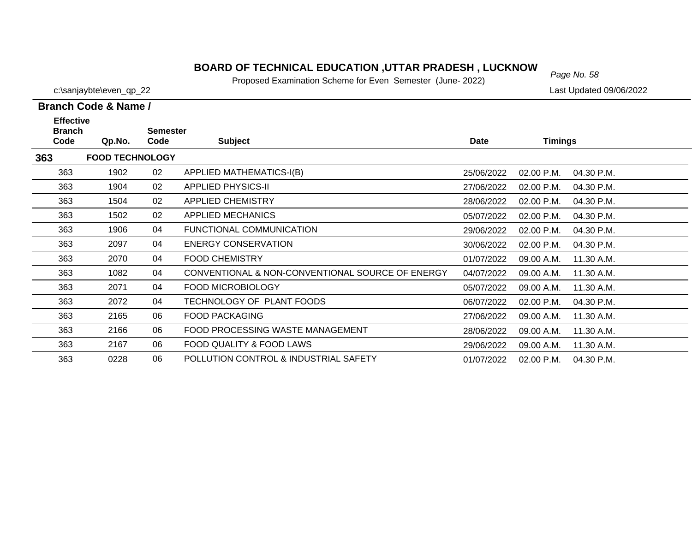### *Page No. 58* **BOARD OF TECHNICAL EDUCATION ,UTTAR PRADESH , LUCKNOW**

Proposed Examination Scheme for Even Semester (June- 2022)

|  | Branch Code & Name / |
|--|----------------------|

| <b>Effective</b><br><b>Branch</b> |                        | <b>Semester</b> |                                                  |             |                |            |
|-----------------------------------|------------------------|-----------------|--------------------------------------------------|-------------|----------------|------------|
| Code                              | Qp.No.                 | Code            | <b>Subject</b>                                   | <b>Date</b> | <b>Timings</b> |            |
| 363                               | <b>FOOD TECHNOLOGY</b> |                 |                                                  |             |                |            |
| 363                               | 1902                   | 02              | APPLIED MATHEMATICS-I(B)                         | 25/06/2022  | 02.00 P.M.     | 04.30 P.M. |
| 363                               | 1904                   | 02              | <b>APPLIED PHYSICS-II</b>                        | 27/06/2022  | 02.00 P.M.     | 04.30 P.M. |
| 363                               | 1504                   | 02              | <b>APPLIED CHEMISTRY</b>                         | 28/06/2022  | 02.00 P.M.     | 04.30 P.M. |
| 363                               | 1502                   | 02              | APPLIED MECHANICS                                | 05/07/2022  | 02.00 P.M.     | 04.30 P.M. |
| 363                               | 1906                   | 04              | FUNCTIONAL COMMUNICATION                         | 29/06/2022  | 02.00 P.M.     | 04.30 P.M. |
| 363                               | 2097                   | 04              | <b>ENERGY CONSERVATION</b>                       | 30/06/2022  | 02.00 P.M.     | 04.30 P.M. |
| 363                               | 2070                   | 04              | <b>FOOD CHEMISTRY</b>                            | 01/07/2022  | 09.00 A.M.     | 11.30 A.M. |
| 363                               | 1082                   | 04              | CONVENTIONAL & NON-CONVENTIONAL SOURCE OF ENERGY | 04/07/2022  | 09.00 A.M.     | 11.30 A.M. |
| 363                               | 2071                   | 04              | <b>FOOD MICROBIOLOGY</b>                         | 05/07/2022  | 09.00 A.M.     | 11.30 A.M. |
| 363                               | 2072                   | 04              | TECHNOLOGY OF PLANT FOODS                        | 06/07/2022  | 02.00 P.M.     | 04.30 P.M. |
| 363                               | 2165                   | 06              | <b>FOOD PACKAGING</b>                            | 27/06/2022  | 09.00 A.M.     | 11.30 A.M. |
| 363                               | 2166                   | 06              | FOOD PROCESSING WASTE MANAGEMENT                 | 28/06/2022  | 09.00 A.M.     | 11.30 A.M. |
| 363                               | 2167                   | 06              | FOOD QUALITY & FOOD LAWS                         | 29/06/2022  | 09.00 A.M.     | 11.30 A.M. |
| 363                               | 0228                   | 06              | POLLUTION CONTROL & INDUSTRIAL SAFETY            | 01/07/2022  | 02.00 P.M.     | 04.30 P.M. |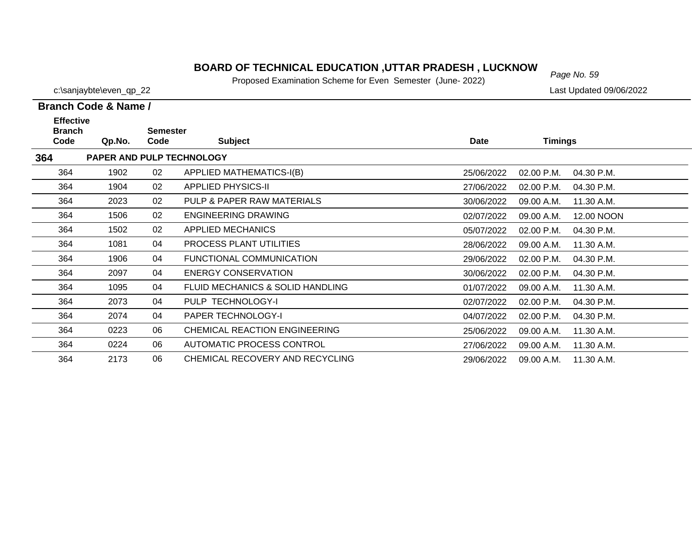### **BOARD OF TECHNICAL EDUCATION ,UTTAR PRADESH , LUCKNOW**<br>Page No. 59

Proposed Examination Scheme for Even Semester (June- 2022)

|                                           | <b>Branch Code &amp; Name /</b> |                         |                                             |             |                |            |
|-------------------------------------------|---------------------------------|-------------------------|---------------------------------------------|-------------|----------------|------------|
| <b>Effective</b><br><b>Branch</b><br>Code | Qp.No.                          | <b>Semester</b><br>Code | <b>Subject</b>                              | <b>Date</b> | <b>Timings</b> |            |
| 364                                       |                                 |                         | PAPER AND PULP TECHNOLOGY                   |             |                |            |
| 364                                       | 1902                            | 02                      | <b>APPLIED MATHEMATICS-I(B)</b>             | 25/06/2022  | 02.00 P.M.     | 04.30 P.M. |
| 364                                       | 1904                            | 02                      | <b>APPLIED PHYSICS-II</b>                   | 27/06/2022  | 02.00 P.M.     | 04.30 P.M. |
| 364                                       | 2023                            | 02                      | PULP & PAPER RAW MATERIALS                  | 30/06/2022  | 09.00 A.M.     | 11.30 A.M. |
| 364                                       | 1506                            | 02                      | <b>ENGINEERING DRAWING</b>                  | 02/07/2022  | 09.00 A.M.     | 12.00 NOON |
| 364                                       | 1502                            | 02                      | <b>APPLIED MECHANICS</b>                    | 05/07/2022  | 02.00 P.M.     | 04.30 P.M. |
| 364                                       | 1081                            | 04                      | PROCESS PLANT UTILITIES                     | 28/06/2022  | 09.00 A.M.     | 11.30 A.M. |
| 364                                       | 1906                            | 04                      | <b>FUNCTIONAL COMMUNICATION</b>             | 29/06/2022  | 02.00 P.M.     | 04.30 P.M. |
| 364                                       | 2097                            | 04                      | <b>ENERGY CONSERVATION</b>                  | 30/06/2022  | 02.00 P.M.     | 04.30 P.M. |
| 364                                       | 1095                            | 04                      | <b>FLUID MECHANICS &amp; SOLID HANDLING</b> | 01/07/2022  | 09.00 A.M.     | 11.30 A.M. |
| 364                                       | 2073                            | 04                      | PULP TECHNOLOGY-I                           | 02/07/2022  | 02.00 P.M.     | 04.30 P.M. |
| 364                                       | 2074                            | 04                      | PAPER TECHNOLOGY-I                          | 04/07/2022  | 02.00 P.M.     | 04.30 P.M. |
| 364                                       | 0223                            | 06                      | CHEMICAL REACTION ENGINEERING               | 25/06/2022  | 09.00 A.M.     | 11.30 A.M. |
| 364                                       | 0224                            | 06                      | AUTOMATIC PROCESS CONTROL                   | 27/06/2022  | 09.00 A.M.     | 11.30 A.M. |
| 364                                       | 2173                            | 06                      | CHEMICAL RECOVERY AND RECYCLING             | 29/06/2022  | 09.00 A.M.     | 11.30 A.M. |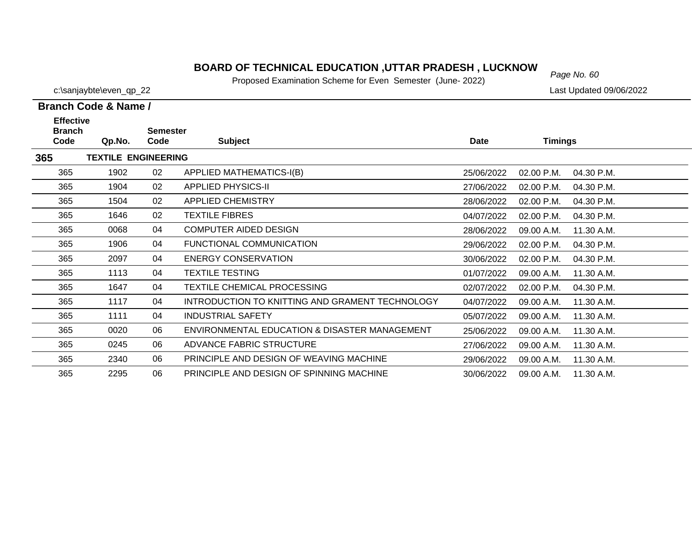### *Page No. 60* **BOARD OF TECHNICAL EDUCATION ,UTTAR PRADESH , LUCKNOW**

Proposed Examination Scheme for Even Semester (June- 2022)

| Branch Code & Name / |  |  |
|----------------------|--|--|

| <b>Effective</b><br><b>Branch</b> |                            | <b>Semester</b> |                                                 |            |                |            |
|-----------------------------------|----------------------------|-----------------|-------------------------------------------------|------------|----------------|------------|
| Code                              | Qp.No.                     | Code            | <b>Subject</b>                                  | Date       | <b>Timings</b> |            |
| 365                               | <b>TEXTILE ENGINEERING</b> |                 |                                                 |            |                |            |
| 365                               | 1902                       | 02              | APPLIED MATHEMATICS-I(B)                        | 25/06/2022 | 02.00 P.M.     | 04.30 P.M. |
| 365                               | 1904                       | 02              | <b>APPLIED PHYSICS-II</b>                       | 27/06/2022 | 02.00 P.M.     | 04.30 P.M. |
| 365                               | 1504                       | 02              | <b>APPLIED CHEMISTRY</b>                        | 28/06/2022 | 02.00 P.M.     | 04.30 P.M. |
| 365                               | 1646                       | 02              | <b>TEXTILE FIBRES</b>                           | 04/07/2022 | 02.00 P.M.     | 04.30 P.M. |
| 365                               | 0068                       | 04              | <b>COMPUTER AIDED DESIGN</b>                    | 28/06/2022 | 09.00 A.M.     | 11.30 A.M. |
| 365                               | 1906                       | 04              | FUNCTIONAL COMMUNICATION                        | 29/06/2022 | 02.00 P.M.     | 04.30 P.M. |
| 365                               | 2097                       | 04              | <b>ENERGY CONSERVATION</b>                      | 30/06/2022 | 02.00 P.M.     | 04.30 P.M. |
| 365                               | 1113                       | 04              | <b>TEXTILE TESTING</b>                          | 01/07/2022 | 09.00 A.M.     | 11.30 A.M. |
| 365                               | 1647                       | 04              | TEXTILE CHEMICAL PROCESSING                     | 02/07/2022 | 02.00 P.M.     | 04.30 P.M. |
| 365                               | 1117                       | 04              | INTRODUCTION TO KNITTING AND GRAMENT TECHNOLOGY | 04/07/2022 | 09.00 A.M.     | 11.30 A.M. |
| 365                               | 1111                       | 04              | <b>INDUSTRIAL SAFETY</b>                        | 05/07/2022 | 09.00 A.M.     | 11.30 A.M. |
| 365                               | 0020                       | 06              | ENVIRONMENTAL EDUCATION & DISASTER MANAGEMENT   | 25/06/2022 | 09.00 A.M.     | 11.30 A.M. |
| 365                               | 0245                       | 06              | ADVANCE FABRIC STRUCTURE                        | 27/06/2022 | 09.00 A.M.     | 11.30 A.M. |
| 365                               | 2340                       | 06              | PRINCIPLE AND DESIGN OF WEAVING MACHINE         | 29/06/2022 | 09.00 A.M.     | 11.30 A.M. |
| 365                               | 2295                       | 06              | PRINCIPLE AND DESIGN OF SPINNING MACHINE        | 30/06/2022 | 09.00 A.M.     | 11.30 A.M. |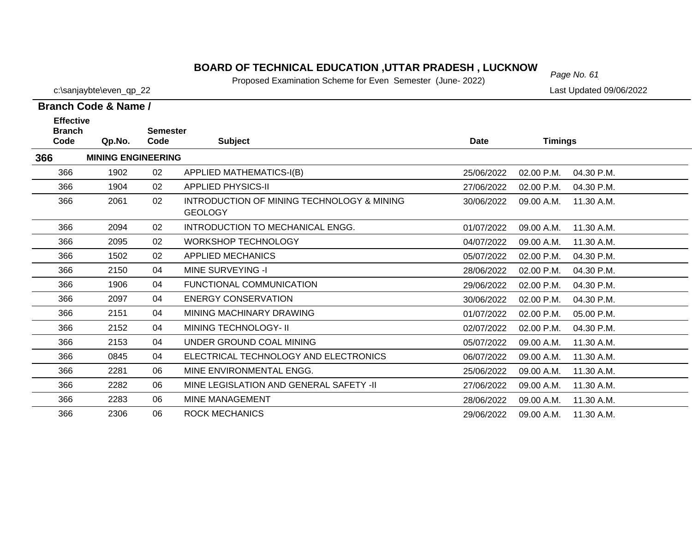### **BOARD OF TECHNICAL EDUCATION ,UTTAR PRADESH , LUCKNOW**  $_{Page No. 61}$

Proposed Examination Scheme for Even Semester (June- 2022)

**Branch Code & Name /**

**366**

366

366

366

2283 06 MINE MANAGEMENT

2306 06 ROCK MECHANICS

c:\sanjaybte\even\_qp\_22 Last Updated 09/06/2022

11.30 A.M.

11.30 A.M.

28/06/2022 09.00 A.M.

29/06/2022 09.00 A.M. 11.30 A.M.

| <b>Effective</b><br><b>Branch</b><br>Code | Qp.No.                    | <b>Semester</b><br>Code | <b>Subject</b>                                               | Date       | Timings      |            |
|-------------------------------------------|---------------------------|-------------------------|--------------------------------------------------------------|------------|--------------|------------|
| 6                                         | <b>MINING ENGINEERING</b> |                         |                                                              |            |              |            |
| 366                                       | 1902                      | 02                      | <b>APPLIED MATHEMATICS-I(B)</b>                              | 25/06/2022 | $02.00$ P.M. | 04.30 P.M. |
| 366                                       | 1904                      | 02                      | <b>APPLIED PHYSICS-II</b>                                    | 27/06/2022 | 02.00 P.M.   | 04.30 P.M. |
| 366                                       | 2061                      | 02                      | INTRODUCTION OF MINING TECHNOLOGY & MINING<br><b>GEOLOGY</b> | 30/06/2022 | 09.00 A.M.   | 11.30 A.M. |
| 366                                       | 2094                      | 02                      | INTRODUCTION TO MECHANICAL ENGG.                             | 01/07/2022 | 09.00 A.M.   | 11.30 A.M. |
| 366                                       | 2095                      | 02                      | <b>WORKSHOP TECHNOLOGY</b>                                   | 04/07/2022 | 09.00 A.M.   | 11.30 A.M. |
| 366                                       | 1502                      | 02                      | <b>APPLIED MECHANICS</b>                                     | 05/07/2022 | 02.00 P.M.   | 04.30 P.M. |
| 366                                       | 2150                      | 04                      | MINE SURVEYING -I                                            | 28/06/2022 | 02.00 P.M.   | 04.30 P.M. |
| 366                                       | 1906                      | 04                      | FUNCTIONAL COMMUNICATION                                     | 29/06/2022 | 02.00 P.M.   | 04.30 P.M. |
| 366                                       | 2097                      | 04                      | <b>ENERGY CONSERVATION</b>                                   | 30/06/2022 | 02.00 P.M.   | 04.30 P.M. |
| 366                                       | 2151                      | 04                      | MINING MACHINARY DRAWING                                     | 01/07/2022 | 02.00 P.M.   | 05.00 P.M. |
| 366                                       | 2152                      | 04                      | MINING TECHNOLOGY- II                                        | 02/07/2022 | 02.00 P.M.   | 04.30 P.M. |
| 366                                       | 2153                      | 04                      | UNDER GROUND COAL MINING                                     | 05/07/2022 | 09.00 A.M.   | 11.30 A.M. |
| 366                                       | 0845                      | 04                      | ELECTRICAL TECHNOLOGY AND ELECTRONICS                        | 06/07/2022 | 09.00 A.M.   | 11.30 A.M. |
| 366                                       | 2281                      | 06                      | MINE ENVIRONMENTAL ENGG.                                     | 25/06/2022 | 09.00 A.M.   | 11.30 A.M. |

2282 06 MINE LEGISLATION AND GENERAL SAFETY -II 27/06/2022 09.00 A.M.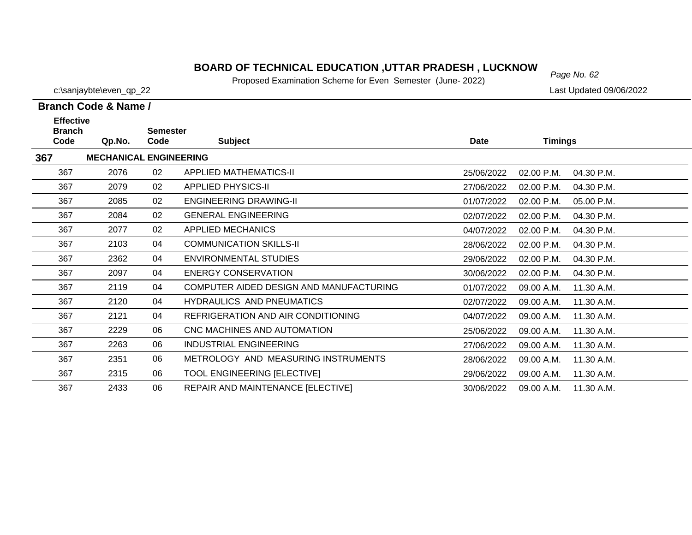### *Page No. 62* **BOARD OF TECHNICAL EDUCATION ,UTTAR PRADESH , LUCKNOW**

Proposed Examination Scheme for Even Semester (June- 2022)

c:\sanjaybte\even\_qp\_22 Last Updated 09/06/2022

### **Branch Code & Name /**

| <b>Effective</b><br><b>Branch</b><br>Code | Qp.No.                        | <b>Semester</b><br>Code | <b>Subject</b>                          | <b>Date</b> | <b>Timings</b> |            |
|-------------------------------------------|-------------------------------|-------------------------|-----------------------------------------|-------------|----------------|------------|
| 367                                       | <b>MECHANICAL ENGINEERING</b> |                         |                                         |             |                |            |
| 367                                       | 2076                          | 02                      | <b>APPLIED MATHEMATICS-II</b>           | 25/06/2022  | $02.00$ P.M.   | 04.30 P.M. |
| 367                                       | 2079                          | 02                      | <b>APPLIED PHYSICS-II</b>               | 27/06/2022  | 02.00 P.M.     | 04.30 P.M. |
| 367                                       | 2085                          | 02                      | <b>ENGINEERING DRAWING-II</b>           | 01/07/2022  | 02.00 P.M.     | 05.00 P.M. |
| 367                                       | 2084                          | 02                      | <b>GENERAL ENGINEERING</b>              | 02/07/2022  | 02.00 P.M.     | 04.30 P.M. |
| 367                                       | 2077                          | 02                      | <b>APPLIED MECHANICS</b>                | 04/07/2022  | 02.00 P.M.     | 04.30 P.M. |
| 367                                       | 2103                          | 04                      | <b>COMMUNICATION SKILLS-II</b>          | 28/06/2022  | 02.00 P.M.     | 04.30 P.M. |
| 367                                       | 2362                          | 04                      | <b>ENVIRONMENTAL STUDIES</b>            | 29/06/2022  | 02.00 P.M.     | 04.30 P.M. |
| 367                                       | 2097                          | 04                      | <b>ENERGY CONSERVATION</b>              | 30/06/2022  | 02.00 P.M.     | 04.30 P.M. |
| 367                                       | 2119                          | 04                      | COMPUTER AIDED DESIGN AND MANUFACTURING | 01/07/2022  | 09.00 A.M.     | 11.30 A.M. |
| 367                                       | 2120                          | 04                      | HYDRAULICS AND PNEUMATICS               | 02/07/2022  | 09.00 A.M.     | 11.30 A.M. |
| 367                                       | 2121                          | 04                      | REFRIGERATION AND AIR CONDITIONING      | 04/07/2022  | 09.00 A.M.     | 11.30 A.M. |
| 367                                       | 2229                          | 06                      | CNC MACHINES AND AUTOMATION             | 25/06/2022  | 09.00 A.M.     | 11.30 A.M. |
| 367                                       | 2263                          | 06                      | INDUSTRIAL ENGINEERING                  | 27/06/2022  | 09.00 A.M.     | 11.30 A.M. |
| 367                                       | 2351                          | 06                      | METROLOGY AND MEASURING INSTRUMENTS     | 28/06/2022  | 09.00 A.M.     | 11.30 A.M. |
| 367                                       | 2315                          | 06                      | <b>TOOL ENGINEERING [ELECTIVE]</b>      | 29/06/2022  | 09.00 A.M.     | 11.30 A.M. |
| 367                                       | 2433                          | 06                      | REPAIR AND MAINTENANCE [ELECTIVE]       | 30/06/2022  | 09.00 A.M.     | 11.30 A.M. |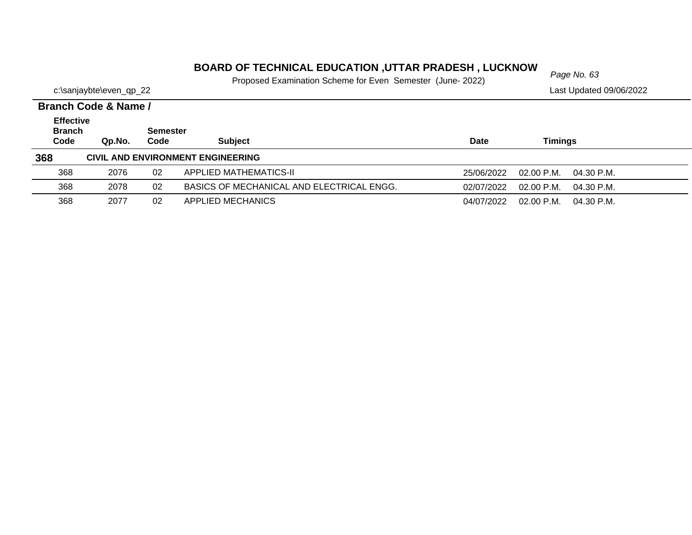### *Page No. 63* **BOARD OF TECHNICAL EDUCATION ,UTTAR PRADESH , LUCKNOW**

|                         | Proposed Examination Scheme for Even Semester (June- 2022) |  |                         |
|-------------------------|------------------------------------------------------------|--|-------------------------|
| c:\sanjaybte\even_qp_22 |                                                            |  | Last Updated 09/06/2022 |

|                                           | Branch Code & Name / |                         |                                           |            |                          |  |  |  |
|-------------------------------------------|----------------------|-------------------------|-------------------------------------------|------------|--------------------------|--|--|--|
| <b>Effective</b><br><b>Branch</b><br>Code | Qp.No.               | <b>Semester</b><br>Code | <b>Subject</b>                            | Date       | <b>Timings</b>           |  |  |  |
| 368                                       |                      |                         | CIVIL AND ENVIRONMENT ENGINEERING         |            |                          |  |  |  |
| 368                                       | 2076                 | 02                      | APPLIED MATHEMATICS-II                    | 25/06/2022 | 02.00 P.M.<br>04.30 P.M. |  |  |  |
| 368                                       | 2078                 | 02                      | BASICS OF MECHANICAL AND ELECTRICAL ENGG. | 02/07/2022 | 02.00 P.M.<br>04.30 P.M. |  |  |  |
| 368                                       | 2077                 | 02                      | APPLIED MECHANICS                         | 04/07/2022 | 02.00 P.M.<br>04.30 P.M. |  |  |  |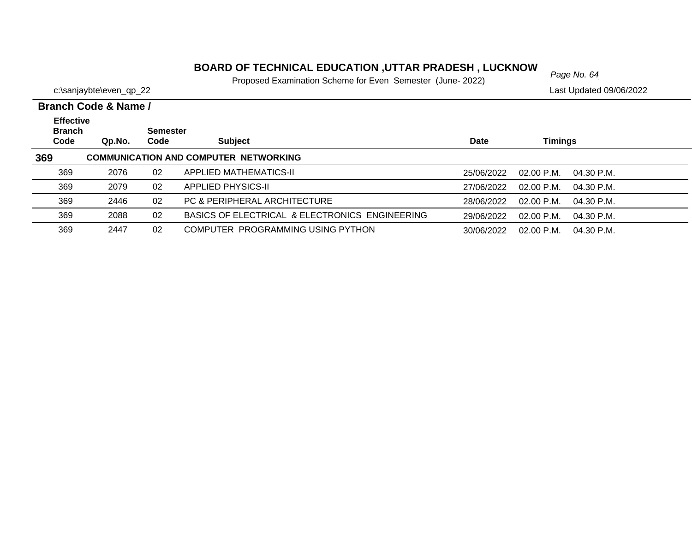# *Page No. 64* **BOARD OF TECHNICAL EDUCATION ,UTTAR PRADESH , LUCKNOW**

|                         | $\sim$ . Topood Examination cononic for Evon confoctor (canone comp |                         |
|-------------------------|---------------------------------------------------------------------|-------------------------|
| c:\sanjaybte\even_qp_22 |                                                                     | Last Updated 09/06/2022 |

| Branch Code & Name /                      |        |                  |                                                |            |                              |  |
|-------------------------------------------|--------|------------------|------------------------------------------------|------------|------------------------------|--|
| <b>Effective</b><br><b>Branch</b><br>Code | Qp.No. | Semester<br>Code | <b>Subject</b>                                 | Date       | <b>Timings</b>               |  |
| 369                                       |        |                  | <b>COMMUNICATION AND COMPUTER NETWORKING</b>   |            |                              |  |
| 369                                       | 2076   | 02               | APPLIED MATHEMATICS-II                         | 25/06/2022 | $02.00$ P.M.<br>04.30 P.M.   |  |
| 369                                       | 2079   | 02               | <b>APPLIED PHYSICS-II</b>                      | 27/06/2022 | 02.00 P.M.<br>04.30 P.M.     |  |
| 369                                       | 2446   | 02               | PC & PERIPHERAL ARCHITECTURE                   | 28/06/2022 | $02.00$ P.M.<br>$04.30$ P.M. |  |
| 369                                       | 2088   | 02               | BASICS OF ELECTRICAL & ELECTRONICS ENGINEERING | 29/06/2022 | $02.00$ P.M.<br>04.30 P.M.   |  |
| 369                                       | 2447   | 02               | COMPUTER PROGRAMMING USING PYTHON              | 30/06/2022 | $02.00$ P.M.<br>04.30 P.M.   |  |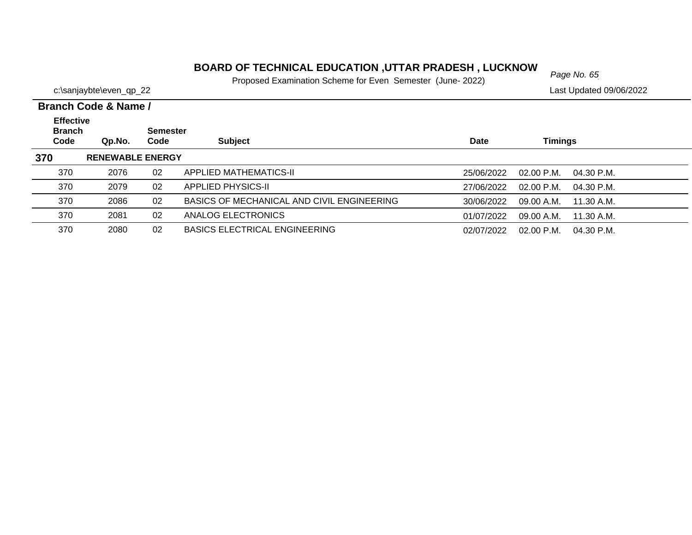### *Page No. 65* **BOARD OF TECHNICAL EDUCATION ,UTTAR PRADESH , LUCKNOW**

|                         | <b>TODOOG EXAMINIQUOT OUTOITO TOI EVOIT OUTICOLO TUGHO ZUZZI</b> |                         |
|-------------------------|------------------------------------------------------------------|-------------------------|
| c:\sanjaybte\even_qp_22 |                                                                  | Last Updated 09/06/2022 |

|  | Branch Code & Name / |
|--|----------------------|

| PIULIVII VYVUV VI IULIIV <i>I</i>         |                         |                         |                                            |             |                              |  |
|-------------------------------------------|-------------------------|-------------------------|--------------------------------------------|-------------|------------------------------|--|
| <b>Effective</b><br><b>Branch</b><br>Code | Qp.No.                  | <b>Semester</b><br>Code | <b>Subject</b>                             | <b>Date</b> | Timings                      |  |
| 370                                       | <b>RENEWABLE ENERGY</b> |                         |                                            |             |                              |  |
| 370                                       | 2076                    | 02                      | APPLIED MATHEMATICS-II                     | 25/06/2022  | $02.00$ P.M.<br>04.30 P.M.   |  |
| 370                                       | 2079                    | 02                      | <b>APPLIED PHYSICS-II</b>                  | 27/06/2022  | $02.00$ P.M.<br>$04.30$ P.M. |  |
| 370                                       | 2086                    | 02                      | BASICS OF MECHANICAL AND CIVIL ENGINEERING | 30/06/2022  | 09.00 A.M.<br>11.30 A.M.     |  |
| 370                                       | 2081                    | 02                      | ANALOG ELECTRONICS                         | 01/07/2022  | 09.00 A.M.<br>11.30 A.M.     |  |
| 370                                       | 2080                    | 02                      | <b>BASICS ELECTRICAL ENGINEERING</b>       | 02/07/2022  | 02.00 P.M.<br>04.30 P.M.     |  |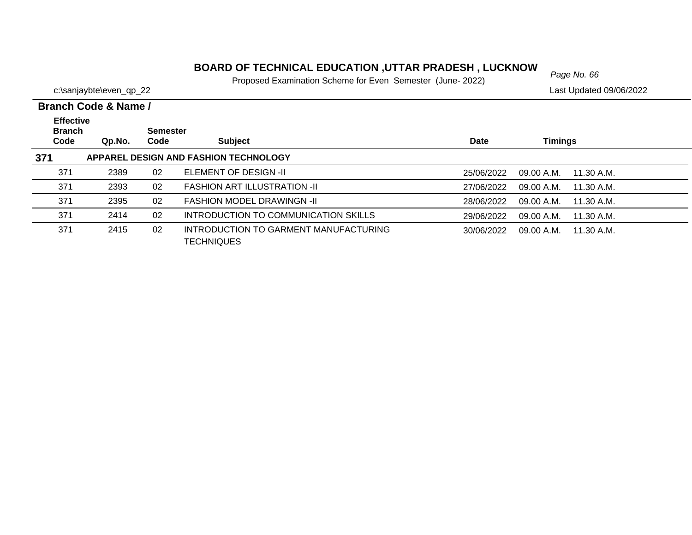### *Page No. 66* **BOARD OF TECHNICAL EDUCATION ,UTTAR PRADESH , LUCKNOW**

Proposed Examination Scheme for Even Semester (June- 2022)

|                                           | Branch Code & Name / |                         |                                                            |             |                          |  |
|-------------------------------------------|----------------------|-------------------------|------------------------------------------------------------|-------------|--------------------------|--|
| <b>Effective</b><br><b>Branch</b><br>Code | Qp.No.               | <b>Semester</b><br>Code | <b>Subject</b>                                             | <b>Date</b> | <b>Timings</b>           |  |
| 371                                       |                      |                         | APPAREL DESIGN AND FASHION TECHNOLOGY                      |             |                          |  |
| 371                                       | 2389                 | 02                      | ELEMENT OF DESIGN -II                                      | 25/06/2022  | 09.00 A.M.<br>11.30 A.M. |  |
| 371                                       | 2393                 | 02                      | <b>FASHION ART ILLUSTRATION -II</b>                        | 27/06/2022  | 09.00 A.M.<br>11.30 A.M. |  |
| 371                                       | 2395                 | 02                      | <b>FASHION MODEL DRAWINGN -II</b>                          | 28/06/2022  | 09.00 A.M.<br>11.30 A.M. |  |
| 371                                       | 2414                 | 02                      | INTRODUCTION TO COMMUNICATION SKILLS                       | 29/06/2022  | 09.00 A.M.<br>11.30 A.M. |  |
| 371                                       | 2415                 | 02                      | INTRODUCTION TO GARMENT MANUFACTURING<br><b>TECHNIQUES</b> | 30/06/2022  | 09.00 A.M.<br>11.30 A.M. |  |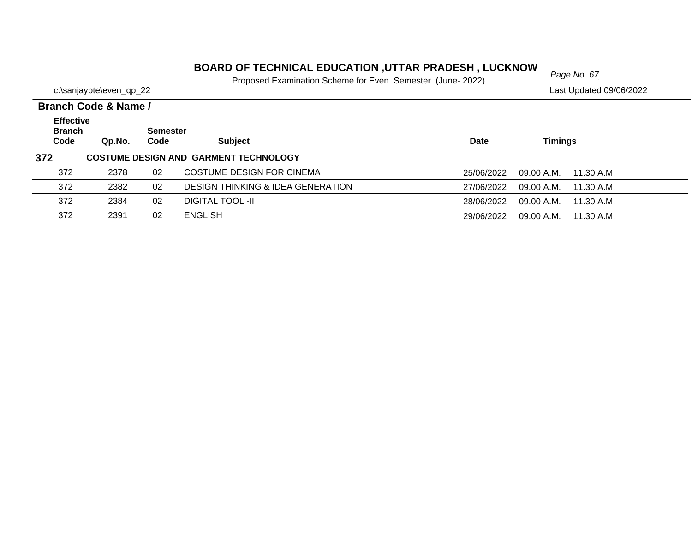### *Page No. 67* **BOARD OF TECHNICAL EDUCATION ,UTTAR PRADESH , LUCKNOW**

Proposed Examination Scheme for Even Semester (June- 2022)

2391 02 ENGLISH

372

|                         | i Toposca Examination Ocheme for Even Ochicster (June 2022) |                         |
|-------------------------|-------------------------------------------------------------|-------------------------|
| c:\sanjaybte\even_qp_22 |                                                             | Last Updated 09/06/2022 |

29/06/2022 09.00 A.M. 11.30 A.M.

|                                           | Branch Code & Name / |                         |                                              |            |                          |  |  |  |
|-------------------------------------------|----------------------|-------------------------|----------------------------------------------|------------|--------------------------|--|--|--|
| <b>Effective</b><br><b>Branch</b><br>Code | Qp.No.               | <b>Semester</b><br>Code | <b>Subject</b>                               | Date       | Timings                  |  |  |  |
| 372                                       |                      |                         | <b>COSTUME DESIGN AND GARMENT TECHNOLOGY</b> |            |                          |  |  |  |
| 372                                       | 2378                 | 02                      | COSTUME DESIGN FOR CINEMA                    | 25/06/2022 | 09.00 A.M.<br>11.30 A.M. |  |  |  |
| 372                                       | 2382                 | 02                      | <b>DESIGN THINKING &amp; IDEA GENERATION</b> | 27/06/2022 | 09.00 A.M.<br>11.30 A.M. |  |  |  |
| 372                                       | 2384                 | 02                      | DIGITAL TOOL -II                             | 28/06/2022 | 09.00 A.M.<br>11.30 A.M. |  |  |  |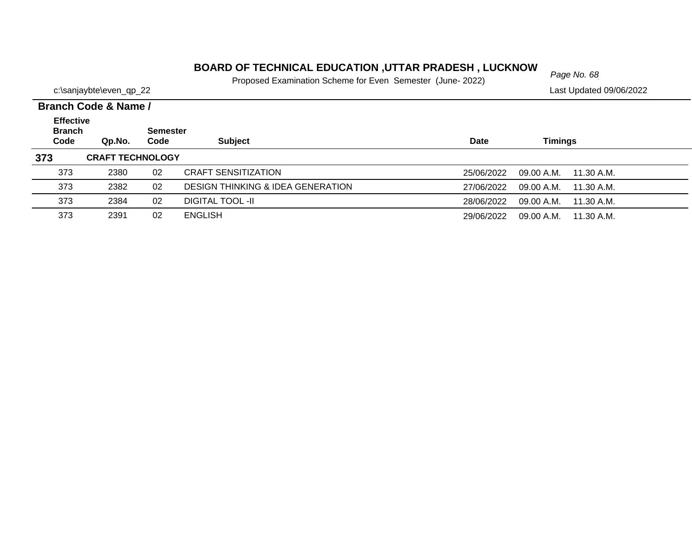### *Page No. 68* **BOARD OF TECHNICAL EDUCATION ,UTTAR PRADESH , LUCKNOW**

|                         | Proposed Examination Scheme for Even Semester (June- 2022) |  |                         |
|-------------------------|------------------------------------------------------------|--|-------------------------|
| c:\sanjaybte\even_qp_22 |                                                            |  | Last Updated 09/06/2022 |

|                                   | <b>Branch Code &amp; Name /</b> |      |                                              |             |                          |  |  |  |  |
|-----------------------------------|---------------------------------|------|----------------------------------------------|-------------|--------------------------|--|--|--|--|
| <b>Effective</b><br><b>Branch</b> | <b>Semester</b>                 |      |                                              |             |                          |  |  |  |  |
| Code                              | Qp.No.                          | Code | <b>Subject</b>                               | <b>Date</b> | Timings                  |  |  |  |  |
| 373                               | <b>CRAFT TECHNOLOGY</b>         |      |                                              |             |                          |  |  |  |  |
| 373                               | 2380                            | 02   | <b>CRAFT SENSITIZATION</b>                   | 25/06/2022  | 09.00 A.M.<br>11.30 A.M. |  |  |  |  |
| 373                               | 2382                            | 02   | <b>DESIGN THINKING &amp; IDEA GENERATION</b> | 27/06/2022  | 09.00 A.M.<br>11.30 A.M. |  |  |  |  |
| 373                               | 2384                            | 02   | <b>DIGITAL TOOL -II</b>                      | 28/06/2022  | 09.00 A.M.<br>11.30 A.M. |  |  |  |  |
| 373                               | 2391                            | 02   | <b>ENGLISH</b>                               | 29/06/2022  | 11.30 A.M.<br>09.00 A.M. |  |  |  |  |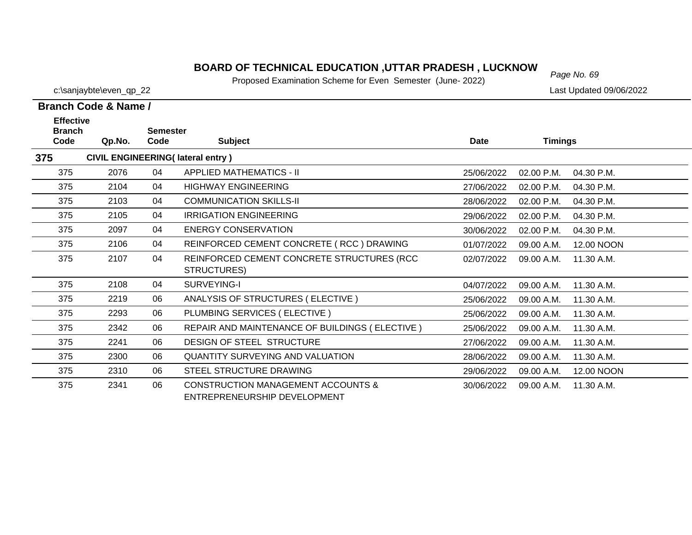### *Page No. 69* **BOARD OF TECHNICAL EDUCATION ,UTTAR PRADESH , LUCKNOW**

Proposed Examination Scheme for Even Semester (June- 2022)

c:\sanjaybte\even\_qp\_22 Last Updated 09/06/2022

### **Branch Code & Name /**

| <b>Effective</b><br><b>Branch</b> |        | <b>Semester</b> |                                                |             |                |            |
|-----------------------------------|--------|-----------------|------------------------------------------------|-------------|----------------|------------|
| Code                              | Qp.No. | Code            | <b>Subject</b>                                 | <b>Date</b> | <b>Timings</b> |            |
| 375                               |        |                 | <b>CIVIL ENGINEERING(Iateral entry)</b>        |             |                |            |
| 375                               | 2076   | 04              | <b>APPLIED MATHEMATICS - II</b>                | 25/06/2022  | 02.00 P.M.     | 04.30 P.M. |
| 375                               | 2104   | 04              | <b>HIGHWAY ENGINEERING</b>                     | 27/06/2022  | 02.00 P.M.     | 04.30 P.M. |
| 375                               | 2103   | 04              | <b>COMMUNICATION SKILLS-II</b>                 | 28/06/2022  | 02.00 P.M.     | 04.30 P.M. |
| 375                               | 2105   | 04              | <b>IRRIGATION ENGINEERING</b>                  | 29/06/2022  | 02.00 P.M.     | 04.30 P.M. |
| 375                               | 2097   | 04              | <b>ENERGY CONSERVATION</b>                     | 30/06/2022  | 02.00 P.M.     | 04.30 P.M. |
| 375                               | 2106   | 04              | REINFORCED CEMENT CONCRETE (RCC) DRAWING       | 01/07/2022  | 09.00 A.M.     | 12.00 NOON |
| 375                               | 2107   | 04              | REINFORCED CEMENT CONCRETE STRUCTURES (RCC     | 02/07/2022  | 09.00 A.M.     | 11.30 A.M. |
|                                   |        |                 | STRUCTURES)                                    |             |                |            |
| 375                               | 2108   | 04              | SURVEYING-I                                    | 04/07/2022  | 09.00 A.M.     | 11.30 A.M. |
| 375                               | 2219   | 06              | ANALYSIS OF STRUCTURES (ELECTIVE)              | 25/06/2022  | 09.00 A.M.     | 11.30 A.M. |
| 375                               | 2293   | 06              | PLUMBING SERVICES (ELECTIVE)                   | 25/06/2022  | 09.00 A.M.     | 11.30 A.M. |
| 375                               | 2342   | 06              | REPAIR AND MAINTENANCE OF BUILDINGS (ELECTIVE) | 25/06/2022  | 09.00 A.M.     | 11.30 A.M. |
| 375                               | 2241   | 06              | DESIGN OF STEEL STRUCTURE                      | 27/06/2022  | 09.00 A.M.     | 11.30 A.M. |
| 375                               | 2300   | 06              | <b>QUANTITY SURVEYING AND VALUATION</b>        | 28/06/2022  | 09.00 A.M.     | 11.30 A.M. |
| 375                               | 2310   | 06              | STEEL STRUCTURE DRAWING                        | 29/06/2022  | 09.00 A.M.     | 12.00 NOON |
| 375                               | 2341   | 06              | <b>CONSTRUCTION MANAGEMENT ACCOUNTS &amp;</b>  | 30/06/2022  | 09.00 A.M.     | 11.30 A.M. |
|                                   |        |                 | ENTREPRENEURSHIP DEVELOPMENT                   |             |                |            |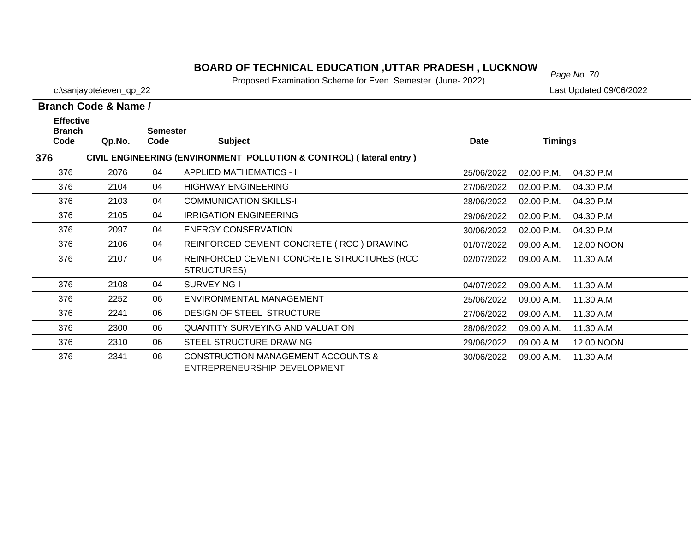### *Page No. 70* **BOARD OF TECHNICAL EDUCATION ,UTTAR PRADESH , LUCKNOW**

Proposed Examination Scheme for Even Semester (June- 2022)

| Branch Code & Name /              |        |                 |                |  |  |  |  |  |
|-----------------------------------|--------|-----------------|----------------|--|--|--|--|--|
| <b>Effective</b><br><b>Branch</b> |        | <b>Semester</b> |                |  |  |  |  |  |
| Code                              | Qp.No. | Code            | <b>Subject</b> |  |  |  |  |  |

| Code | Qp.No. | Code | <b>Subject</b>                                                                | Date       | <b>Timings</b>           |  |
|------|--------|------|-------------------------------------------------------------------------------|------------|--------------------------|--|
| 376  |        |      | CIVIL ENGINEERING (ENVIRONMENT POLLUTION & CONTROL) (lateral entry)           |            |                          |  |
| 376  | 2076   | 04   | <b>APPLIED MATHEMATICS - II</b>                                               | 25/06/2022 | 02.00 P.M.<br>04.30 P.M. |  |
| 376  | 2104   | 04   | <b>HIGHWAY ENGINEERING</b>                                                    | 27/06/2022 | 02.00 P.M.<br>04.30 P.M. |  |
| 376  | 2103   | 04   | <b>COMMUNICATION SKILLS-II</b>                                                | 28/06/2022 | 02.00 P.M.<br>04.30 P.M. |  |
| 376  | 2105   | 04   | <b>IRRIGATION ENGINEERING</b>                                                 | 29/06/2022 | 02.00 P.M.<br>04.30 P.M. |  |
| 376  | 2097   | 04   | <b>ENERGY CONSERVATION</b>                                                    | 30/06/2022 | 02.00 P.M.<br>04.30 P.M. |  |
| 376  | 2106   | 04   | REINFORCED CEMENT CONCRETE (RCC) DRAWING                                      | 01/07/2022 | 09.00 A.M.<br>12.00 NOON |  |
| 376  | 2107   | 04   | REINFORCED CEMENT CONCRETE STRUCTURES (RCC                                    | 02/07/2022 | 11.30 A.M.<br>09.00 A.M. |  |
|      |        |      | STRUCTURES)                                                                   |            |                          |  |
| 376  | 2108   | 04   | SURVEYING-I                                                                   | 04/07/2022 | 11.30 A.M.<br>09.00 A.M. |  |
| 376  | 2252   | 06   | ENVIRONMENTAL MANAGEMENT                                                      | 25/06/2022 | 09.00 A.M.<br>11.30 A.M. |  |
| 376  | 2241   | 06   | DESIGN OF STEEL STRUCTURE                                                     | 27/06/2022 | 09.00 A.M.<br>11.30 A.M. |  |
| 376  | 2300   | 06   | <b>QUANTITY SURVEYING AND VALUATION</b>                                       | 28/06/2022 | 11.30 A.M.<br>09.00 A.M. |  |
| 376  | 2310   | 06   | STEEL STRUCTURE DRAWING                                                       | 29/06/2022 | 09.00 A.M.<br>12.00 NOON |  |
| 376  | 2341   | 06   | <b>CONSTRUCTION MANAGEMENT ACCOUNTS &amp;</b><br>ENTREPRENEURSHIP DEVELOPMENT | 30/06/2022 | 09.00 A.M.<br>11.30 A.M. |  |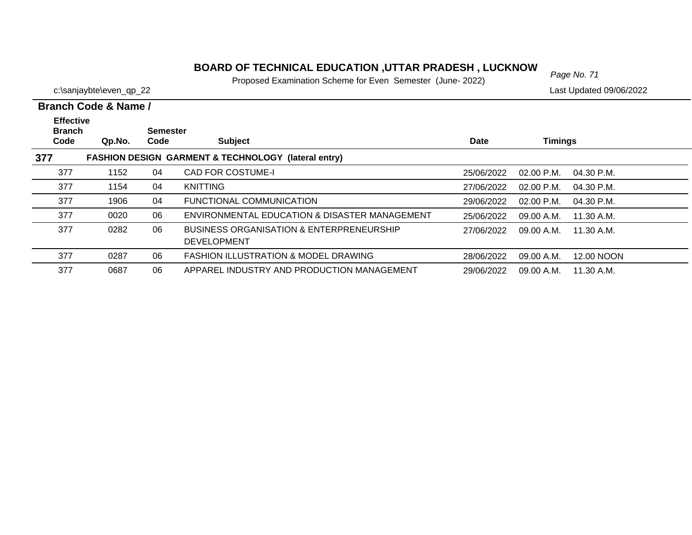# *Page No. 71* **BOARD OF TECHNICAL EDUCATION ,UTTAR PRADESH , LUCKNOW**

Proposed Examination Scheme for Even Semester (June- 2022)

|  | Branch Code & Name / |  |
|--|----------------------|--|
|  |                      |  |

| <b>Effective</b><br><b>Branch</b><br>Code | Qp.No. | <b>Semester</b><br>Code | <b>Subject</b>                                                            | <b>Date</b> | <b>Timings</b>       |              |
|-------------------------------------------|--------|-------------------------|---------------------------------------------------------------------------|-------------|----------------------|--------------|
| 377                                       |        |                         | <b>FASHION DESIGN GARMENT &amp; TECHNOLOGY</b><br>(lateral entry)         |             |                      |              |
| 377                                       | 1152   | 04                      | <b>CAD FOR COSTUME-I</b>                                                  | 25/06/2022  | $02.00 \text{ P.M.}$ | 04.30 P.M.   |
| 377                                       | 1154   | 04                      | <b>KNITTING</b>                                                           | 27/06/2022  | $02.00$ P.M.         | $04.30$ P.M. |
| 377                                       | 1906   | 04                      | FUNCTIONAL COMMUNICATION                                                  | 29/06/2022  | $02.00$ P.M.         | $04.30$ P.M. |
| 377                                       | 0020   | 06                      | ENVIRONMENTAL EDUCATION & DISASTER MANAGEMENT                             | 25/06/2022  | 09.00 A.M.           | 11.30 A.M.   |
| 377                                       | 0282   | 06                      | <b>BUSINESS ORGANISATION &amp; ENTERPRENEURSHIP</b><br><b>DEVELOPMENT</b> | 27/06/2022  | 09.00 A.M.           | 11.30 A.M.   |
| 377                                       | 0287   | 06                      | <b>FASHION ILLUSTRATION &amp; MODEL DRAWING</b>                           | 28/06/2022  | 09.00 A.M.           | 12.00 NOON   |
| 377                                       | 0687   | 06                      | APPAREL INDUSTRY AND PRODUCTION MANAGEMENT                                | 29/06/2022  | 09.00 A.M.           | 11.30 A.M.   |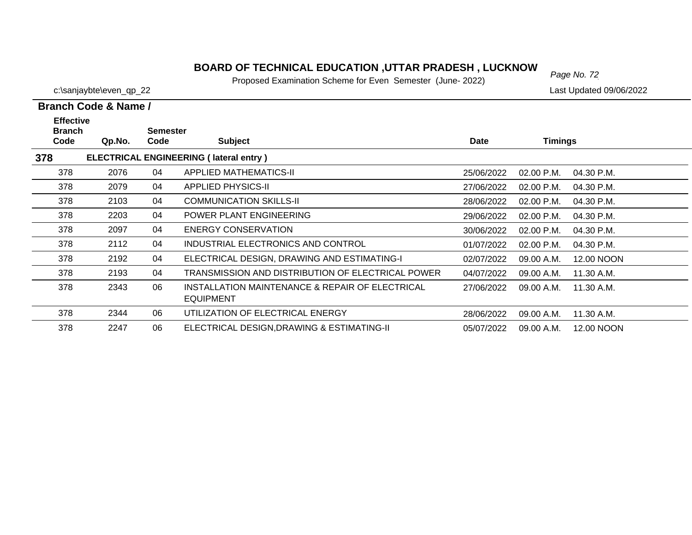### **BOARD OF TECHNICAL EDUCATION ,UTTAR PRADESH , LUCKNOW**<br>Page No. 72

Proposed Examination Scheme for Even Semester (June- 2022)

c:\sanjaybte\even\_qp\_22 Last Updated 09/06/2022

 $\overline{\phantom{0}}$  $\overline{\phantom{0}}$  $\overline{\phantom{0}}$  $\overline{\phantom{0}}$  $\overline{\phantom{0}}$ 

| Branch Code & Name /                      |                                               |                         |                                                                     |             |                |            |  |  |  |  |
|-------------------------------------------|-----------------------------------------------|-------------------------|---------------------------------------------------------------------|-------------|----------------|------------|--|--|--|--|
| <b>Effective</b><br><b>Branch</b><br>Code | Qp.No.                                        | <b>Semester</b><br>Code | <b>Subject</b>                                                      | <b>Date</b> | <b>Timings</b> |            |  |  |  |  |
| 378                                       | <b>ELECTRICAL ENGINEERING (Iateral entry)</b> |                         |                                                                     |             |                |            |  |  |  |  |
| 378                                       | 2076                                          | 04                      | <b>APPLIED MATHEMATICS-II</b>                                       | 25/06/2022  | 02.00 P.M.     | 04.30 P.M. |  |  |  |  |
| 378                                       | 2079                                          | 04                      | APPLIED PHYSICS-II                                                  | 27/06/2022  | $02.00$ P.M.   | 04.30 P.M. |  |  |  |  |
| 378                                       | 2103                                          | 04                      | <b>COMMUNICATION SKILLS-II</b>                                      | 28/06/2022  | 02.00 P.M.     | 04.30 P.M. |  |  |  |  |
| 378                                       | 2203                                          | 04                      | POWER PLANT ENGINEERING                                             | 29/06/2022  | $02.00$ P.M.   | 04.30 P.M. |  |  |  |  |
| 378                                       | 2097                                          | 04                      | ENERGY CONSERVATION                                                 | 30/06/2022  | $02.00$ P.M.   | 04.30 P.M. |  |  |  |  |
| 378                                       | 2112                                          | 04                      | INDUSTRIAL ELECTRONICS AND CONTROL                                  | 01/07/2022  | 02.00 P.M.     | 04.30 P.M. |  |  |  |  |
| 378                                       | 2192                                          | 04                      | ELECTRICAL DESIGN, DRAWING AND ESTIMATING-I                         | 02/07/2022  | 09.00 A.M.     | 12.00 NOON |  |  |  |  |
| 378                                       | 2193                                          | 04                      | TRANSMISSION AND DISTRIBUTION OF ELECTRICAL POWER                   | 04/07/2022  | 09.00 A.M.     | 11.30 A.M. |  |  |  |  |
| 378                                       | 2343                                          | 06                      | INSTALLATION MAINTENANCE & REPAIR OF ELECTRICAL<br><b>EQUIPMENT</b> | 27/06/2022  | 09.00 A.M.     | 11.30 A.M. |  |  |  |  |
| 378                                       | 2344                                          | 06                      | UTILIZATION OF ELECTRICAL ENERGY                                    | 28/06/2022  | 09.00 A.M.     | 11.30 A.M. |  |  |  |  |
| 378                                       | 2247                                          | 06                      | ELECTRICAL DESIGN, DRAWING & ESTIMATING-II                          | 05/07/2022  | 09.00 A.M.     | 12.00 NOON |  |  |  |  |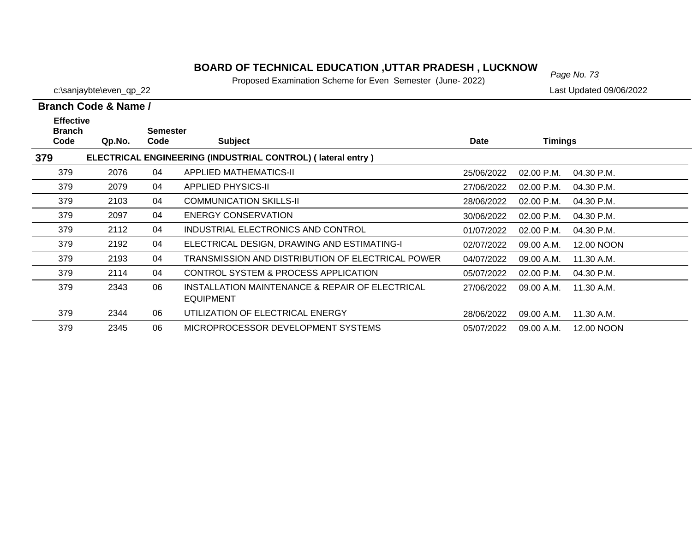# *Page No. 73* **BOARD OF TECHNICAL EDUCATION ,UTTAR PRADESH , LUCKNOW**

Proposed Examination Scheme for Even Semester (June- 2022)

c:\sanjaybte\even\_qp\_22 Last Updated 09/06/2022

| <b>Effective</b><br><b>Branch</b> |        | Semester |                                                             |             |                |            |
|-----------------------------------|--------|----------|-------------------------------------------------------------|-------------|----------------|------------|
| Code                              | Qp.No. | Code     | <b>Subject</b>                                              | <b>Date</b> | <b>Timings</b> |            |
| 379                               |        |          | ELECTRICAL ENGINEERING (INDUSTRIAL CONTROL) (lateral entry) |             |                |            |
| 379                               | 2076   | 04       | APPLIED MATHEMATICS-II                                      | 25/06/2022  | 02.00 P.M.     | 04.30 P.M. |
| 379                               | 2079   | 04       | <b>APPLIED PHYSICS-II</b>                                   | 27/06/2022  | $02.00$ P.M.   | 04.30 P.M. |
| 379                               | 2103   | 04       | <b>COMMUNICATION SKILLS-II</b>                              | 28/06/2022  | 02.00 P.M.     | 04.30 P.M. |
| 379                               | 2097   | 04       | <b>ENERGY CONSERVATION</b>                                  | 30/06/2022  | 02.00 P.M.     | 04.30 P.M. |
| 379                               | 2112   | 04       | INDUSTRIAL ELECTRONICS AND CONTROL                          | 01/07/2022  | 02.00 P.M.     | 04.30 P.M. |
| 379                               | 2192   | 04       | ELECTRICAL DESIGN, DRAWING AND ESTIMATING-I                 | 02/07/2022  | 09.00 A.M.     | 12.00 NOON |
| 379                               | 2193   | 04       | TRANSMISSION AND DISTRIBUTION OF ELECTRICAL POWER           | 04/07/2022  | 09.00 A.M.     | 11.30 A.M. |
| 379                               | 2114   | 04       | CONTROL SYSTEM & PROCESS APPLICATION                        | 05/07/2022  | 02.00 P.M.     | 04.30 P.M. |
| 379                               | 2343   | 06       | INSTALLATION MAINTENANCE & REPAIR OF ELECTRICAL             | 27/06/2022  | 09.00 A.M.     | 11.30 A.M. |
|                                   |        |          | <b>EQUIPMENT</b>                                            |             |                |            |
| 379                               | 2344   | 06       | UTILIZATION OF ELECTRICAL ENERGY                            | 28/06/2022  | 09.00 A.M.     | 11.30 A.M. |
| 379                               | 2345   | 06       | MICROPROCESSOR DEVELOPMENT SYSTEMS                          | 05/07/2022  | 09.00 A.M.     | 12.00 NOON |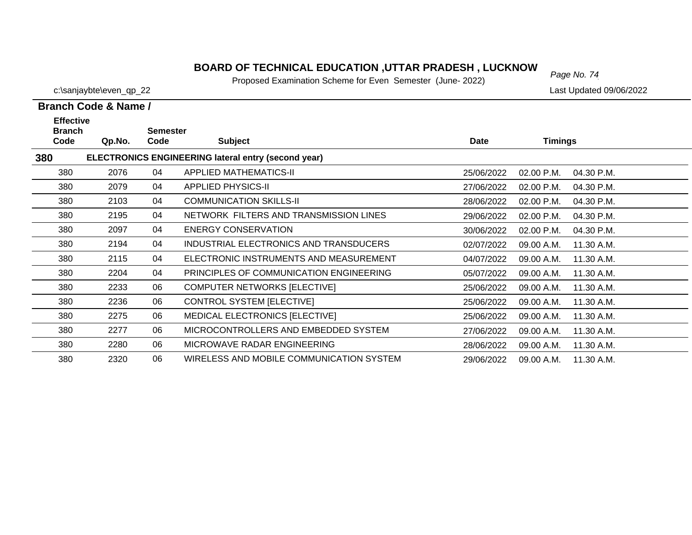Proposed Examination Scheme for Even Semester (June- 2022)

|                                                                                                                            | Branch Code & Name / |    |                                          |            |                          |  |  |  |  |
|----------------------------------------------------------------------------------------------------------------------------|----------------------|----|------------------------------------------|------------|--------------------------|--|--|--|--|
| <b>Effective</b><br><b>Branch</b><br><b>Semester</b><br>Code<br><b>Subject</b><br>Date<br><b>Timings</b><br>Qp.No.<br>Code |                      |    |                                          |            |                          |  |  |  |  |
| <b>ELECTRONICS ENGINEERING lateral entry (second year)</b><br>380                                                          |                      |    |                                          |            |                          |  |  |  |  |
| 380                                                                                                                        | 2076                 | 04 | <b>APPLIED MATHEMATICS-II</b>            | 25/06/2022 | 02.00 P.M.<br>04.30 P.M. |  |  |  |  |
| 380                                                                                                                        | 2079                 | 04 | <b>APPLIED PHYSICS-II</b>                | 27/06/2022 | 02.00 P.M.<br>04.30 P.M. |  |  |  |  |
| 380                                                                                                                        | 2103                 | 04 | <b>COMMUNICATION SKILLS-II</b>           | 28/06/2022 | 02.00 P.M.<br>04.30 P.M. |  |  |  |  |
| 380                                                                                                                        | 2195                 | 04 | NETWORK FILTERS AND TRANSMISSION LINES   | 29/06/2022 | 02.00 P.M.<br>04.30 P.M. |  |  |  |  |
| 380                                                                                                                        | 2097                 | 04 | <b>ENERGY CONSERVATION</b>               | 30/06/2022 | 02.00 P.M.<br>04.30 P.M. |  |  |  |  |
| 380                                                                                                                        | 2194                 | 04 | INDUSTRIAL ELECTRONICS AND TRANSDUCERS   | 02/07/2022 | 11.30 A.M.<br>09.00 A.M. |  |  |  |  |
| 380                                                                                                                        | 2115                 | 04 | ELECTRONIC INSTRUMENTS AND MEASUREMENT   | 04/07/2022 | 09.00 A.M.<br>11.30 A.M. |  |  |  |  |
| 380                                                                                                                        | 2204                 | 04 | PRINCIPLES OF COMMUNICATION ENGINEERING  | 05/07/2022 | 09.00 A.M.<br>11.30 A.M. |  |  |  |  |
| 380                                                                                                                        | 2233                 | 06 | <b>COMPUTER NETWORKS [ELECTIVE]</b>      | 25/06/2022 | 09.00 A.M.<br>11.30 A.M. |  |  |  |  |
| 380                                                                                                                        | 2236                 | 06 | CONTROL SYSTEM [ELECTIVE]                | 25/06/2022 | 09.00 A.M.<br>11.30 A.M. |  |  |  |  |
| 380                                                                                                                        | 2275                 | 06 | <b>MEDICAL ELECTRONICS [ELECTIVE]</b>    | 25/06/2022 | 11.30 A.M.<br>09.00 A.M. |  |  |  |  |
| 380                                                                                                                        | 2277                 | 06 | MICROCONTROLLERS AND EMBEDDED SYSTEM     | 27/06/2022 | 11.30 A.M.<br>09.00 A.M. |  |  |  |  |
| 380                                                                                                                        | 2280                 | 06 | MICROWAVE RADAR ENGINEERING              | 28/06/2022 | 09.00 A.M.<br>11.30 A.M. |  |  |  |  |
| 380                                                                                                                        | 2320                 | 06 | WIRELESS AND MOBILE COMMUNICATION SYSTEM | 29/06/2022 | 11.30 A.M.<br>09.00 A.M. |  |  |  |  |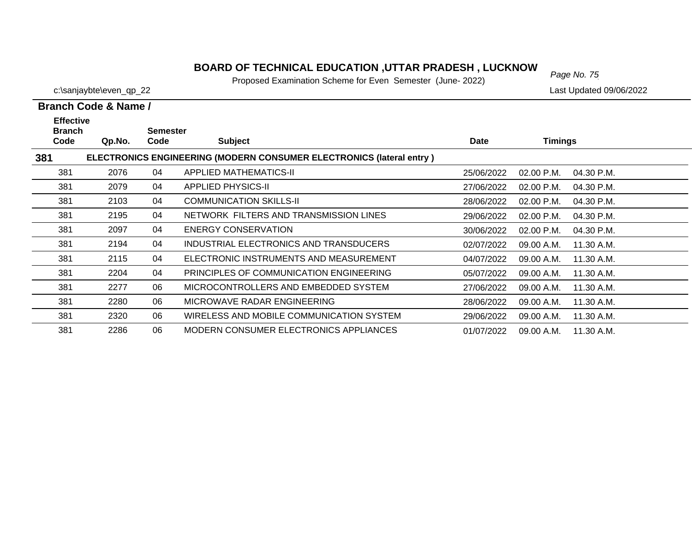# *Page No. 75* **BOARD OF TECHNICAL EDUCATION ,UTTAR PRADESH , LUCKNOW**

Proposed Examination Scheme for Even Semester (June- 2022)

|                                           | Branch Code & Name / |                         |                                                                             |            |                          |  |
|-------------------------------------------|----------------------|-------------------------|-----------------------------------------------------------------------------|------------|--------------------------|--|
| <b>Effective</b><br><b>Branch</b><br>Code | Qp.No.               | <b>Semester</b><br>Code | <b>Subject</b>                                                              | Date       | <b>Timings</b>           |  |
| 381                                       |                      |                         | <b>ELECTRONICS ENGINEERING (MODERN CONSUMER ELECTRONICS (lateral entry)</b> |            |                          |  |
| 381                                       | 2076                 | 04                      | APPLIED MATHEMATICS-II                                                      | 25/06/2022 | 02.00 P.M.<br>04.30 P.M. |  |
| 381                                       | 2079                 | 04                      | <b>APPLIED PHYSICS-II</b>                                                   | 27/06/2022 | 02.00 P.M.<br>04.30 P.M. |  |
| 381                                       | 2103                 | 04                      | <b>COMMUNICATION SKILLS-II</b>                                              | 28/06/2022 | 02.00 P.M.<br>04.30 P.M. |  |
| 381                                       | 2195                 | 04                      | NETWORK FILTERS AND TRANSMISSION LINES                                      | 29/06/2022 | 02.00 P.M.<br>04.30 P.M. |  |
| 381                                       | 2097                 | 04                      | <b>ENERGY CONSERVATION</b>                                                  | 30/06/2022 | 02.00 P.M.<br>04.30 P.M. |  |
| 381                                       | 2194                 | 04                      | INDUSTRIAL ELECTRONICS AND TRANSDUCERS                                      | 02/07/2022 | 09.00 A.M.<br>11.30 A.M. |  |
| 381                                       | 2115                 | 04                      | ELECTRONIC INSTRUMENTS AND MEASUREMENT                                      | 04/07/2022 | 11.30 A.M.<br>09.00 A.M. |  |
| 381                                       | 2204                 | 04                      | PRINCIPLES OF COMMUNICATION ENGINEERING                                     | 05/07/2022 | 09.00 A.M.<br>11.30 A.M. |  |
| 381                                       | 2277                 | 06                      | MICROCONTROLLERS AND EMBEDDED SYSTEM                                        | 27/06/2022 | 09.00 A.M.<br>11.30 A.M. |  |
| 381                                       | 2280                 | 06                      | MICROWAVE RADAR ENGINEERING                                                 | 28/06/2022 | 09.00 A.M.<br>11.30 A.M. |  |
| 381                                       | 2320                 | 06                      | WIRELESS AND MOBILE COMMUNICATION SYSTEM                                    | 29/06/2022 | 09.00 A.M.<br>11.30 A.M. |  |
| 381                                       | 2286                 | 06                      | MODERN CONSUMER ELECTRONICS APPLIANCES                                      | 01/07/2022 | 09.00 A.M.<br>11.30 A.M. |  |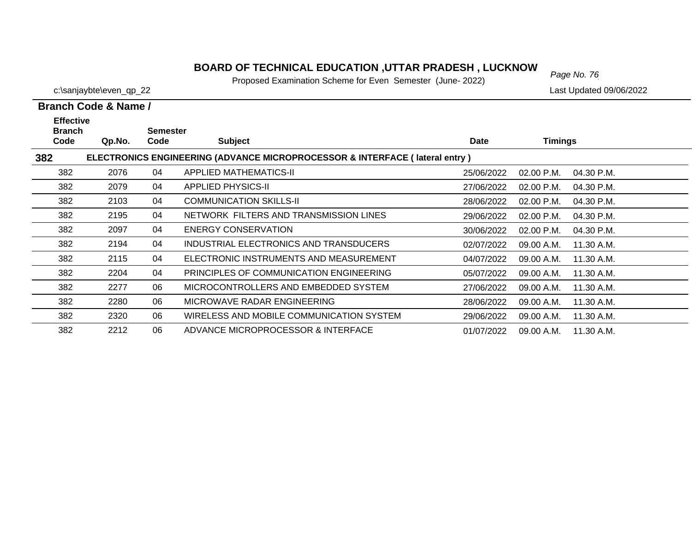# *Page No. 76* **BOARD OF TECHNICAL EDUCATION ,UTTAR PRADESH , LUCKNOW**

Proposed Examination Scheme for Even Semester (June- 2022)

c:\sanjaybte\even\_qp\_22 Last Updated 09/06/2022

| <b>Effective</b><br><b>Branch</b> |        | <b>Semester</b> |                                                                                        |             |              |            |
|-----------------------------------|--------|-----------------|----------------------------------------------------------------------------------------|-------------|--------------|------------|
| Code                              | Qp.No. | Code            | <b>Subject</b>                                                                         | <b>Date</b> | Timings      |            |
| 382                               |        |                 | <b>ELECTRONICS ENGINEERING (ADVANCE MICROPROCESSOR &amp; INTERFACE (lateral entry)</b> |             |              |            |
| 382                               | 2076   | 04              | APPLIED MATHEMATICS-II                                                                 | 25/06/2022  | 02.00 P.M.   | 04.30 P.M. |
| 382                               | 2079   | 04              | <b>APPLIED PHYSICS-II</b>                                                              | 27/06/2022  | 02.00 P.M.   | 04.30 P.M. |
| 382                               | 2103   | 04              | <b>COMMUNICATION SKILLS-II</b>                                                         | 28/06/2022  | 02.00 P.M.   | 04.30 P.M. |
| 382                               | 2195   | 04              | NETWORK FILTERS AND TRANSMISSION LINES                                                 | 29/06/2022  | 02.00 P.M.   | 04.30 P.M. |
| 382                               | 2097   | 04              | ENERGY CONSERVATION                                                                    | 30/06/2022  | $02.00$ P.M. | 04.30 P.M. |
| 382                               | 2194   | 04              | INDUSTRIAL ELECTRONICS AND TRANSDUCERS                                                 | 02/07/2022  | 09.00 A.M.   | 11.30 A.M. |
| 382                               | 2115   | 04              | ELECTRONIC INSTRUMENTS AND MEASUREMENT                                                 | 04/07/2022  | 09.00 A.M.   | 11.30 A.M. |
| 382                               | 2204   | 04              | PRINCIPLES OF COMMUNICATION ENGINEERING                                                | 05/07/2022  | 09.00 A.M.   | 11.30 A.M. |
| 382                               | 2277   | 06              | MICROCONTROLLERS AND EMBEDDED SYSTEM                                                   | 27/06/2022  | 09.00 A.M.   | 11.30 A.M. |
| 382                               | 2280   | 06              | MICROWAVE RADAR ENGINEERING                                                            | 28/06/2022  | 09.00 A.M.   | 11.30 A.M. |
| 382                               | 2320   | 06              | WIRELESS AND MOBILE COMMUNICATION SYSTEM                                               | 29/06/2022  | 09.00 A.M.   | 11.30 A.M. |
| 382                               | 2212   | 06              | ADVANCE MICROPROCESSOR & INTERFACE                                                     | 01/07/2022  | 09.00 A.M.   | 11.30 A.M. |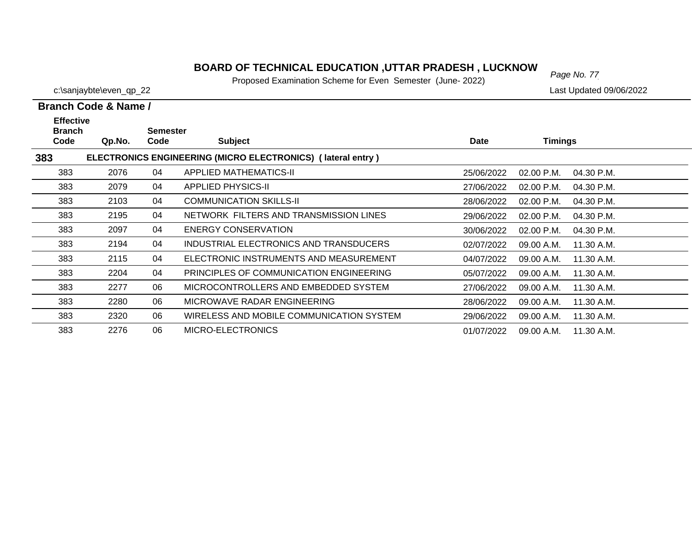# *Page No. 77* **BOARD OF TECHNICAL EDUCATION ,UTTAR PRADESH , LUCKNOW**

Proposed Examination Scheme for Even Semester (June- 2022)

|                                           | Branch Code & Name / |                         |                                                             |             |                            |  |  |  |  |
|-------------------------------------------|----------------------|-------------------------|-------------------------------------------------------------|-------------|----------------------------|--|--|--|--|
| <b>Effective</b><br><b>Branch</b><br>Code | Qp.No.               | <b>Semester</b><br>Code | <b>Subject</b>                                              | <b>Date</b> | Timings                    |  |  |  |  |
| 383                                       |                      |                         | ELECTRONICS ENGINEERING (MICRO ELECTRONICS) (lateral entry) |             |                            |  |  |  |  |
| 383                                       | 2076                 | 04                      | <b>APPLIED MATHEMATICS-II</b>                               | 25/06/2022  | $02.00$ P.M.<br>04.30 P.M. |  |  |  |  |
| 383                                       | 2079                 | 04                      | <b>APPLIED PHYSICS-II</b>                                   | 27/06/2022  | 02.00 P.M.<br>04.30 P.M.   |  |  |  |  |
| 383                                       | 2103                 | 04                      | <b>COMMUNICATION SKILLS-II</b>                              | 28/06/2022  | 02.00 P.M.<br>04.30 P.M.   |  |  |  |  |
| 383                                       | 2195                 | 04                      | NETWORK FILTERS AND TRANSMISSION LINES                      | 29/06/2022  | $02.00$ P.M.<br>04.30 P.M. |  |  |  |  |
| 383                                       | 2097                 | 04                      | ENERGY CONSERVATION                                         | 30/06/2022  | 02.00 P.M.<br>04.30 P.M.   |  |  |  |  |
| 383                                       | 2194                 | 04                      | INDUSTRIAL ELECTRONICS AND TRANSDUCERS                      | 02/07/2022  | 11.30 A.M.<br>09.00 A.M.   |  |  |  |  |
| 383                                       | 2115                 | 04                      | ELECTRONIC INSTRUMENTS AND MEASUREMENT                      | 04/07/2022  | 11.30 A.M.<br>09.00 A.M.   |  |  |  |  |
| 383                                       | 2204                 | 04                      | PRINCIPLES OF COMMUNICATION ENGINEERING                     | 05/07/2022  | 09.00 A.M.<br>11.30 A.M.   |  |  |  |  |
| 383                                       | 2277                 | 06                      | MICROCONTROLLERS AND EMBEDDED SYSTEM                        | 27/06/2022  | 09.00 A.M.<br>11.30 A.M.   |  |  |  |  |
| 383                                       | 2280                 | 06                      | MICROWAVE RADAR ENGINEERING                                 | 28/06/2022  | 09.00 A.M.<br>11.30 A.M.   |  |  |  |  |
| 383                                       | 2320                 | 06                      | WIRELESS AND MOBILE COMMUNICATION SYSTEM                    | 29/06/2022  | 11.30 A.M.<br>09.00 A.M.   |  |  |  |  |
| 383                                       | 2276                 | 06                      | MICRO-ELECTRONICS                                           | 01/07/2022  | 09.00 A.M.<br>11.30 A.M.   |  |  |  |  |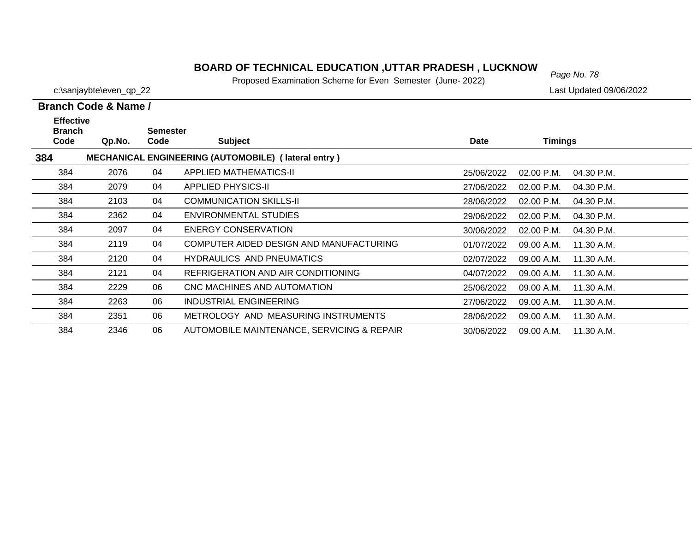Proposed Examination Scheme for Even Semester (June- 2022)

c:\sanjaybte\even\_qp\_22 Last Updated 09/06/2022

 $\overline{\phantom{0}}$ 

 $\overline{\phantom{0}}$  $\overline{\phantom{0}}$ 

—

|                                           | Branch Code & Name /                                |                         |                                            |            |                            |  |  |  |  |  |  |
|-------------------------------------------|-----------------------------------------------------|-------------------------|--------------------------------------------|------------|----------------------------|--|--|--|--|--|--|
| <b>Effective</b><br><b>Branch</b><br>Code | Qp.No.                                              | <b>Semester</b><br>Code | <b>Subject</b>                             | Date       | <b>Timings</b>             |  |  |  |  |  |  |
| 384                                       | MECHANICAL ENGINEERING (AUTOMOBILE) (lateral entry) |                         |                                            |            |                            |  |  |  |  |  |  |
| 384                                       | 2076                                                | 04                      | APPLIED MATHEMATICS-II                     | 25/06/2022 | 02.00 P.M.<br>04.30 P.M.   |  |  |  |  |  |  |
| 384                                       | 2079                                                | 04                      | APPLIED PHYSICS-II                         | 27/06/2022 | $02.00$ P.M.<br>04.30 P.M. |  |  |  |  |  |  |
| 384                                       | 2103                                                | 04                      | <b>COMMUNICATION SKILLS-II</b>             | 28/06/2022 | $02.00$ P.M.<br>04.30 P.M. |  |  |  |  |  |  |
| 384                                       | 2362                                                | 04                      | ENVIRONMENTAL STUDIES                      | 29/06/2022 | $02.00$ P.M.<br>04.30 P.M. |  |  |  |  |  |  |
| 384                                       | 2097                                                | 04                      | ENERGY CONSERVATION                        | 30/06/2022 | 02.00 P.M.<br>04.30 P.M.   |  |  |  |  |  |  |
| 384                                       | 2119                                                | 04                      | COMPUTER AIDED DESIGN AND MANUFACTURING    | 01/07/2022 | 09.00 A.M.<br>11.30 A.M.   |  |  |  |  |  |  |
| 384                                       | 2120                                                | 04                      | <b>HYDRAULICS AND PNEUMATICS</b>           | 02/07/2022 | 11.30 A.M.<br>09.00 A.M.   |  |  |  |  |  |  |
| 384                                       | 2121                                                | 04                      | REFRIGERATION AND AIR CONDITIONING         | 04/07/2022 | 09.00 A.M.<br>11.30 A.M.   |  |  |  |  |  |  |
| 384                                       | 2229                                                | 06                      | CNC MACHINES AND AUTOMATION                | 25/06/2022 | 11.30 A.M.<br>09.00 A.M.   |  |  |  |  |  |  |
| 384                                       | 2263                                                | 06                      | <b>INDUSTRIAL ENGINEERING</b>              | 27/06/2022 | 09.00 A.M.<br>11.30 A.M.   |  |  |  |  |  |  |
| 384                                       | 2351                                                | 06                      | METROLOGY AND MEASURING INSTRUMENTS        | 28/06/2022 | 09.00 A.M.<br>11.30 A.M.   |  |  |  |  |  |  |
| 384                                       | 2346                                                | 06                      | AUTOMOBILE MAINTENANCE, SERVICING & REPAIR | 30/06/2022 | 09.00 A.M.<br>11.30 A.M.   |  |  |  |  |  |  |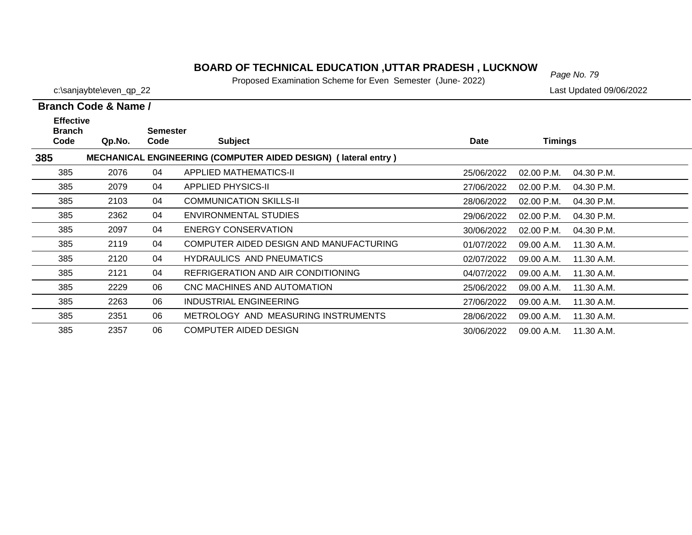Proposed Examination Scheme for Even Semester (June- 2022)

30/06/2022 09.00 A.M. 11.30 A.M.

▃

c:\sanjaybte\even\_qp\_22 Last Updated 09/06/2022

385

2357 06 COMPUTER AIDED DESIGN

|                                           | Branch Code & Name / |                         |                                                                       |            |                            |  |  |  |  |
|-------------------------------------------|----------------------|-------------------------|-----------------------------------------------------------------------|------------|----------------------------|--|--|--|--|
| <b>Effective</b><br><b>Branch</b><br>Code | Qp.No.               | <b>Semester</b><br>Code | <b>Subject</b>                                                        | Date       | <b>Timings</b>             |  |  |  |  |
| 385                                       |                      |                         | <b>MECHANICAL ENGINEERING (COMPUTER AIDED DESIGN) (lateral entry)</b> |            |                            |  |  |  |  |
| 385                                       | 2076                 | 04                      | APPLIED MATHEMATICS-II                                                | 25/06/2022 | $02.00$ P.M.<br>04.30 P.M. |  |  |  |  |
| 385                                       | 2079                 | 04                      | <b>APPLIED PHYSICS-II</b>                                             | 27/06/2022 | 02.00 P.M.<br>04.30 P.M.   |  |  |  |  |
| 385                                       | 2103                 | 04                      | <b>COMMUNICATION SKILLS-II</b>                                        | 28/06/2022 | 02.00 P.M.<br>04.30 P.M.   |  |  |  |  |
| 385                                       | 2362                 | 04                      | <b>ENVIRONMENTAL STUDIES</b>                                          | 29/06/2022 | 02.00 P.M.<br>04.30 P.M.   |  |  |  |  |
| 385                                       | 2097                 | 04                      | ENERGY CONSERVATION                                                   | 30/06/2022 | 02.00 P.M.<br>04.30 P.M.   |  |  |  |  |
| 385                                       | 2119                 | 04                      | COMPUTER AIDED DESIGN AND MANUFACTURING                               | 01/07/2022 | 09.00 A.M.<br>11.30 A.M.   |  |  |  |  |
| 385                                       | 2120                 | 04                      | <b>HYDRAULICS AND PNEUMATICS</b>                                      | 02/07/2022 | 09.00 A.M.<br>11.30 A.M.   |  |  |  |  |
| 385                                       | 2121                 | 04                      | REFRIGERATION AND AIR CONDITIONING                                    | 04/07/2022 | 09.00 A.M.<br>11.30 A.M.   |  |  |  |  |
| 385                                       | 2229                 | 06                      | CNC MACHINES AND AUTOMATION                                           | 25/06/2022 | 09.00 A.M.<br>11.30 A.M.   |  |  |  |  |
| 385                                       | 2263                 | 06                      | INDUSTRIAL ENGINEERING                                                | 27/06/2022 | 09.00 A.M.<br>11.30 A.M.   |  |  |  |  |
| 385                                       | 2351                 | 06                      | METROLOGY AND MEASURING INSTRUMENTS                                   | 28/06/2022 | 09.00 A.M.<br>11.30 A.M.   |  |  |  |  |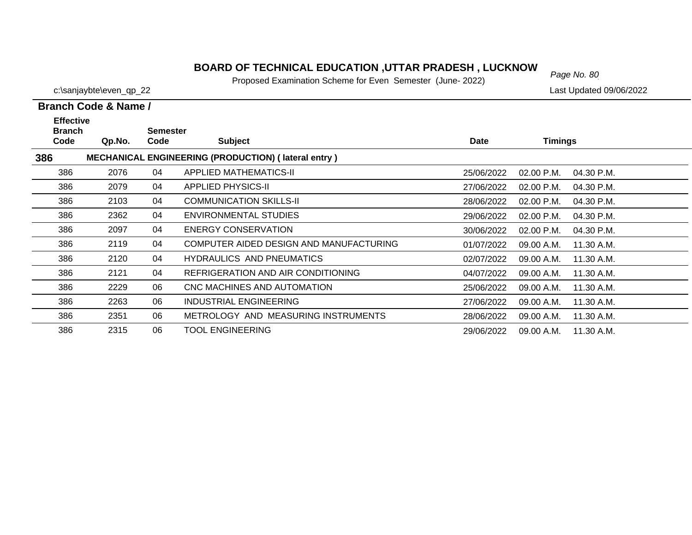# *Page No. 80* **BOARD OF TECHNICAL EDUCATION ,UTTAR PRADESH , LUCKNOW**

Proposed Examination Scheme for Even Semester (June- 2022)

c:\sanjaybte\even\_qp\_22 Last Updated 09/06/2022

| <b>Effective</b><br><b>Branch</b> |        | Semester |                                                            |             |                            |  |
|-----------------------------------|--------|----------|------------------------------------------------------------|-------------|----------------------------|--|
| Code                              | Qp.No. | Code     | <b>Subject</b>                                             | <b>Date</b> | <b>Timings</b>             |  |
| 386                               |        |          | <b>MECHANICAL ENGINEERING (PRODUCTION) (lateral entry)</b> |             |                            |  |
| 386                               | 2076   | 04       | APPLIED MATHEMATICS-II                                     | 25/06/2022  | 02.00 P.M.<br>04.30 P.M.   |  |
| 386                               | 2079   | 04       | <b>APPLIED PHYSICS-II</b>                                  | 27/06/2022  | $02.00$ P.M.<br>04.30 P.M. |  |
| 386                               | 2103   | 04       | <b>COMMUNICATION SKILLS-II</b>                             | 28/06/2022  | 02.00 P.M.<br>04.30 P.M.   |  |
| 386                               | 2362   | 04       | ENVIRONMENTAL STUDIES                                      | 29/06/2022  | $02.00$ P.M.<br>04.30 P.M. |  |
| 386                               | 2097   | 04       | <b>ENERGY CONSERVATION</b>                                 | 30/06/2022  | 02.00 P.M.<br>04.30 P.M.   |  |
| 386                               | 2119   | 04       | COMPUTER AIDED DESIGN AND MANUFACTURING                    | 01/07/2022  | 09.00 A.M.<br>11.30 A.M.   |  |
| 386                               | 2120   | 04       | <b>HYDRAULICS AND PNEUMATICS</b>                           | 02/07/2022  | 09.00 A.M.<br>11.30 A.M.   |  |
| 386                               | 2121   | 04       | REFRIGERATION AND AIR CONDITIONING                         | 04/07/2022  | 09.00 A.M.<br>11.30 A.M.   |  |
| 386                               | 2229   | 06       | CNC MACHINES AND AUTOMATION                                | 25/06/2022  | 09.00 A.M.<br>11.30 A.M.   |  |
| 386                               | 2263   | 06       | INDUSTRIAL ENGINEERING                                     | 27/06/2022  | 09.00 A.M.<br>11.30 A.M.   |  |
| 386                               | 2351   | 06       | METROLOGY AND MEASURING INSTRUMENTS                        | 28/06/2022  | 09.00 A.M.<br>11.30 A.M.   |  |
| 386                               | 2315   | 06       | <b>TOOL ENGINEERING</b>                                    | 29/06/2022  | 09.00 A.M.<br>11.30 A.M.   |  |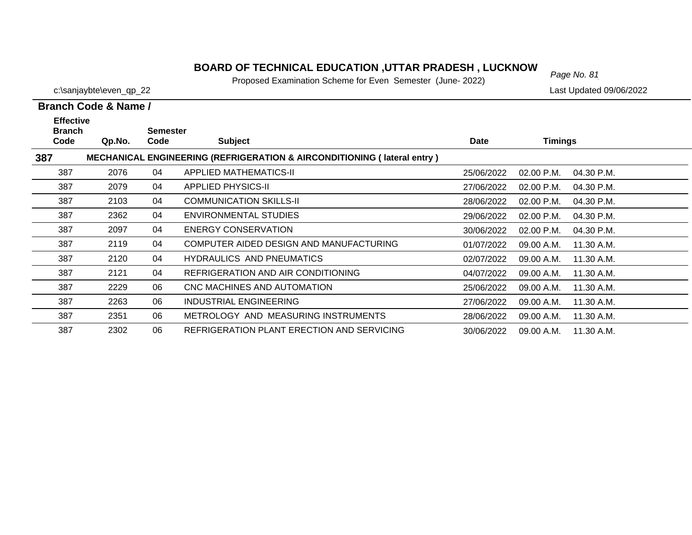# *Page No. 81* **BOARD OF TECHNICAL EDUCATION ,UTTAR PRADESH , LUCKNOW**

Proposed Examination Scheme for Even Semester (June- 2022)

c:\sanjaybte\even\_qp\_22 Last Updated 09/06/2022

| <b>Effective</b><br><b>Branch</b> |        | <b>Semester</b> |                                                                                    |             |              |            |
|-----------------------------------|--------|-----------------|------------------------------------------------------------------------------------|-------------|--------------|------------|
| Code                              | Qp.No. | Code            | <b>Subject</b>                                                                     | <b>Date</b> | Timings      |            |
| 387                               |        |                 | <b>MECHANICAL ENGINEERING (REFRIGERATION &amp; AIRCONDITIONING (Iateral entry)</b> |             |              |            |
| 387                               | 2076   | 04              | APPLIED MATHEMATICS-II                                                             | 25/06/2022  | 02.00 P.M.   | 04.30 P.M. |
| 387                               | 2079   | 04              | <b>APPLIED PHYSICS-II</b>                                                          | 27/06/2022  | $02.00$ P.M. | 04.30 P.M. |
| 387                               | 2103   | 04              | <b>COMMUNICATION SKILLS-II</b>                                                     | 28/06/2022  | $02.00$ P.M. | 04.30 P.M. |
| 387                               | 2362   | 04              | ENVIRONMENTAL STUDIES                                                              | 29/06/2022  | 02.00 P.M.   | 04.30 P.M. |
| 387                               | 2097   | 04              | ENERGY CONSERVATION                                                                | 30/06/2022  | 02.00 P.M.   | 04.30 P.M. |
| 387                               | 2119   | 04              | COMPUTER AIDED DESIGN AND MANUFACTURING                                            | 01/07/2022  | 09.00 A.M.   | 11.30 A.M. |
| 387                               | 2120   | 04              | <b>HYDRAULICS AND PNEUMATICS</b>                                                   | 02/07/2022  | 09.00 A.M.   | 11.30 A.M. |
| 387                               | 2121   | 04              | REFRIGERATION AND AIR CONDITIONING                                                 | 04/07/2022  | 09.00 A.M.   | 11.30 A.M. |
| 387                               | 2229   | 06              | CNC MACHINES AND AUTOMATION                                                        | 25/06/2022  | 09.00 A.M.   | 11.30 A.M. |
| 387                               | 2263   | 06              | INDUSTRIAL ENGINEERING                                                             | 27/06/2022  | 09.00 A.M.   | 11.30 A.M. |
| 387                               | 2351   | 06              | METROLOGY AND MEASURING INSTRUMENTS                                                | 28/06/2022  | 09.00 A.M.   | 11.30 A.M. |
| 387                               | 2302   | 06              | REFRIGERATION PLANT ERECTION AND SERVICING                                         | 30/06/2022  | 09.00 A.M.   | 11.30 A.M. |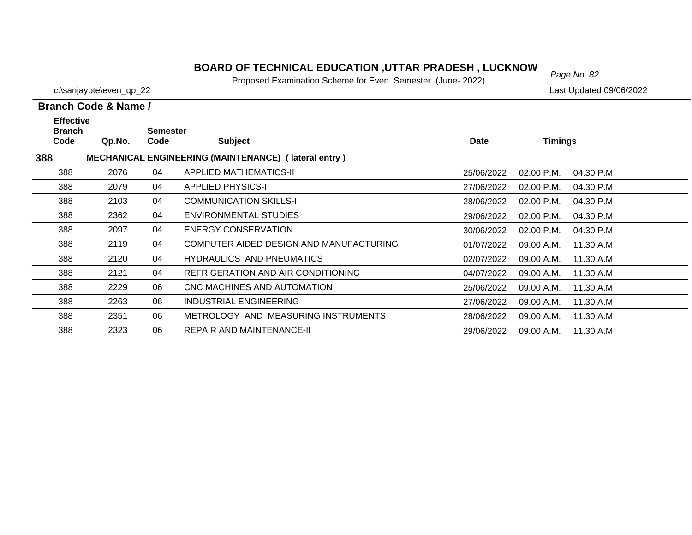# *Page No. 82* **BOARD OF TECHNICAL EDUCATION ,UTTAR PRADESH , LUCKNOW**

Proposed Examination Scheme for Even Semester (June- 2022)

c:\sanjaybte\even\_qp\_22 Last Updated 09/06/2022

| <b>Effective</b><br><b>Branch</b> |        | Semester |                                                             |            |                            |  |
|-----------------------------------|--------|----------|-------------------------------------------------------------|------------|----------------------------|--|
| Code                              | Qp.No. | Code     | <b>Subject</b>                                              | Date       | <b>Timings</b>             |  |
| 388                               |        |          | <b>MECHANICAL ENGINEERING (MAINTENANCE) (lateral entry)</b> |            |                            |  |
| 388                               | 2076   | 04       | APPLIED MATHEMATICS-II                                      | 25/06/2022 | 02.00 P.M.<br>04.30 P.M.   |  |
| 388                               | 2079   | 04       | <b>APPLIED PHYSICS-II</b>                                   | 27/06/2022 | $02.00$ P.M.<br>04.30 P.M. |  |
| 388                               | 2103   | 04       | <b>COMMUNICATION SKILLS-II</b>                              | 28/06/2022 | $02.00$ P.M.<br>04.30 P.M. |  |
| 388                               | 2362   | 04       | ENVIRONMENTAL STUDIES                                       | 29/06/2022 | 02.00 P.M.<br>04.30 P.M.   |  |
| 388                               | 2097   | 04       | <b>ENERGY CONSERVATION</b>                                  | 30/06/2022 | 02.00 P.M.<br>04.30 P.M.   |  |
| 388                               | 2119   | 04       | COMPUTER AIDED DESIGN AND MANUFACTURING                     | 01/07/2022 | 09.00 A.M.<br>11.30 A.M.   |  |
| 388                               | 2120   | 04       | <b>HYDRAULICS AND PNEUMATICS</b>                            | 02/07/2022 | 09.00 A.M.<br>11.30 A.M.   |  |
| 388                               | 2121   | 04       | REFRIGERATION AND AIR CONDITIONING                          | 04/07/2022 | 09.00 A.M.<br>11.30 A.M.   |  |
| 388                               | 2229   | 06       | CNC MACHINES AND AUTOMATION                                 | 25/06/2022 | 09.00 A.M.<br>11.30 A.M.   |  |
| 388                               | 2263   | 06       | INDUSTRIAL ENGINEERING                                      | 27/06/2022 | 11.30 A.M.<br>09.00 A.M.   |  |
| 388                               | 2351   | 06       | METROLOGY AND MEASURING INSTRUMENTS                         | 28/06/2022 | 09.00 A.M.<br>11.30 A.M.   |  |
| 388                               | 2323   | 06       | <b>REPAIR AND MAINTENANCE-II</b>                            | 29/06/2022 | 11.30 A.M.<br>09.00 A.M.   |  |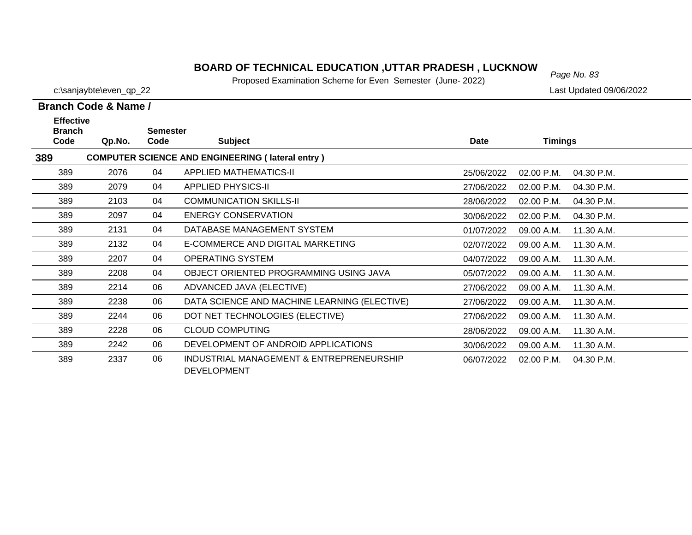# *Page No. 83* **BOARD OF TECHNICAL EDUCATION ,UTTAR PRADESH , LUCKNOW**

Proposed Examination Scheme for Even Semester (June- 2022)

c:\sanjaybte\even\_qp\_22 Last Updated 09/06/2022

### **Branch Code & Name / Effective**

| <b>Branch</b> |        | <b>Semester</b> |                                                                |             |                          |  |
|---------------|--------|-----------------|----------------------------------------------------------------|-------------|--------------------------|--|
| Code          | Qp.No. | Code            | <b>Subject</b>                                                 | <b>Date</b> | <b>Timings</b>           |  |
| 389           |        |                 | <b>COMPUTER SCIENCE AND ENGINEERING (lateral entry)</b>        |             |                          |  |
| 389           | 2076   | 04              | <b>APPLIED MATHEMATICS-II</b>                                  | 25/06/2022  | 02.00 P.M.<br>04.30 P.M. |  |
| 389           | 2079   | 04              | <b>APPLIED PHYSICS-II</b>                                      | 27/06/2022  | 02.00 P.M.<br>04.30 P.M. |  |
| 389           | 2103   | 04              | <b>COMMUNICATION SKILLS-II</b>                                 | 28/06/2022  | 02.00 P.M.<br>04.30 P.M. |  |
| 389           | 2097   | 04              | <b>ENERGY CONSERVATION</b>                                     | 30/06/2022  | 04.30 P.M.<br>02.00 P.M. |  |
| 389           | 2131   | 04              | DATABASE MANAGEMENT SYSTEM                                     | 01/07/2022  | 09.00 A.M.<br>11.30 A.M. |  |
| 389           | 2132   | 04              | E-COMMERCE AND DIGITAL MARKETING                               | 02/07/2022  | 09.00 A.M.<br>11.30 A.M. |  |
| 389           | 2207   | 04              | OPERATING SYSTEM                                               | 04/07/2022  | 09.00 A.M.<br>11.30 A.M. |  |
| 389           | 2208   | 04              | OBJECT ORIENTED PROGRAMMING USING JAVA                         | 05/07/2022  | 09.00 A.M.<br>11.30 A.M. |  |
| 389           | 2214   | 06              | ADVANCED JAVA (ELECTIVE)                                       | 27/06/2022  | 09.00 A.M.<br>11.30 A.M. |  |
| 389           | 2238   | 06              | DATA SCIENCE AND MACHINE LEARNING (ELECTIVE)                   | 27/06/2022  | 09.00 A.M.<br>11.30 A.M. |  |
| 389           | 2244   | 06              | DOT NET TECHNOLOGIES (ELECTIVE)                                | 27/06/2022  | 09.00 A.M.<br>11.30 A.M. |  |
| 389           | 2228   | 06              | <b>CLOUD COMPUTING</b>                                         | 28/06/2022  | 09.00 A.M.<br>11.30 A.M. |  |
| 389           | 2242   | 06              | DEVELOPMENT OF ANDROID APPLICATIONS                            | 30/06/2022  | 09.00 A.M.<br>11.30 A.M. |  |
| 389           | 2337   | 06              | INDUSTRIAL MANAGEMENT & ENTREPRENEURSHIP<br><b>DEVELOPMENT</b> | 06/07/2022  | 02.00 P.M.<br>04.30 P.M. |  |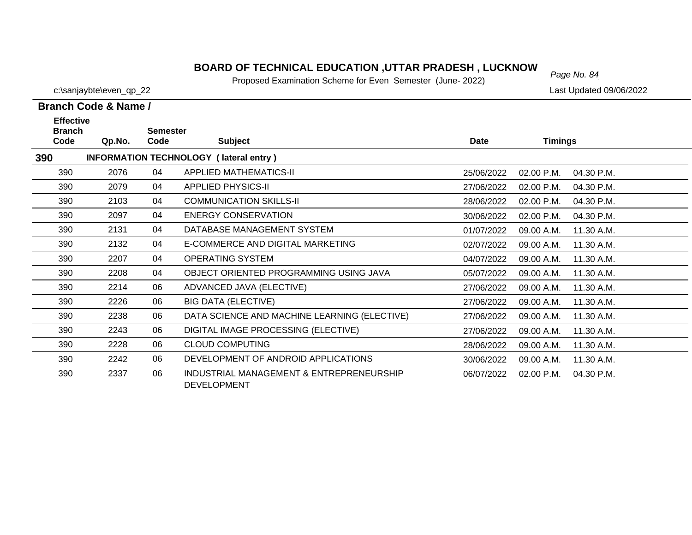# *Page No. 84* **BOARD OF TECHNICAL EDUCATION ,UTTAR PRADESH , LUCKNOW**

Proposed Examination Scheme for Even Semester (June- 2022)

c:\sanjaybte\even\_qp\_22 Last Updated 09/06/2022

|                                           | Branch Code & Name / |                         |                                               |             |                |            |
|-------------------------------------------|----------------------|-------------------------|-----------------------------------------------|-------------|----------------|------------|
| <b>Effective</b><br><b>Branch</b><br>Code | Qp.No.               | <b>Semester</b><br>Code | <b>Subject</b>                                | <b>Date</b> | <b>Timings</b> |            |
|                                           |                      |                         |                                               |             |                |            |
| 390                                       |                      |                         | <b>INFORMATION TECHNOLOGY (lateral entry)</b> |             |                |            |
| 390                                       | 2076                 | 04                      | <b>APPLIED MATHEMATICS-II</b>                 | 25/06/2022  | 02.00 P.M.     | 04.30 P.M. |
| 390                                       | 2079                 | 04                      | <b>APPLIED PHYSICS-II</b>                     | 27/06/2022  | 02.00 P.M.     | 04.30 P.M. |
| 390                                       | 2103                 | 04                      | <b>COMMUNICATION SKILLS-II</b>                | 28/06/2022  | 02.00 P.M.     | 04.30 P.M. |
| 390                                       | 2097                 | 04                      | ENERGY CONSERVATION                           | 30/06/2022  | 02.00 P.M.     | 04.30 P.M. |
| 390                                       | 2131                 | 04                      | DATABASE MANAGEMENT SYSTEM                    | 01/07/2022  | 09.00 A.M.     | 11.30 A.M. |
| 390                                       | 2132                 | 04                      | E-COMMERCE AND DIGITAL MARKETING              | 02/07/2022  | 09.00 A.M.     | 11.30 A.M. |
| 390                                       | 2207                 | 04                      | OPERATING SYSTEM                              | 04/07/2022  | 09.00 A.M.     | 11.30 A.M. |
| 390                                       | 2208                 | 04                      | OBJECT ORIENTED PROGRAMMING USING JAVA        | 05/07/2022  | 09.00 A.M.     | 11.30 A.M. |
| 390                                       | 2214                 | 06                      | ADVANCED JAVA (ELECTIVE)                      | 27/06/2022  | 09.00 A.M.     | 11.30 A.M. |
| 390                                       | 2226                 | 06                      | <b>BIG DATA (ELECTIVE)</b>                    | 27/06/2022  | 09.00 A.M.     | 11.30 A.M. |
| 390                                       | 2238                 | 06                      | DATA SCIENCE AND MACHINE LEARNING (ELECTIVE)  | 27/06/2022  | 09.00 A.M.     | 11.30 A.M. |
| 390                                       | 2243                 | 06                      | DIGITAL IMAGE PROCESSING (ELECTIVE)           | 27/06/2022  | 09.00 A.M.     | 11.30 A.M. |
| 390                                       | 2228                 | 06                      | <b>CLOUD COMPUTING</b>                        | 28/06/2022  | 09.00 A.M.     | 11.30 A.M. |
| 390                                       | 2242                 | 06                      | DEVELOPMENT OF ANDROID APPLICATIONS           | 30/06/2022  | 09.00 A.M.     | 11.30 A.M. |
| 390                                       | 2337                 | 06                      | INDUSTRIAL MANAGEMENT & ENTREPRENEURSHIP      | 06/07/2022  | 02.00 P.M.     | 04.30 P.M. |

DEVELOPMENT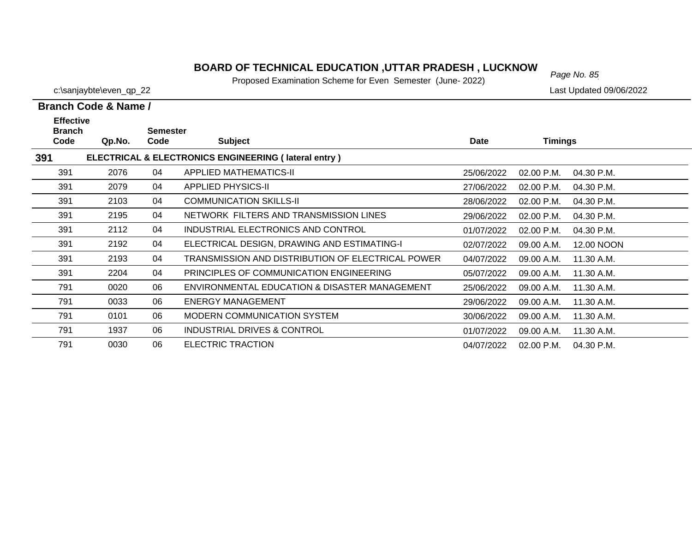Proposed Examination Scheme for Even Semester (June- 2022)

791

0030 06 ELECTRIC TRACTION

c:\sanjaybte\even\_qp\_22 Last Updated 09/06/2022

|                                           | Branch Code & Name / |                         |                                                      |             |                |            |
|-------------------------------------------|----------------------|-------------------------|------------------------------------------------------|-------------|----------------|------------|
| <b>Effective</b><br><b>Branch</b><br>Code | Qp.No.               | <b>Semester</b><br>Code | <b>Subject</b>                                       | <b>Date</b> | <b>Timings</b> |            |
| 391                                       |                      |                         | ELECTRICAL & ELECTRONICS ENGINEERING (lateral entry) |             |                |            |
| 391                                       | 2076                 | 04                      | <b>APPLIED MATHEMATICS-II</b>                        | 25/06/2022  | 02.00 P.M.     | 04.30 P.M. |
| 391                                       | 2079                 | 04                      | <b>APPLIED PHYSICS-II</b>                            | 27/06/2022  | 02.00 P.M.     | 04.30 P.M. |
| 391                                       | 2103                 | 04                      | <b>COMMUNICATION SKILLS-II</b>                       | 28/06/2022  | 02.00 P.M.     | 04.30 P.M. |
| 391                                       | 2195                 | 04                      | NETWORK FILTERS AND TRANSMISSION LINES               | 29/06/2022  | 02.00 P.M.     | 04.30 P.M. |
| 391                                       | 2112                 | 04                      | INDUSTRIAL ELECTRONICS AND CONTROL                   | 01/07/2022  | 02.00 P.M.     | 04.30 P.M. |
| 391                                       | 2192                 | 04                      | ELECTRICAL DESIGN, DRAWING AND ESTIMATING-I          | 02/07/2022  | 09.00 A.M.     | 12.00 NOON |
| 391                                       | 2193                 | 04                      | TRANSMISSION AND DISTRIBUTION OF ELECTRICAL POWER    | 04/07/2022  | 09.00 A.M.     | 11.30 A.M. |
| 391                                       | 2204                 | 04                      | PRINCIPLES OF COMMUNICATION ENGINEERING              | 05/07/2022  | 09.00 A.M.     | 11.30 A.M. |
| 791                                       | 0020                 | 06                      | ENVIRONMENTAL EDUCATION & DISASTER MANAGEMENT        | 25/06/2022  | 09.00 A.M.     | 11.30 A.M. |
| 791                                       | 0033                 | 06                      | <b>ENERGY MANAGEMENT</b>                             | 29/06/2022  | 09.00 A.M.     | 11.30 A.M. |
| 791                                       | 0101                 | 06                      | MODERN COMMUNICATION SYSTEM                          | 30/06/2022  | 09.00 A.M.     | 11.30 A.M. |
| 791                                       | 1937                 | 06                      | <b>INDUSTRIAL DRIVES &amp; CONTROL</b>               | 01/07/2022  | 09.00 A.M.     | 11.30 A.M. |

04/07/2022 02.00 P.M. 04.30 P.M.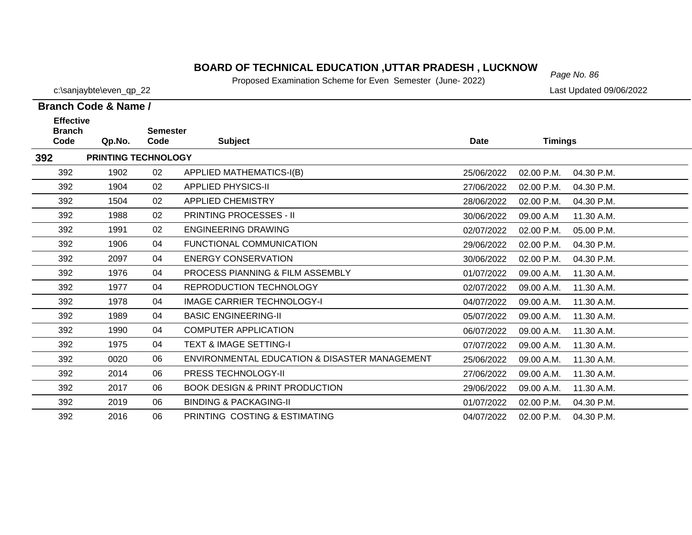# *Page No. 86* **BOARD OF TECHNICAL EDUCATION ,UTTAR PRADESH , LUCKNOW**

Proposed Examination Scheme for Even Semester (June- 2022)

c:\sanjaybte\even\_qp\_22 Last Updated 09/06/2022

| <b>Effective</b><br><b>Branch</b> |                     | <b>Semester</b> |                                               |             |                |            |
|-----------------------------------|---------------------|-----------------|-----------------------------------------------|-------------|----------------|------------|
| Code                              | Qp.No.              | Code            | <b>Subject</b>                                | <b>Date</b> | <b>Timings</b> |            |
| 392                               | PRINTING TECHNOLOGY |                 |                                               |             |                |            |
| 392                               | 1902                | 02              | APPLIED MATHEMATICS-I(B)                      | 25/06/2022  | 02.00 P.M.     | 04.30 P.M. |
| 392                               | 1904                | 02              | <b>APPLIED PHYSICS-II</b>                     | 27/06/2022  | $02.00$ P.M.   | 04.30 P.M. |
| 392                               | 1504                | 02              | <b>APPLIED CHEMISTRY</b>                      | 28/06/2022  | 02.00 P.M.     | 04.30 P.M. |
| 392                               | 1988                | 02              | <b>PRINTING PROCESSES - II</b>                | 30/06/2022  | 09.00 A.M      | 11.30 A.M. |
| 392                               | 1991                | 02              | <b>ENGINEERING DRAWING</b>                    | 02/07/2022  | 02.00 P.M.     | 05.00 P.M. |
| 392                               | 1906                | 04              | <b>FUNCTIONAL COMMUNICATION</b>               | 29/06/2022  | 02.00 P.M.     | 04.30 P.M. |
| 392                               | 2097                | 04              | ENERGY CONSERVATION                           | 30/06/2022  | 02.00 P.M.     | 04.30 P.M. |
| 392                               | 1976                | 04              | PROCESS PIANNING & FILM ASSEMBLY              | 01/07/2022  | 09.00 A.M.     | 11.30 A.M. |
| 392                               | 1977                | 04              | <b>REPRODUCTION TECHNOLOGY</b>                | 02/07/2022  | 09.00 A.M.     | 11.30 A.M. |
| 392                               | 1978                | 04              | <b>IMAGE CARRIER TECHNOLOGY-I</b>             | 04/07/2022  | 09.00 A.M.     | 11.30 A.M. |
| 392                               | 1989                | 04              | <b>BASIC ENGINEERING-II</b>                   | 05/07/2022  | 09.00 A.M.     | 11.30 A.M. |
| 392                               | 1990                | 04              | <b>COMPUTER APPLICATION</b>                   | 06/07/2022  | 09.00 A.M.     | 11.30 A.M. |
| 392                               | 1975                | 04              | <b>TEXT &amp; IMAGE SETTING-I</b>             | 07/07/2022  | 09.00 A.M.     | 11.30 A.M. |
| 392                               | 0020                | 06              | ENVIRONMENTAL EDUCATION & DISASTER MANAGEMENT | 25/06/2022  | 09.00 A.M.     | 11.30 A.M. |
| 392                               | 2014                | 06              | PRESS TECHNOLOGY-II                           | 27/06/2022  | 09.00 A.M.     | 11.30 A.M. |
| 392                               | 2017                | 06              | <b>BOOK DESIGN &amp; PRINT PRODUCTION</b>     | 29/06/2022  | 09.00 A.M.     | 11.30 A.M. |
| 392                               | 2019                | 06              | <b>BINDING &amp; PACKAGING-II</b>             | 01/07/2022  | 02.00 P.M.     | 04.30 P.M. |
| 392                               | 2016                | 06              | PRINTING COSTING & ESTIMATING                 | 04/07/2022  | 02.00 P.M.     | 04.30 P.M. |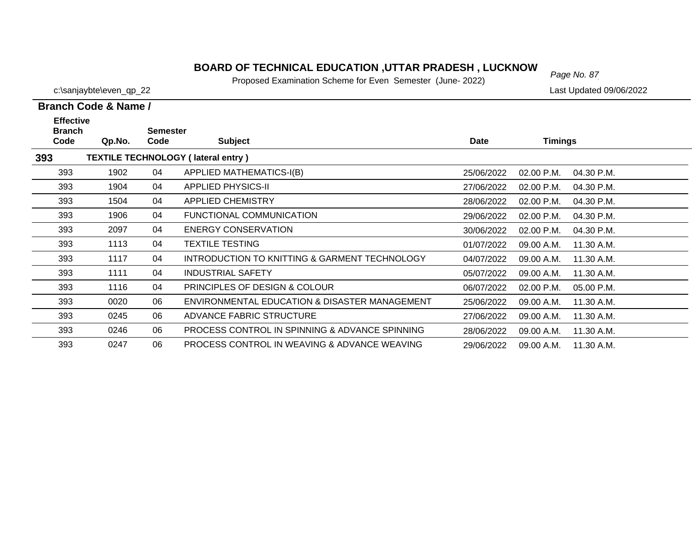Proposed Examination Scheme for Even Semester (June- 2022)

29/06/2022 09.00 A.M. 11.30 A.M.

393

c:\sanjaybte\even\_qp\_22 Last Updated 09/06/2022

 $\overline{\phantom{0}}$  $\overbrace{\hspace{25mm}}^{ }$  $\overline{\phantom{0}}$  $\overline{\phantom{0}}$ 

|                                                  | Branch Code & Name / |                         |                                                |             |                |            |  |  |  |
|--------------------------------------------------|----------------------|-------------------------|------------------------------------------------|-------------|----------------|------------|--|--|--|
| <b>Effective</b><br><b>Branch</b><br>Code        | Qp.No.               | <b>Semester</b><br>Code | <b>Subject</b>                                 | <b>Date</b> | <b>Timings</b> |            |  |  |  |
| <b>TEXTILE TECHNOLOGY (lateral entry)</b><br>393 |                      |                         |                                                |             |                |            |  |  |  |
| 393                                              | 1902                 | 04                      | APPLIED MATHEMATICS-I(B)                       | 25/06/2022  | $02.00$ P.M.   | 04.30 P.M. |  |  |  |
| 393                                              | 1904                 | 04                      | <b>APPLIED PHYSICS-II</b>                      | 27/06/2022  | $02.00$ P.M.   | 04.30 P.M. |  |  |  |
| 393                                              | 1504                 | 04                      | APPLIED CHEMISTRY                              | 28/06/2022  | 02.00 P.M.     | 04.30 P.M. |  |  |  |
| 393                                              | 1906                 | 04                      | FUNCTIONAL COMMUNICATION                       | 29/06/2022  | 02.00 P.M.     | 04.30 P.M. |  |  |  |
| 393                                              | 2097                 | 04                      | ENERGY CONSERVATION                            | 30/06/2022  | $02.00$ P.M.   | 04.30 P.M. |  |  |  |
| 393                                              | 1113                 | 04                      | <b>TEXTILE TESTING</b>                         | 01/07/2022  | 09.00 A.M.     | 11.30 A.M. |  |  |  |
| 393                                              | 1117                 | 04                      | INTRODUCTION TO KNITTING & GARMENT TECHNOLOGY  | 04/07/2022  | 09.00 A.M.     | 11.30 A.M. |  |  |  |
| 393                                              | 1111                 | 04                      | <b>INDUSTRIAL SAFETY</b>                       | 05/07/2022  | 09.00 A.M.     | 11.30 A.M. |  |  |  |
| 393                                              | 1116                 | 04                      | <b>PRINCIPLES OF DESIGN &amp; COLOUR</b>       | 06/07/2022  | $02.00$ P.M.   | 05.00 P.M. |  |  |  |
| 393                                              | 0020                 | 06                      | ENVIRONMENTAL EDUCATION & DISASTER MANAGEMENT  | 25/06/2022  | 09.00 A.M.     | 11.30 A.M. |  |  |  |
| 393                                              | 0245                 | 06                      | ADVANCE FABRIC STRUCTURE                       | 27/06/2022  | 09.00 A.M.     | 11.30 A.M. |  |  |  |
| 393                                              | 0246                 | 06                      | PROCESS CONTROL IN SPINNING & ADVANCE SPINNING | 28/06/2022  | 09.00 A.M.     | 11.30 A.M. |  |  |  |

0247 06 PROCESS CONTROL IN WEAVING & ADVANCE WEAVING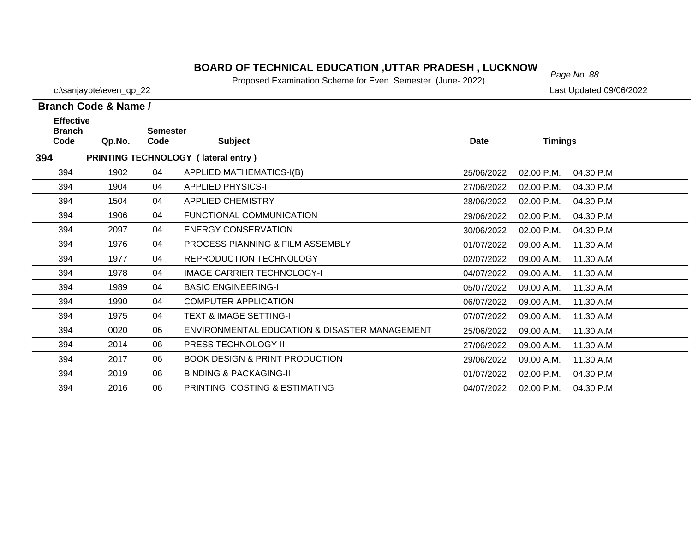Proposed Examination Scheme for Even Semester (June- 2022)

|                                                     | Branch Code & Name / |                         |                                               |             |                |            |
|-----------------------------------------------------|----------------------|-------------------------|-----------------------------------------------|-------------|----------------|------------|
| <b>Effective</b><br><b>Branch</b><br>Code<br>Qp.No. |                      | <b>Semester</b><br>Code | <b>Subject</b>                                | <b>Date</b> | <b>Timings</b> |            |
| 394                                                 |                      |                         | PRINTING TECHNOLOGY (lateral entry)           |             |                |            |
| 394                                                 | 1902                 | 04                      | <b>APPLIED MATHEMATICS-I(B)</b>               | 25/06/2022  | 02.00 P.M.     | 04.30 P.M. |
| 394                                                 | 1904                 | 04                      | <b>APPLIED PHYSICS-II</b>                     | 27/06/2022  | 02.00 P.M.     | 04.30 P.M. |
| 394                                                 | 1504                 | 04                      | <b>APPLIED CHEMISTRY</b>                      | 28/06/2022  | 02.00 P.M.     | 04.30 P.M. |
| 394                                                 | 1906                 | 04                      | FUNCTIONAL COMMUNICATION                      | 29/06/2022  | 02.00 P.M.     | 04.30 P.M. |
| 394                                                 | 2097                 | 04                      | ENERGY CONSERVATION                           | 30/06/2022  | 02.00 P.M.     | 04.30 P.M. |
| 394                                                 | 1976                 | 04                      | <b>PROCESS PIANNING &amp; FILM ASSEMBLY</b>   | 01/07/2022  | 09.00 A.M.     | 11.30 A.M. |
| 394                                                 | 1977                 | 04                      | <b>REPRODUCTION TECHNOLOGY</b>                | 02/07/2022  | 09.00 A.M.     | 11.30 A.M. |
| 394                                                 | 1978                 | 04                      | <b>IMAGE CARRIER TECHNOLOGY-I</b>             | 04/07/2022  | 09.00 A.M.     | 11.30 A.M. |
| 394                                                 | 1989                 | 04                      | <b>BASIC ENGINEERING-II</b>                   | 05/07/2022  | 09.00 A.M.     | 11.30 A.M. |
| 394                                                 | 1990                 | 04                      | <b>COMPUTER APPLICATION</b>                   | 06/07/2022  | 09.00 A.M.     | 11.30 A.M. |
| 394                                                 | 1975                 | 04                      | <b>TEXT &amp; IMAGE SETTING-I</b>             | 07/07/2022  | 09.00 A.M.     | 11.30 A.M. |
| 394                                                 | 0020                 | 06                      | ENVIRONMENTAL EDUCATION & DISASTER MANAGEMENT | 25/06/2022  | 09.00 A.M.     | 11.30 A.M. |
| 394                                                 | 2014                 | 06                      | <b>PRESS TECHNOLOGY-II</b>                    | 27/06/2022  | 09.00 A.M.     | 11.30 A.M. |
| 394                                                 | 2017                 | 06                      | <b>BOOK DESIGN &amp; PRINT PRODUCTION</b>     | 29/06/2022  | 09.00 A.M.     | 11.30 A.M. |
| 394                                                 | 2019                 | 06                      | <b>BINDING &amp; PACKAGING-II</b>             | 01/07/2022  | 02.00 P.M.     | 04.30 P.M. |
| 394                                                 | 2016                 | 06                      | PRINTING COSTING & ESTIMATING                 | 04/07/2022  | 02.00 P.M.     | 04.30 P.M. |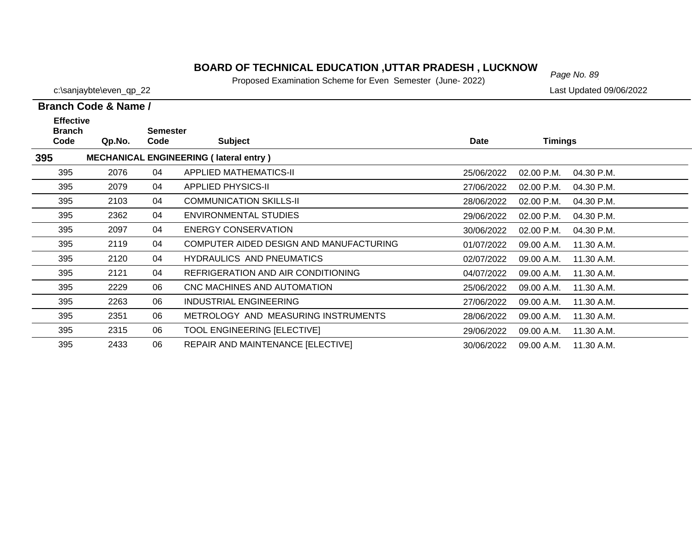# *Page No. 89* **BOARD OF TECHNICAL EDUCATION ,UTTAR PRADESH , LUCKNOW**

Proposed Examination Scheme for Even Semester (June- 2022)

c:\sanjaybte\even\_qp\_22 Last Updated 09/06/2022

| <b>Effective</b><br><b>Branch</b> |                                               | <b>Semester</b> |                                         |             |                            |  |  |  |  |
|-----------------------------------|-----------------------------------------------|-----------------|-----------------------------------------|-------------|----------------------------|--|--|--|--|
| Code                              | Qp.No.                                        | Code            | <b>Subject</b>                          | <b>Date</b> | <b>Timings</b>             |  |  |  |  |
| 395                               | <b>MECHANICAL ENGINEERING (lateral entry)</b> |                 |                                         |             |                            |  |  |  |  |
| 395                               | 2076                                          | 04              | <b>APPLIED MATHEMATICS-II</b>           | 25/06/2022  | 02.00 P.M.<br>04.30 P.M.   |  |  |  |  |
| 395                               | 2079                                          | 04              | <b>APPLIED PHYSICS-II</b>               | 27/06/2022  | $02.00$ P.M.<br>04.30 P.M. |  |  |  |  |
| 395                               | 2103                                          | 04              | <b>COMMUNICATION SKILLS-II</b>          | 28/06/2022  | 02.00 P.M.<br>04.30 P.M.   |  |  |  |  |
| 395                               | 2362                                          | 04              | <b>ENVIRONMENTAL STUDIES</b>            | 29/06/2022  | 02.00 P.M.<br>04.30 P.M.   |  |  |  |  |
| 395                               | 2097                                          | 04              | <b>ENERGY CONSERVATION</b>              | 30/06/2022  | 02.00 P.M.<br>04.30 P.M.   |  |  |  |  |
| 395                               | 2119                                          | 04              | COMPUTER AIDED DESIGN AND MANUFACTURING | 01/07/2022  | 09.00 A.M.<br>11.30 A.M.   |  |  |  |  |
| 395                               | 2120                                          | 04              | <b>HYDRAULICS AND PNEUMATICS</b>        | 02/07/2022  | 09.00 A.M.<br>11.30 A.M.   |  |  |  |  |
| 395                               | 2121                                          | 04              | REFRIGERATION AND AIR CONDITIONING      | 04/07/2022  | 09.00 A.M.<br>11.30 A.M.   |  |  |  |  |
| 395                               | 2229                                          | 06              | CNC MACHINES AND AUTOMATION             | 25/06/2022  | 09.00 A.M.<br>11.30 A.M.   |  |  |  |  |
| 395                               | 2263                                          | 06              | INDUSTRIAL ENGINEERING                  | 27/06/2022  | 11.30 A.M.<br>09.00 A.M.   |  |  |  |  |
| 395                               | 2351                                          | 06              | METROLOGY AND MEASURING INSTRUMENTS     | 28/06/2022  | 09.00 A.M.<br>11.30 A.M.   |  |  |  |  |
| 395                               | 2315                                          | 06              | TOOL ENGINEERING [ELECTIVE]             | 29/06/2022  | 09.00 A.M.<br>11.30 A.M.   |  |  |  |  |
| 395                               | 2433                                          | 06              | REPAIR AND MAINTENANCE [ELECTIVE]       | 30/06/2022  | 11.30 A.M.<br>09.00 A.M.   |  |  |  |  |